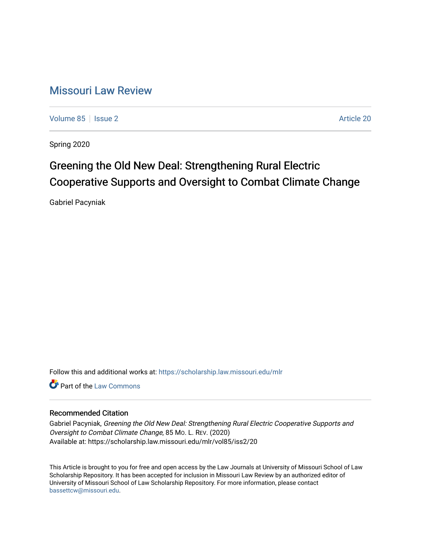# [Missouri Law Review](https://scholarship.law.missouri.edu/mlr)

[Volume 85](https://scholarship.law.missouri.edu/mlr/vol85) | [Issue 2](https://scholarship.law.missouri.edu/mlr/vol85/iss2) Article 20

Spring 2020

# Greening the Old New Deal: Strengthening Rural Electric Cooperative Supports and Oversight to Combat Climate Change

Gabriel Pacyniak

Follow this and additional works at: [https://scholarship.law.missouri.edu/mlr](https://scholarship.law.missouri.edu/mlr?utm_source=scholarship.law.missouri.edu%2Fmlr%2Fvol85%2Fiss2%2F20&utm_medium=PDF&utm_campaign=PDFCoverPages)

**C** Part of the [Law Commons](http://network.bepress.com/hgg/discipline/578?utm_source=scholarship.law.missouri.edu%2Fmlr%2Fvol85%2Fiss2%2F20&utm_medium=PDF&utm_campaign=PDFCoverPages)

# Recommended Citation

Gabriel Pacyniak, Greening the Old New Deal: Strengthening Rural Electric Cooperative Supports and Oversight to Combat Climate Change, 85 MO. L. REV. (2020) Available at: https://scholarship.law.missouri.edu/mlr/vol85/iss2/20

This Article is brought to you for free and open access by the Law Journals at University of Missouri School of Law Scholarship Repository. It has been accepted for inclusion in Missouri Law Review by an authorized editor of University of Missouri School of Law Scholarship Repository. For more information, please contact [bassettcw@missouri.edu](mailto:bassettcw@missouri.edu).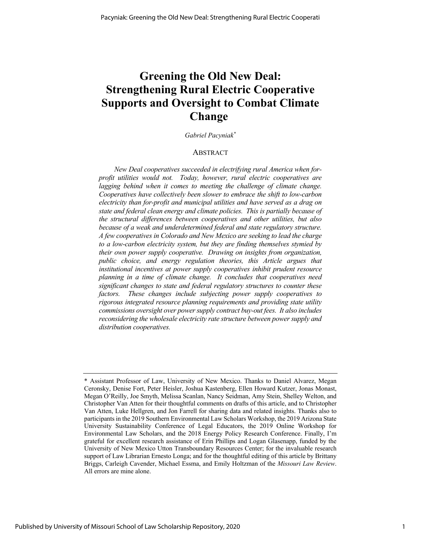# **Greening the Old New Deal: Strengthening Rural Electric Cooperative Supports and Oversight to Combat Climate Change**

*Gabriel Pacyniak\**

# ABSTRACT

*New Deal cooperatives succeeded in electrifying rural America when forprofit utilities would not. Today, however, rural electric cooperatives are lagging behind when it comes to meeting the challenge of climate change. Cooperatives have collectively been slower to embrace the shift to low-carbon electricity than for-profit and municipal utilities and have served as a drag on state and federal clean energy and climate policies. This is partially because of the structural differences between cooperatives and other utilities, but also because of a weak and underdetermined federal and state regulatory structure. A few cooperatives in Colorado and New Mexico are seeking to lead the charge to a low-carbon electricity system, but they are finding themselves stymied by their own power supply cooperative. Drawing on insights from organization, public choice, and energy regulation theories, this Article argues that institutional incentives at power supply cooperatives inhibit prudent resource planning in a time of climate change. It concludes that cooperatives need significant changes to state and federal regulatory structures to counter these factors. These changes include subjecting power supply cooperatives to rigorous integrated resource planning requirements and providing state utility commissions oversight over power supply contract buy-out fees. It also includes reconsidering the wholesale electricity rate structure between power supply and distribution cooperatives.* 

<sup>\*</sup> Assistant Professor of Law, University of New Mexico. Thanks to Daniel Alvarez, Megan Ceronsky, Denise Fort, Peter Heisler, Joshua Kastenberg, Ellen Howard Kutzer, Jonas Monast, Megan O'Reilly, Joe Smyth, Melissa Scanlan, Nancy Seidman, Amy Stein, Shelley Welton, and Christopher Van Atten for their thoughtful comments on drafts of this article, and to Christopher Van Atten, Luke Hellgren, and Jon Farrell for sharing data and related insights. Thanks also to participants in the 2019 Southern Environmental Law Scholars Workshop, the 2019 Arizona State University Sustainability Conference of Legal Educators, the 2019 Online Workshop for Environmental Law Scholars, and the 2018 Energy Policy Research Conference. Finally, I'm grateful for excellent research assistance of Erin Phillips and Logan Glasenapp, funded by the University of New Mexico Utton Transboundary Resources Center; for the invaluable research support of Law Librarian Ernesto Longa; and for the thoughtful editing of this article by Brittany Briggs, Carleigh Cavender, Michael Essma, and Emily Holtzman of the *Missouri Law Review*. All errors are mine alone.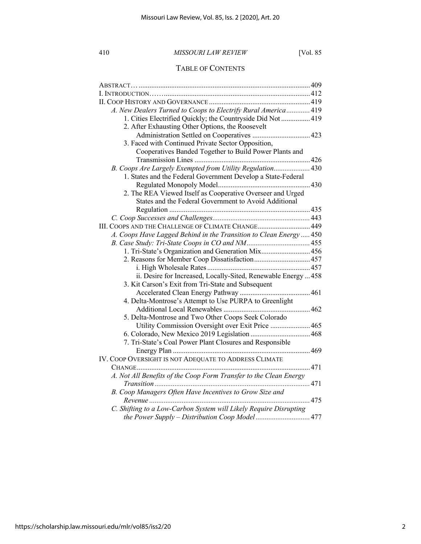# TABLE OF CONTENTS

| A. New Dealers Turned to Coops to Electrify Rural America 419                                            |  |
|----------------------------------------------------------------------------------------------------------|--|
| 1. Cities Electrified Quickly; the Countryside Did Not  419                                              |  |
| 2. After Exhausting Other Options, the Roosevelt                                                         |  |
|                                                                                                          |  |
| 3. Faced with Continued Private Sector Opposition,                                                       |  |
| Cooperatives Banded Together to Build Power Plants and                                                   |  |
|                                                                                                          |  |
| B. Coops Are Largely Exempted from Utility Regulation430                                                 |  |
| 1. States and the Federal Government Develop a State-Federal                                             |  |
|                                                                                                          |  |
| 2. The REA Viewed Itself as Cooperative Overseer and Urged                                               |  |
| States and the Federal Government to Avoid Additional                                                    |  |
|                                                                                                          |  |
|                                                                                                          |  |
| III. COOPS AND THE CHALLENGE OF CLIMATE CHANGE 449                                                       |  |
| A. Coops Have Lagged Behind in the Transition to Clean Energy  450                                       |  |
|                                                                                                          |  |
| 1. Tri-State's Organization and Generation Mix456                                                        |  |
| 2. Reasons for Member Coop Dissatisfaction457                                                            |  |
|                                                                                                          |  |
| ii. Desire for Increased, Locally-Sited, Renewable Energy  458                                           |  |
| 3. Kit Carson's Exit from Tri-State and Subsequent                                                       |  |
|                                                                                                          |  |
| 4. Delta-Montrose's Attempt to Use PURPA to Greenlight                                                   |  |
|                                                                                                          |  |
| 5. Delta-Montrose and Two Other Coops Seek Colorado<br>Utility Commission Oversight over Exit Price  465 |  |
|                                                                                                          |  |
| 7. Tri-State's Coal Power Plant Closures and Responsible                                                 |  |
|                                                                                                          |  |
| IV. COOP OVERSIGHT IS NOT ADEQUATE TO ADDRESS CLIMATE                                                    |  |
|                                                                                                          |  |
| A. Not All Benefits of the Coop Form Transfer to the Clean Energy                                        |  |
|                                                                                                          |  |
| B. Coop Managers Often Have Incentives to Grow Size and                                                  |  |
|                                                                                                          |  |
| C. Shifting to a Low-Carbon System will Likely Require Disrupting                                        |  |
|                                                                                                          |  |
|                                                                                                          |  |

2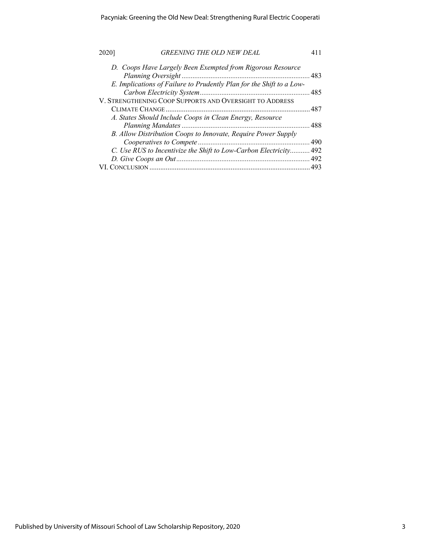| 2020 | <b>GREENING THE OLD NEW DEAL</b>                                     |       |
|------|----------------------------------------------------------------------|-------|
|      | D. Coops Have Largely Been Exempted from Rigorous Resource           |       |
|      |                                                                      | . 483 |
|      | E. Implications of Failure to Prudently Plan for the Shift to a Low- |       |
|      |                                                                      |       |
|      | V. STRENGTHENING COOP SUPPORTS AND OVERSIGHT TO ADDRESS              |       |
|      |                                                                      |       |
|      | A. States Should Include Coops in Clean Energy, Resource             |       |
|      |                                                                      |       |
|      | B. Allow Distribution Coops to Innovate, Require Power Supply        |       |
|      |                                                                      |       |
|      | C. Use RUS to Incentivize the Shift to Low-Carbon Electricity 492    |       |
|      |                                                                      |       |
|      |                                                                      | .493  |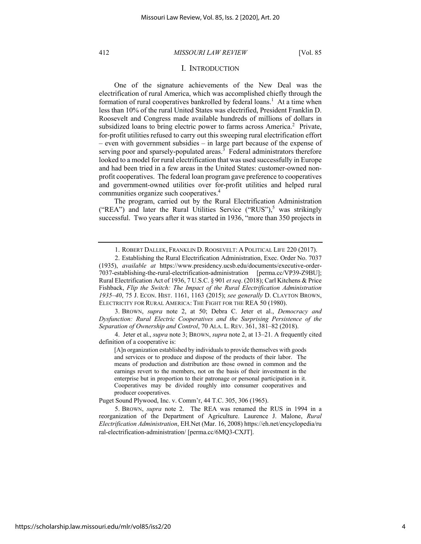## I. INTRODUCTION

One of the signature achievements of the New Deal was the electrification of rural America, which was accomplished chiefly through the formation of rural cooperatives bankrolled by federal loans.<sup>1</sup> At a time when less than 10% of the rural United States was electrified, President Franklin D. Roosevelt and Congress made available hundreds of millions of dollars in subsidized loans to bring electric power to farms across America.<sup>2</sup> Private, for-profit utilities refused to carry out this sweeping rural electrification effort – even with government subsidies – in large part because of the expense of serving poor and sparsely-populated areas. $\frac{3}{3}$  Federal administrators therefore looked to a model for rural electrification that was used successfully in Europe and had been tried in a few areas in the United States: customer-owned nonprofit cooperatives. The federal loan program gave preference to cooperatives and government-owned utilities over for-profit utilities and helped rural communities organize such cooperatives.<sup>4</sup>

The program, carried out by the Rural Electrification Administration ("REA") and later the Rural Utilities Service ("RUS"), $5$  was strikingly successful. Two years after it was started in 1936, "more than 350 projects in

3. BROWN, *supra* note 2, at 50; Debra C. Jeter et al., *Democracy and Dysfunction: Rural Electric Cooperatives and the Surprising Persistence of the Separation of Ownership and Control*, 70 ALA. L. REV. 361, 381–82 (2018).

4. Jeter et al., *supra* note 3; BROWN, *supra* note 2, at 13–21. A frequently cited definition of a cooperative is:

[A]n organization established by individuals to provide themselves with goods and services or to produce and dispose of the products of their labor. The means of production and distribution are those owned in common and the earnings revert to the members, not on the basis of their investment in the enterprise but in proportion to their patronage or personal participation in it. Cooperatives may be divided roughly into consumer cooperatives and producer cooperatives.

Puget Sound Plywood, Inc. v. Comm'r, 44 T.C. 305, 306 (1965).

5. BROWN, *supra* note 2. The REA was renamed the RUS in 1994 in a reorganization of the Department of Agriculture. Laurence J. Malone, *Rural Electrification Administration*, EH.Net (Mar. 16, 2008) https://eh.net/encyclopedia/ru ral-electrification-administration/ [perma.cc/6MQ3-CXJT].

<sup>1.</sup> ROBERT DALLEK, FRANKLIN D. ROOSEVELT: A POLITICAL LIFE 220 (2017).

<sup>2.</sup> Establishing the Rural Electrification Administration, Exec. Order No. 7037 (1935), *available at* https://www.presidency.ucsb.edu/documents/executive-order-7037-establishing-the-rural-electrification-administration [perma.cc/VP39-Z9BU]; Rural Electrification Act of 1936, 7 U.S.C. § 901 *et seq*. (2018); Carl Kitchens & Price Fishback, *Flip the Switch: The Impact of the Rural Electrification Administration 1935–40*, 75 J. ECON. HIST. 1161, 1163 (2015); *see generally* D. CLAYTON BROWN, ELECTRICITY FOR RURAL AMERICA: THE FIGHT FOR THE REA 50 (1980).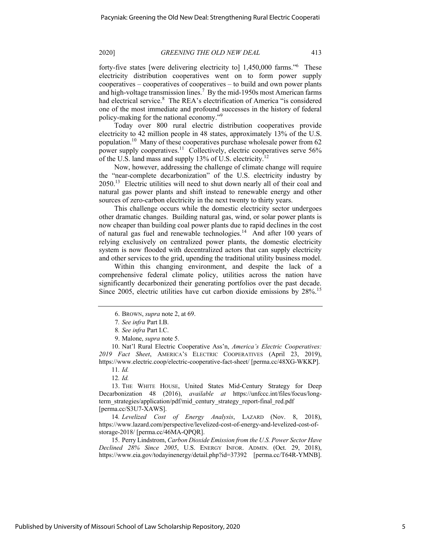forty-five states [were delivering electricity to] 1,450,000 farms."<sup>6</sup> These electricity distribution cooperatives went on to form power supply cooperatives – cooperatives of cooperatives – to build and own power plants and high-voltage transmission lines.<sup>7</sup> By the mid-1950s most American farms had electrical service.<sup>8</sup> The REA's electrification of America "is considered one of the most immediate and profound successes in the history of federal policy-making for the national economy."9

Today over 800 rural electric distribution cooperatives provide electricity to 42 million people in 48 states, approximately 13% of the U.S. population.10 Many of these cooperatives purchase wholesale power from 62 power supply cooperatives.<sup>11</sup> Collectively, electric cooperatives serve 56% of the U.S. land mass and supply 13% of U.S. electricity.<sup>12</sup>

Now, however, addressing the challenge of climate change will require the "near-complete decarbonization" of the U.S. electricity industry by 2050.13 Electric utilities will need to shut down nearly all of their coal and natural gas power plants and shift instead to renewable energy and other sources of zero-carbon electricity in the next twenty to thirty years.

This challenge occurs while the domestic electricity sector undergoes other dramatic changes. Building natural gas, wind, or solar power plants is now cheaper than building coal power plants due to rapid declines in the cost of natural gas fuel and renewable technologies.<sup>14</sup> And after 100 years of relying exclusively on centralized power plants, the domestic electricity system is now flooded with decentralized actors that can supply electricity and other services to the grid, upending the traditional utility business model.

Within this changing environment, and despite the lack of a comprehensive federal climate policy, utilities across the nation have significantly decarbonized their generating portfolios over the past decade. Since 2005, electric utilities have cut carbon dioxide emissions by 28%.<sup>15</sup>

10. Nat'l Rural Electric Cooperative Ass'n, *America's Electric Cooperatives: 2019 Fact Sheet*, AMERICA'S ELECTRIC COOPERATIVES (April 23, 2019), https://www.electric.coop/electric-cooperative-fact-sheet/ [perma.cc/48XG-WKKP].

12*. Id.* 

13. THE WHITE HOUSE, United States Mid-Century Strategy for Deep Decarbonization 48 (2016), *available at* https://unfccc.int/files/focus/longterm\_strategies/application/pdf/mid\_century\_strategy\_report-final\_red.pdf [perma.cc/S3U7-XAWS].

14*. Levelized Cost of Energy Analysis*, LAZARD (Nov. 8, 2018), https://www.lazard.com/perspective/levelized-cost-of-energy-and-levelized-cost-ofstorage-2018/ [perma.cc/46MA-QPQR].

15. Perry Lindstrom, *Carbon Dioxide Emission from the U.S. Power Sector Have Declined 28% Since 2005*, U.S. ENERGY INFOR. ADMIN. (Oct. 29, 2018), https://www.eia.gov/todayinenergy/detail.php?id=37392 [perma.cc/T64R-YMNB].

<sup>6.</sup> BROWN, *supra* note 2, at 69.

<sup>7</sup>*. See infra* Part I.B.

<sup>8</sup>*. See infra* Part I.C.

<sup>9.</sup> Malone, *supra* note 5.

<sup>11</sup>*. Id.*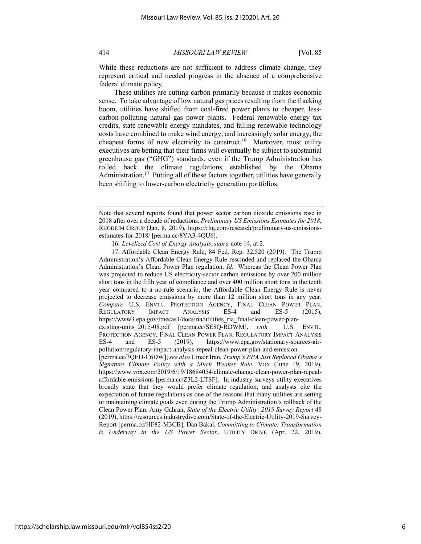While these reductions are not sufficient to address climate change, they represent critical and needed progress in the absence of a comprehensive federal climate policy.

These utilities are cutting carbon primarily because it makes economic sense. To take advantage of low natural gas prices resulting from the fracking boom, utilities have shifted from coal-fired power plants to cheaper, lesscarbon-polluting natural gas power plants. Federal renewable energy tax credits, state renewable energy mandates, and falling renewable technology costs have combined to make wind energy, and increasingly solar energy, the cheapest forms of new electricity to construct.<sup>16</sup> Moreover, most utility executives are betting that their firms will eventually be subject to substantial greenhouse gas ("GHG") standards, even if the Trump Administration has rolled back the climate regulations established by the Obama Administration.<sup>17</sup> Putting all of these factors together, utilities have generally been shifting to lower-carbon electricity generation portfolios.

Note that several reports found that power sector carbon dioxide emissions rose in 2018 after over a decade of reductions. *Preliminary US Emissions Estimates for 2018*, RHODIUM GROUP (Jan. 8, 2019), https://rhg.com/research/preliminary-us-emissionsestimates-for-2018/ [perma.cc/8YA3-4QU6].

<sup>16.</sup> *Levelized Cost of Energy Analysis*,*supra* note 14, at 2.

<sup>17.</sup> Affordable Clean Energy Rule, 84 Fed. Reg. 32,520 (2019). The Trump Administration's Affordable Clean Energy Rule rescinded and replaced the Obama Administration's Clean Power Plan regulation. *Id.* Whereas the Clean Power Plan was projected to reduce US electricity-sector carbon emissions by over 200 million short tons in the fifth year of compliance and over 400 million short tons in the tenth year compared to a no-rule scenario, the Affordable Clean Energy Rule is never projected to decrease emissions by more than 12 million short tons in any year. *Compare* U.S. ENVTL. PROTECTION AGENCY, FINAL CLEAN POWER PLAN, REGULATORY IMPACT ANALYSIS ES-4 and ES-5 (2015), https://www3.epa.gov/ttnecas1/docs/ria/utilities ria final-clean-power-planexisting-units\_2015-08.pdf [perma.cc/SE8Q-RDWM], *with* U.S. ENVTL. PROTECTION AGENCY, FINAL CLEAN POWER PLAN, REGULATORY IMPACT ANALYSIS ES-4 and ES-5 (2019), https://www.epa.gov/stationary-sources-airpollution/regulatory-impact-analysis-repeal-clean-power-plan-and-emission [perma.cc/3QED-C6DW];*see also* Umair Iran, *Trump's EPA Just Replaced Obama's Signature Climate Policy with a Much Weaker Rule*, VOX (June 19, 2019), https://www.vox.com/2019/6/19/18684054/climate-change-clean-power-plan-repealaffordable-emissions [perma.cc/Z3L2-LTSF]. In industry surveys utility executives broadly state that they would prefer climate regulation, and analysts cite the expectation of future regulations as one of the reasons that many utilities are setting or maintaining climate goals even during the Trump Administration's rollback of the Clean Power Plan. Amy Gahran, *State of the Electric Utility: 2019 Survey Report* 48 (2019), https://resources.industrydive.com/State-of-the-Electric-Utility-2019-Survey-Report [perma.cc/HF82-M3CB]; Dan Bakal, *Committing to Climate: Transformation is Underway in the US Power Sector*, UTILITY DRIVE (Apr. 22, 2019),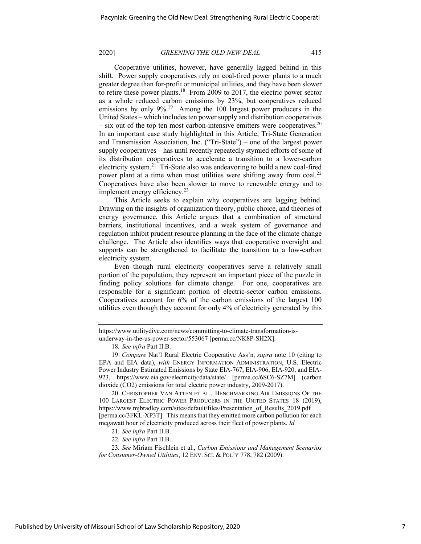Cooperative utilities, however, have generally lagged behind in this shift. Power supply cooperatives rely on coal-fired power plants to a much greater degree than for-profit or municipal utilities, and they have been slower to retire these power plants.<sup>18</sup> From 2009 to 2017, the electric power sector as a whole reduced carbon emissions by 23%, but cooperatives reduced emissions by only 9%.<sup>19</sup> Among the 100 largest power producers in the United States – which includes ten power supply and distribution cooperatives  $-$  six out of the top ten most carbon-intensive emitters were cooperatives.<sup>20</sup> In an important case study highlighted in this Article, Tri-State Generation and Transmission Association, Inc. ("Tri-State") – one of the largest power supply cooperatives – has until recently repeatedly stymied efforts of some of its distribution cooperatives to accelerate a transition to a lower-carbon electricity system.21 Tri-State also was endeavoring to build a new coal-fired power plant at a time when most utilities were shifting away from coal.<sup>22</sup> Cooperatives have also been slower to move to renewable energy and to implement energy efficiency.<sup>23</sup>

This Article seeks to explain why cooperatives are lagging behind. Drawing on the insights of organization theory, public choice, and theories of energy governance, this Article argues that a combination of structural barriers, institutional incentives, and a weak system of governance and regulation inhibit prudent resource planning in the face of the climate change challenge. The Article also identifies ways that cooperative oversight and supports can be strengthened to facilitate the transition to a low-carbon electricity system.

Even though rural electricity cooperatives serve a relatively small portion of the population, they represent an important piece of the puzzle in finding policy solutions for climate change. For one, cooperatives are responsible for a significant portion of electric-sector carbon emissions. Cooperatives account for 6% of the carbon emissions of the largest 100 utilities even though they account for only 4% of electricity generated by this

20. CHRISTOPHER VAN ATTEN ET AL., BENCHMARKING AIR EMISSIONS OF THE 100 LARGEST ELECTRIC POWER PRODUCERS IN THE UNITED STATES 18 (2019), https://www.mjbradley.com/sites/default/files/Presentation\_of\_Results\_2019.pdf [perma.cc/3FKL-XP3T]. This means that they emitted more carbon pollution for each megawatt hour of electricity produced across their fleet of power plants. *Id.*

21*. See infra* Part II.B.

22*. See infra* Part II.B.

23*. See* Miriam Fischlein et al., *Carbon Emissions and Management Scenarios for Consumer-Owned Utilities*, 12 ENV. SCI. & POL'Y 778, 782 (2009).

https://www.utilitydive.com/news/committing-to-climate-transformation-isunderway-in-the-us-power-sector/553067 [perma.cc/NK8P-SH2X].

<sup>18</sup>*. See infra* Part II.B.

<sup>19.</sup> *Compare* Nat'l Rural Electric Cooperative Ass'n, *supra* note 10 (citing to EPA and EIA data), *with* ENERGY INFORMATION ADMINISTRATION, U.S. Electric Power Industry Estimated Emissions by State EIA-767, EIA-906, EIA-920, and EIA-923, https://www.eia.gov/electricity/data/state/ [perma.cc/6SC6-SZ7M] (carbon dioxide (CO2) emissions for total electric power industry, 2009-2017).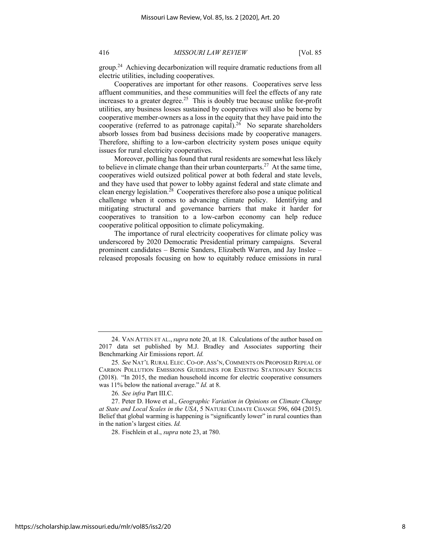group.24 Achieving decarbonization will require dramatic reductions from all electric utilities, including cooperatives.

Cooperatives are important for other reasons. Cooperatives serve less affluent communities, and these communities will feel the effects of any rate increases to a greater degree.<sup>25</sup> This is doubly true because unlike for-profit utilities, any business losses sustained by cooperatives will also be borne by cooperative member-owners as a loss in the equity that they have paid into the cooperative (referred to as patronage capital).<sup>26</sup> No separate shareholders absorb losses from bad business decisions made by cooperative managers. Therefore, shifting to a low-carbon electricity system poses unique equity issues for rural electricity cooperatives.

Moreover, polling has found that rural residents are somewhat less likely to believe in climate change than their urban counterparts.<sup>27</sup> At the same time, cooperatives wield outsized political power at both federal and state levels, and they have used that power to lobby against federal and state climate and clean energy legislation.<sup>28</sup> Cooperatives therefore also pose a unique political challenge when it comes to advancing climate policy. Identifying and mitigating structural and governance barriers that make it harder for cooperatives to transition to a low-carbon economy can help reduce cooperative political opposition to climate policymaking.

The importance of rural electricity cooperatives for climate policy was underscored by 2020 Democratic Presidential primary campaigns. Several prominent candidates – Bernie Sanders, Elizabeth Warren, and Jay Inslee – released proposals focusing on how to equitably reduce emissions in rural

<sup>24.</sup> VAN ATTEN ET AL.,*supra* note 20, at 18. Calculations of the author based on 2017 data set published by M.J. Bradley and Associates supporting their Benchmarking Air Emissions report. *Id.*

<sup>25</sup>*. See* NAT'L RURAL ELEC. CO-OP. ASS'N, COMMENTS ON PROPOSED REPEAL OF CARBON POLLUTION EMISSIONS GUIDELINES FOR EXISTING STATIONARY SOURCES (2018). "In 2015, the median household income for electric cooperative consumers was 11% below the national average." *Id.* at 8.

<sup>26</sup>*. See infra* Part III.C.

<sup>27.</sup> Peter D. Howe et al., *Geographic Variation in Opinions on Climate Change at State and Local Scales in the USA*, 5 NATURE CLIMATE CHANGE 596, 604 (2015). Belief that global warming is happening is "significantly lower" in rural counties than in the nation's largest cities. *Id.*

<sup>28.</sup> Fischlein et al., *supra* note 23, at 780.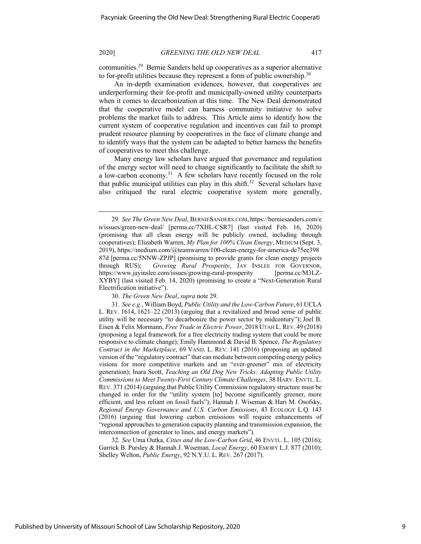communities.29 Bernie Sanders held up cooperatives as a superior alternative to for-profit utilities because they represent a form of public ownership.<sup>30</sup>

An in-depth examination evidences, however, that cooperatives are underperforming their for-profit and municipally-owned utility counterparts when it comes to decarbonization at this time. The New Deal demonstrated that the cooperative model can harness community initiative to solve problems the market fails to address. This Article aims to identify how the current system of cooperative regulation and incentives can fail to prompt prudent resource planning by cooperatives in the face of climate change and to identify ways that the system can be adapted to better harness the benefits of cooperatives to meet this challenge.

Many energy law scholars have argued that governance and regulation of the energy sector will need to change significantly to facilitate the shift to a low-carbon economy.<sup>31</sup> A few scholars have recently focused on the role that public municipal utilities can play in this shift.<sup>32</sup> Several scholars have also critiqued the rural electric cooperative system more generally,

30. *The Green New Deal*, *supra* note 29.

32*. See* Uma Outka, *Cities and the Low-Carbon Grid*, 46 ENVTL. L. 105 (2016); Garrick B. Pursley & Hannah J. Wiseman, *Local Energy*, 60 EMORY L.J. 877 (2010); Shelley Welton, *Public Energy*, 92 N.Y.U. L. REV. 267 (2017).

<sup>29</sup>*. See The Green New Deal*, BERNIESANDERS.COM, https://berniesanders.com/e n/issues/green-new-deal/ [perma.cc/7XHL-CSR7] (last visited Feb. 16, 2020) (promising that all clean energy will be publicly owned, including through cooperatives); Elizabeth Warren, *My Plan for 100% Clean Energy*, MEDIUM (Sept. 3, 2019), https://medium.com/@teamwarren/100-clean-energy-for-america-de75ee398 87d [perma.cc/5NNW-ZPJP] (promising to provide grants for clean energy projects through RUS); *Growing Rural Prosperity*, JAY INSLEE FOR GOVERNOR, https://www.jayinslee.com/issues/growing-rural-prosperity [perma.cc/M3LZ-XYBY] (last visited Feb. 14, 2020) (promising to create a "Next-Generation Rural Electrification initiative").

<sup>31</sup>*. See e.g.*, William Boyd, *Public Utility and the Low-Carbon Future*, 61 UCLA L. REV. 1614, 1621–22 (2013) (arguing that a revitalized and broad sense of public utility will be necessary "to decarbonize the power sector by midcentury"); Joel B. Eisen & Felix Mormann, *Free Trade in Electric Power*, 2018 UTAH L. REV. 49 (2018) (proposing a legal framework for a free electricity trading system that could be more responsive to climate change); Emily Hammond & David B. Spence, *The Regulatory Contract in the Marketplace*, 69 VAND. L. REV. 141 (2016) (proposing an updated version of the "regulatory contract" that can mediate between competing energy policy visions for more competitive markets and an "ever-greener" mix of electricity generation); Inara Scott, *Teaching an Old Dog New Tricks: Adapting Public Utility Commissions to Meet Twenty-First Century Climate Challenges*, 38 HARV. ENVTL. L. REV. 371 (2014) (arguing that Public Utility Commission regulatory structure must be changed in order for the "utility system [to] become significantly greener, more efficient, and less reliant on fossil fuels"); Hannah J. Wiseman & Hari M. Osofsky, *Regional Energy Governance and U.S. Carbon Emissions*, 43 ECOLOGY L.Q. 143 (2016) (arguing that lowering carbon emissions will require enhancements of "regional approaches to generation capacity planning and transmission expansion, the interconnection of generator to lines, and energy markets").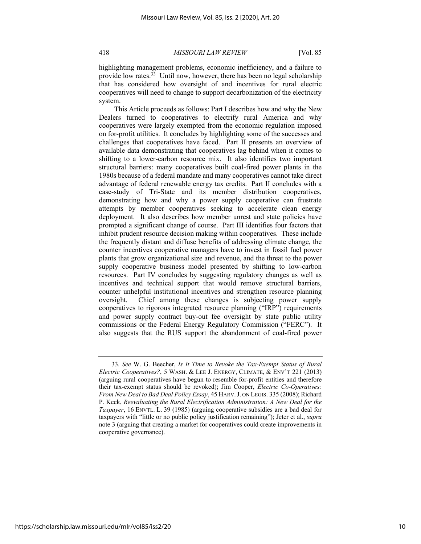highlighting management problems, economic inefficiency, and a failure to provide low rates.<sup>33</sup> Until now, however, there has been no legal scholarship that has considered how oversight of and incentives for rural electric cooperatives will need to change to support decarbonization of the electricity system.

This Article proceeds as follows: Part I describes how and why the New Dealers turned to cooperatives to electrify rural America and why cooperatives were largely exempted from the economic regulation imposed on for-profit utilities. It concludes by highlighting some of the successes and challenges that cooperatives have faced. Part II presents an overview of available data demonstrating that cooperatives lag behind when it comes to shifting to a lower-carbon resource mix. It also identifies two important structural barriers: many cooperatives built coal-fired power plants in the 1980s because of a federal mandate and many cooperatives cannot take direct advantage of federal renewable energy tax credits. Part II concludes with a case-study of Tri-State and its member distribution cooperatives, demonstrating how and why a power supply cooperative can frustrate attempts by member cooperatives seeking to accelerate clean energy deployment. It also describes how member unrest and state policies have prompted a significant change of course. Part III identifies four factors that inhibit prudent resource decision making within cooperatives. These include the frequently distant and diffuse benefits of addressing climate change, the counter incentives cooperative managers have to invest in fossil fuel power plants that grow organizational size and revenue, and the threat to the power supply cooperative business model presented by shifting to low-carbon resources. Part IV concludes by suggesting regulatory changes as well as incentives and technical support that would remove structural barriers, counter unhelpful institutional incentives and strengthen resource planning oversight. Chief among these changes is subjecting power supply cooperatives to rigorous integrated resource planning ("IRP") requirements and power supply contract buy-out fee oversight by state public utility commissions or the Federal Energy Regulatory Commission ("FERC"). It also suggests that the RUS support the abandonment of coal-fired power

<sup>33</sup>*. See* W. G. Beecher, *Is It Time to Revoke the Tax-Exempt Status of Rural Electric Cooperatives?*, 5 WASH. & LEE J. ENERGY, CLIMATE, & ENV'T 221 (2013) (arguing rural cooperatives have begun to resemble for-profit entities and therefore their tax-exempt status should be revoked); Jim Cooper, *Electric Co-Operatives: From New Deal to Bad Deal Policy Essay*, 45 HARV.J. ON LEGIS. 335 (2008); Richard P. Keck, *Reevaluating the Rural Electrification Administration: A New Deal for the Taxpayer*, 16 ENVTL. L. 39 (1985) (arguing cooperative subsidies are a bad deal for taxpayers with "little or no public policy justification remaining"); Jeter et al., *supra*  note 3 (arguing that creating a market for cooperatives could create improvements in cooperative governance).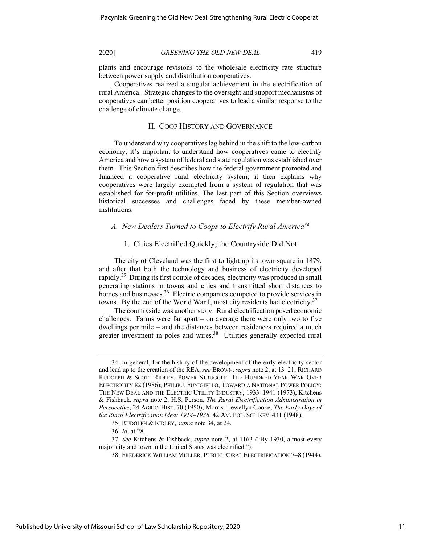plants and encourage revisions to the wholesale electricity rate structure between power supply and distribution cooperatives.

Cooperatives realized a singular achievement in the electrification of rural America. Strategic changes to the oversight and support mechanisms of cooperatives can better position cooperatives to lead a similar response to the challenge of climate change.

# II. COOP HISTORY AND GOVERNANCE

To understand why cooperatives lag behind in the shift to the low-carbon economy, it's important to understand how cooperatives came to electrify America and how a system of federal and state regulation was established over them. This Section first describes how the federal government promoted and financed a cooperative rural electricity system; it then explains why cooperatives were largely exempted from a system of regulation that was established for for-profit utilities. The last part of this Section overviews historical successes and challenges faced by these member-owned institutions.

# *A. New Dealers Turned to Coops to Electrify Rural America34*

# 1. Cities Electrified Quickly; the Countryside Did Not

The city of Cleveland was the first to light up its town square in 1879, and after that both the technology and business of electricity developed rapidly.35 During its first couple of decades, electricity was produced in small generating stations in towns and cities and transmitted short distances to homes and businesses.<sup>36</sup> Electric companies competed to provide services in towns. By the end of the World War I, most city residents had electricity.<sup>37</sup>

The countryside was another story. Rural electrification posed economic challenges. Farms were far apart – on average there were only two to five dwellings per mile – and the distances between residences required a much greater investment in poles and wires.<sup>38</sup> Utilities generally expected rural

<sup>34.</sup> In general, for the history of the development of the early electricity sector and lead up to the creation of the REA, *see* BROWN, *supra* note 2, at 13–21; RICHARD RUDOLPH & SCOTT RIDLEY, POWER STRUGGLE: THE HUNDRED-YEAR WAR OVER ELECTRICITY 82 (1986); PHILIP J. FUNIGIELLO, TOWARD A NATIONAL POWER POLICY: THE NEW DEAL AND THE ELECTRIC UTILITY INDUSTRY, 1933–1941 (1973); Kitchens & Fishback, *supra* note 2; H.S. Person, *The Rural Electrification Administration in Perspective*, 24 AGRIC. HIST. 70 (1950); Morris Llewellyn Cooke, *The Early Days of the Rural Electrification Idea: 1914–1936*, 42 AM. POL. SCI. REV. 431 (1948).

<sup>35.</sup> RUDOLPH & RIDLEY, *supra* note 34, at 24.

<sup>36</sup>*. Id.* at 28.

<sup>37</sup>*. See* Kitchens & Fishback, *supra* note 2, at 1163 ("By 1930, almost every major city and town in the United States was electrified.").

<sup>38.</sup> FREDERICK WILLIAM MULLER, PUBLIC RURAL ELECTRIFICATION 7–8 (1944).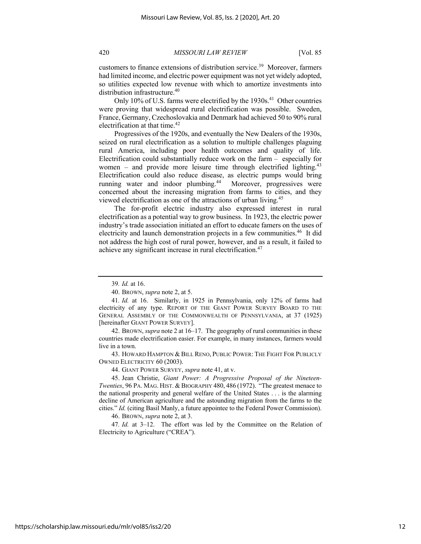customers to finance extensions of distribution service.<sup>39</sup> Moreover, farmers had limited income, and electric power equipment was not yet widely adopted, so utilities expected low revenue with which to amortize investments into distribution infrastructure.<sup>40</sup>

Only 10% of U.S. farms were electrified by the  $1930s<sup>41</sup>$  Other countries were proving that widespread rural electrification was possible. Sweden, France, Germany, Czechoslovakia and Denmark had achieved 50 to 90% rural electrification at that time.<sup>42</sup>

Progressives of the 1920s, and eventually the New Dealers of the 1930s, seized on rural electrification as a solution to multiple challenges plaguing rural America, including poor health outcomes and quality of life. Electrification could substantially reduce work on the farm – especially for women – and provide more leisure time through electrified lighting.<sup>43</sup> Electrification could also reduce disease, as electric pumps would bring running water and indoor plumbing.<sup>44</sup> Moreover, progressives were concerned about the increasing migration from farms to cities, and they viewed electrification as one of the attractions of urban living.45

The for-profit electric industry also expressed interest in rural electrification as a potential way to grow business. In 1923, the electric power industry's trade association initiated an effort to educate famers on the uses of electricity and launch demonstration projects in a few communities.<sup>46</sup> It did not address the high cost of rural power, however, and as a result, it failed to achieve any significant increase in rural electrification.<sup>47</sup>

43. HOWARD HAMPTON & BILL RENO, PUBLIC POWER: THE FIGHT FOR PUBLICLY OWNED ELECTRICITY 60 (2003).

44. GIANT POWER SURVEY, *supra* note 41, at v.

45. Jean Christie, *Giant Power: A Progressive Proposal of the Nineteen-Twenties*, 96 PA. MAG. HIST. & BIOGRAPHY 480, 486 (1972). "The greatest menace to the national prosperity and general welfare of the United States . . . is the alarming decline of American agriculture and the astounding migration from the farms to the cities." *Id.* (citing Basil Manly, a future appointee to the Federal Power Commission).

46. BROWN, *supra* note 2, at 3.

47*. Id.* at 3–12. The effort was led by the Committee on the Relation of Electricity to Agriculture ("CREA").

<sup>39</sup>*. Id.* at 16.

<sup>40.</sup> BROWN, *supra* note 2, at 5.

<sup>41</sup>*. Id.* at 16. Similarly, in 1925 in Pennsylvania, only 12% of farms had electricity of any type. REPORT OF THE GIANT POWER SURVEY BOARD TO THE GENERAL ASSEMBLY OF THE COMMONWEALTH OF PENNSYLVANIA, at 37 (1925) [hereinafter GIANT POWER SURVEY].

<sup>42.</sup> BROWN, *supra* note 2 at 16–17. The geography of rural communities in these countries made electrification easier. For example, in many instances, farmers would live in a town.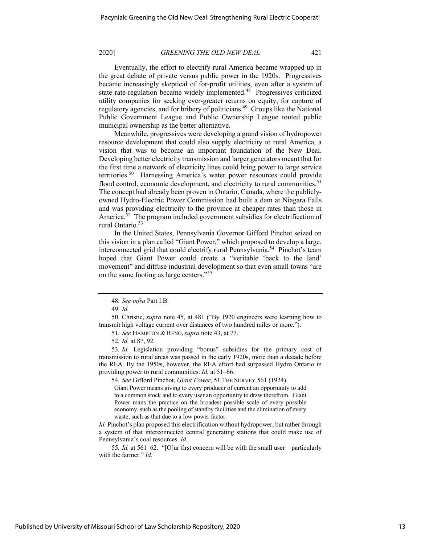Eventually, the effort to electrify rural America became wrapped up in the great debate of private versus public power in the 1920s. Progressives became increasingly skeptical of for-profit utilities, even after a system of state rate-regulation became widely implemented.<sup>48</sup> Progressives criticized utility companies for seeking ever-greater returns on equity, for capture of regulatory agencies, and for bribery of politicians.49 Groups like the National Public Government League and Public Ownership League touted public municipal ownership as the better alternative.

Meanwhile, progressives were developing a grand vision of hydropower resource development that could also supply electricity to rural America, a vision that was to become an important foundation of the New Deal. Developing better electricity transmission and larger generators meant that for the first time a network of electricity lines could bring power to large service territories.50 Harnessing America's water power resources could provide flood control, economic development, and electricity to rural communities.<sup>51</sup> The concept had already been proven in Ontario, Canada, where the publiclyowned Hydro-Electric Power Commission had built a dam at Niagara Falls and was providing electricity to the province at cheaper rates than those in America.<sup>52</sup> The program included government subsidies for electrification of rural Ontario.<sup>53</sup>

In the United States, Pennsylvania Governor Gifford Pinchot seized on this vision in a plan called "Giant Power," which proposed to develop a large, interconnected grid that could electrify rural Pennsylvania.54 Pinchot's team hoped that Giant Power could create a "veritable 'back to the land' movement" and diffuse industrial development so that even small towns "are on the same footing as large centers."55

50. Christie, *supra* note 45, at 481 ("By 1920 engineers were learning how to transmit high voltage current over distances of two hundred miles or more.").

51*. See* HAMPTON & RENO,*supra* note 43, at 77.

52*. Id.* at 87, 92.

53*. Id.* Legislation providing "bonus" subsidies for the primary cost of transmission to rural areas was passed in the early 1920s, more than a decade before the REA. By the 1950s, however, the REA effort had surpassed Hydro Ontario in providing power to rural communities. *Id.* at 51–66.

54*. See* Gifford Pinchot, *Giant Power*, 51 THE SURVEY 561 (1924). Giant Power means giving to every producer of current an opportunity to add to a common stock and to every user an opportunity to draw therefrom. Giant Power mans the practice on the broadest possible scale of every possible economy, such as the pooling of standby facilities and the elimination of every waste, such as that due to a low power factor.

*Id.* Pinchot's plan proposed this electrification without hydropower, but rather through a system of that interconnected central generating stations that could make use of Pennsylvania's coal resources. *Id.*

55*. Id.* at 561–62. "[O]ur first concern will be with the small user – particularly with the farmer." *Id.*

<sup>48</sup>*. See infra* Part I.B.

<sup>49</sup>*. Id.*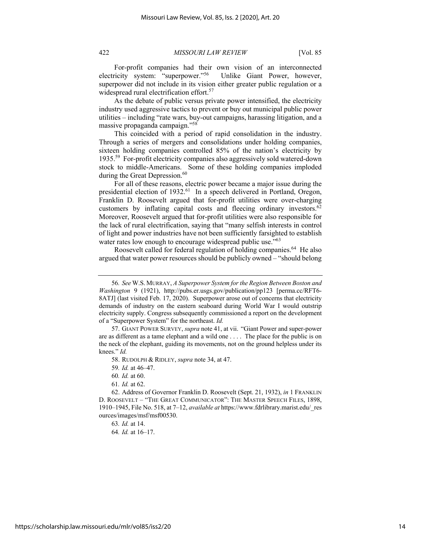For-profit companies had their own vision of an interconnected electricity system: "superpower."56 Unlike Giant Power, however, superpower did not include in its vision either greater public regulation or a widespread rural electrification effort.<sup>57</sup>

As the debate of public versus private power intensified, the electricity industry used aggressive tactics to prevent or buy out municipal public power utilities – including "rate wars, buy-out campaigns, harassing litigation, and a massive propaganda campaign."58

This coincided with a period of rapid consolidation in the industry. Through a series of mergers and consolidations under holding companies, sixteen holding companies controlled 85% of the nation's electricity by 1935.59 For-profit electricity companies also aggressively sold watered-down stock to middle-Americans. Some of these holding companies imploded during the Great Depression.<sup>60</sup>

For all of these reasons, electric power became a major issue during the presidential election of 1932.<sup>61</sup> In a speech delivered in Portland, Oregon, Franklin D. Roosevelt argued that for-profit utilities were over-charging customers by inflating capital costs and fleecing ordinary investors. $62$ Moreover, Roosevelt argued that for-profit utilities were also responsible for the lack of rural electrification, saying that "many selfish interests in control of light and power industries have not been sufficiently farsighted to establish water rates low enough to encourage widespread public use."<sup>63</sup>

Roosevelt called for federal regulation of holding companies.<sup>64</sup> He also argued that water power resources should be publicly owned – "should belong

<sup>56</sup>*. See* W.S. MURRAY, *A Superpower System for the Region Between Boston and Washington* 9 (1921), http://pubs.er.usgs.gov/publication/pp123 [perma.cc/RFT6- 8ATJ] (last visited Feb. 17, 2020). Superpower arose out of concerns that electricity demands of industry on the eastern seaboard during World War I would outstrip electricity supply. Congress subsequently commissioned a report on the development of a "Superpower System" for the northeast. *Id.*

<sup>57.</sup> GIANT POWER SURVEY, *supra* note 41, at vii."Giant Power and super-power are as different as a tame elephant and a wild one . . . . The place for the public is on the neck of the elephant, guiding its movements, not on the ground helpless under its knees." *Id.*

<sup>58.</sup> RUDOLPH & RIDLEY, *supra* note 34, at 47.

<sup>59</sup>*. Id.* at 46–47.

<sup>60</sup>*. Id.* at 60.

<sup>61</sup>*. Id.* at 62.

<sup>62.</sup> Address of Governor Franklin D. Roosevelt (Sept. 21, 1932), *in* 1 FRANKLIN D. ROOSEVELT – "THE GREAT COMMUNICATOR": THE MASTER SPEECH FILES, 1898, 1910–1945, File No. 518, at 7–12, *available at* https://www.fdrlibrary.marist.edu/\_res ources/images/msf/msf00530.

<sup>63</sup>*. Id.* at 14.

<sup>64</sup>*. Id.* at 16–17.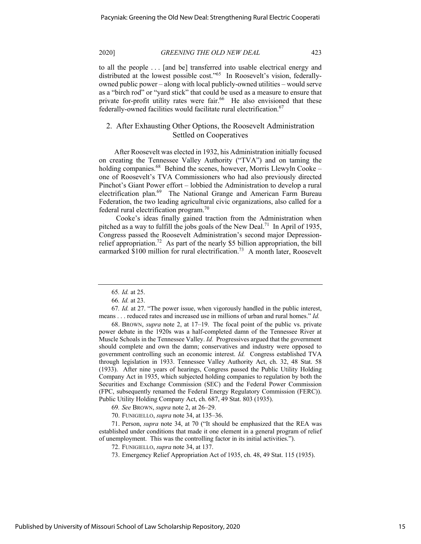to all the people . . . [and be] transferred into usable electrical energy and distributed at the lowest possible cost."<sup>65</sup> In Roosevelt's vision, federallyowned public power – along with local publicly-owned utilities – would serve as a "birch rod" or "yard stick" that could be used as a measure to ensure that private for-profit utility rates were fair.<sup>66</sup> He also envisioned that these federally-owned facilities would facilitate rural electrification.<sup>67</sup>

# 2. After Exhausting Other Options, the Roosevelt Administration Settled on Cooperatives

After Roosevelt was elected in 1932, his Administration initially focused on creating the Tennessee Valley Authority ("TVA") and on taming the holding companies.<sup>68</sup> Behind the scenes, however, Morris Llewyln Cooke – one of Roosevelt's TVA Commissioners who had also previously directed Pinchot's Giant Power effort – lobbied the Administration to develop a rural electrification plan.<sup>69</sup> The National Grange and American Farm Bureau Federation, the two leading agricultural civic organizations, also called for a federal rural electrification program.<sup>70</sup>

Cooke's ideas finally gained traction from the Administration when pitched as a way to fulfill the jobs goals of the New Deal.<sup>71</sup> In April of 1935, Congress passed the Roosevelt Administration's second major Depressionrelief appropriation.<sup>72</sup> As part of the nearly \$5 billion appropriation, the bill earmarked \$100 million for rural electrification.<sup>73</sup> A month later, Roosevelt

68. BROWN, *supra* note 2, at 17–19. The focal point of the public vs. private power debate in the 1920s was a half-completed damn of the Tennessee River at Muscle Schoals in the Tennessee Valley. *Id.* Progressives argued that the government should complete and own the damn; conservatives and industry were opposed to government controlling such an economic interest. *Id.* Congress established TVA through legislation in 1933. Tennessee Valley Authority Act, ch. 32, 48 Stat. 58 (1933). After nine years of hearings, Congress passed the Public Utility Holding Company Act in 1935, which subjected holding companies to regulation by both the Securities and Exchange Commission (SEC) and the Federal Power Commission (FPC, subsequently renamed the Federal Energy Regulatory Commission (FERC)). Public Utility Holding Company Act, ch. 687, 49 Stat. 803 (1935).

69*. See* BROWN, *supra* note 2, at 26–29.

71. Person, *supra* note 34, at 70 ("It should be emphasized that the REA was established under conditions that made it one element in a general program of relief of unemployment. This was the controlling factor in its initial activities.").

72. FUNIGIELLO, *supra* note 34, at 137.

<sup>65</sup>*. Id.* at 25.

<sup>66</sup>*. Id.* at 23.

<sup>67</sup>*. Id.* at 27. "The power issue, when vigorously handled in the public interest, means . . . reduced rates and increased use in millions of urban and rural homes." *Id.*

<sup>70.</sup> FUNIGIELLO, *supra* note 34, at 135–36.

<sup>73.</sup> Emergency Relief Appropriation Act of 1935, ch. 48, 49 Stat. 115 (1935).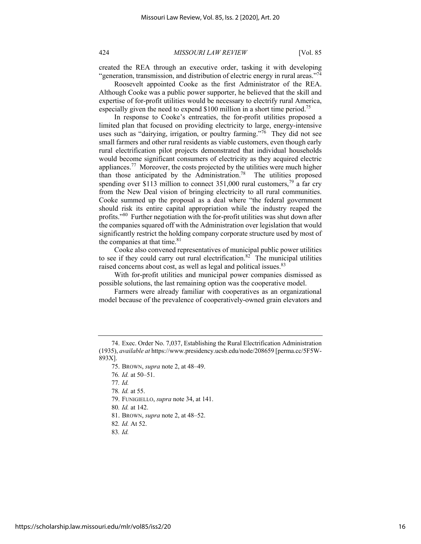created the REA through an executive order, tasking it with developing "generation, transmission, and distribution of electric energy in rural areas."<sup>74</sup>

Roosevelt appointed Cooke as the first Administrator of the REA. Although Cooke was a public power supporter, he believed that the skill and expertise of for-profit utilities would be necessary to electrify rural America, especially given the need to expend \$100 million in a short time period.<sup>75</sup>

In response to Cooke's entreaties, the for-profit utilities proposed a limited plan that focused on providing electricity to large, energy-intensive uses such as "dairying, irrigation, or poultry farming."<sup>76</sup> They did not see small farmers and other rural residents as viable customers, even though early rural electrification pilot projects demonstrated that individual households would become significant consumers of electricity as they acquired electric appliances.77 Moreover, the costs projected by the utilities were much higher than those anticipated by the Administration.<sup>78</sup> The utilities proposed spending over \$113 million to connect  $351,000$  rural customers,<sup>79</sup> a far cry from the New Deal vision of bringing electricity to all rural communities. Cooke summed up the proposal as a deal where "the federal government should risk its entire capital appropriation while the industry reaped the profits."80 Further negotiation with the for-profit utilities was shut down after the companies squared off with the Administration over legislation that would significantly restrict the holding company corporate structure used by most of the companies at that time. $81$ 

Cooke also convened representatives of municipal public power utilities to see if they could carry out rural electrification.<sup>82</sup> The municipal utilities raised concerns about cost, as well as legal and political issues.<sup>83</sup>

With for-profit utilities and municipal power companies dismissed as possible solutions, the last remaining option was the cooperative model.

Farmers were already familiar with cooperatives as an organizational model because of the prevalence of cooperatively-owned grain elevators and

- 81. BROWN, *supra* note 2, at 48–52.
- 82*. Id.* At 52.
- 83*. Id.*

<sup>74.</sup> Exec. Order No. 7,037, Establishing the Rural Electrification Administration (1935), *available at* https://www.presidency.ucsb.edu/node/208659 [perma.cc/5F5W-893X].

<sup>75.</sup> BROWN, *supra* note 2, at 48–49.

<sup>76</sup>*. Id.* at 50–51.

<sup>77</sup>*. Id.*

<sup>78</sup>*. Id.* at 55.

<sup>79.</sup> FUNIGIELLO, *supra* note 34, at 141.

<sup>80</sup>*. Id.* at 142.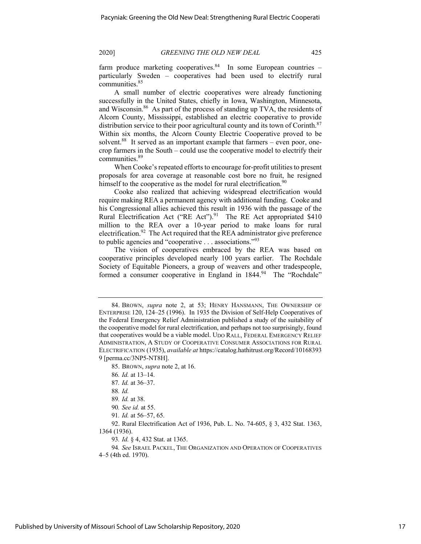farm produce marketing cooperatives. $84$  In some European countries particularly Sweden – cooperatives had been used to electrify rural communities.85

A small number of electric cooperatives were already functioning successfully in the United States, chiefly in Iowa, Washington, Minnesota, and Wisconsin.<sup>86</sup> As part of the process of standing up TVA, the residents of Alcorn County, Mississippi, established an electric cooperative to provide distribution service to their poor agricultural county and its town of Corinth.<sup>87</sup> Within six months, the Alcorn County Electric Cooperative proved to be solvent.<sup>88</sup> It served as an important example that farmers – even poor, onecrop farmers in the South – could use the cooperative model to electrify their communities.89

When Cooke's repeated efforts to encourage for-profit utilities to present proposals for area coverage at reasonable cost bore no fruit, he resigned himself to the cooperative as the model for rural electrification.<sup>90</sup>

Cooke also realized that achieving widespread electrification would require making REA a permanent agency with additional funding. Cooke and his Congressional allies achieved this result in 1936 with the passage of the Rural Electrification Act ("RE Act"). $91$  The RE Act appropriated \$410 million to the REA over a 10-year period to make loans for rural electrification.<sup>92</sup> The Act required that the REA administrator give preference to public agencies and "cooperative . . . associations."<sup>93</sup>

The vision of cooperatives embraced by the REA was based on cooperative principles developed nearly 100 years earlier. The Rochdale Society of Equitable Pioneers, a group of weavers and other tradespeople, formed a consumer cooperative in England in 1844.<sup>94</sup> The "Rochdale"

- 86*. Id.* at 13–14.
- 87*. Id.* at 36–37.

- 90*. See id.* at 55.
- 91*. Id.* at 56–57, 65.

92. Rural Electrification Act of 1936, Pub. L. No. 74-605, § 3, 432 Stat. 1363, 1364 (1936).

93*. Id.* § 4, 432 Stat. at 1365.

94*. See* ISRAEL PACKEL, THE ORGANIZATION AND OPERATION OF COOPERATIVES 4–5 (4th ed. 1970).

<sup>84.</sup> BROWN, *supra* note 2, at 53; HENRY HANSMANN, THE OWNERSHIP OF ENTERPRISE 120, 124–25 (1996). In 1935 the Division of Self-Help Cooperatives of the Federal Emergency Relief Administration published a study of the suitability of the cooperative model for rural electrification, and perhaps not too surprisingly, found that cooperatives would be a viable model. UDO RALL, FEDERAL EMERGENCY RELIEF ADMINISTRATION, A STUDY OF COOPERATIVE CONSUMER ASSOCIATIONS FOR RURAL ELECTRIFICATION (1935), *available at* https://catalog.hathitrust.org/Record/10168393 9 [perma.cc/3NP5-NT8H].

<sup>85.</sup> BROWN, *supra* note 2, at 16.

<sup>88</sup>*. Id.*

<sup>89</sup>*. Id.* at 38.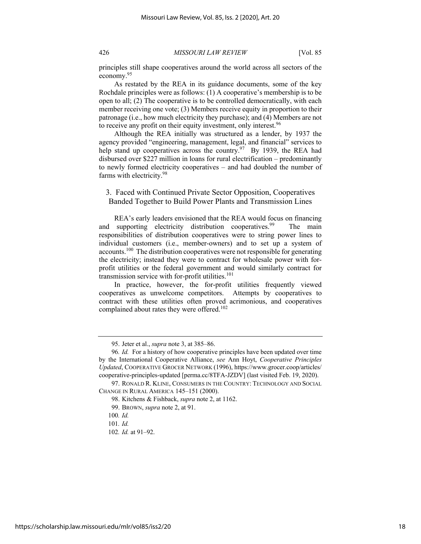principles still shape cooperatives around the world across all sectors of the economy.95

As restated by the REA in its guidance documents, some of the key Rochdale principles were as follows: (1) A cooperative's membership is to be open to all; (2) The cooperative is to be controlled democratically, with each member receiving one vote; (3) Members receive equity in proportion to their patronage (i.e., how much electricity they purchase); and (4) Members are not to receive any profit on their equity investment, only interest.<sup>96</sup>

Although the REA initially was structured as a lender, by 1937 the agency provided "engineering, management, legal, and financial" services to help stand up cooperatives across the country.<sup>97</sup> By 1939, the REA had disbursed over \$227 million in loans for rural electrification – predominantly to newly formed electricity cooperatives – and had doubled the number of farms with electricity.<sup>98</sup>

# 3. Faced with Continued Private Sector Opposition, Cooperatives Banded Together to Build Power Plants and Transmission Lines

REA's early leaders envisioned that the REA would focus on financing and supporting electricity distribution cooperatives.<sup>99</sup> The main responsibilities of distribution cooperatives were to string power lines to individual customers (i.e., member-owners) and to set up a system of accounts.100 The distribution cooperatives were not responsible for generating the electricity; instead they were to contract for wholesale power with forprofit utilities or the federal government and would similarly contract for transmission service with for-profit utilities. $101$ 

In practice, however, the for-profit utilities frequently viewed cooperatives as unwelcome competitors. Attempts by cooperatives to contract with these utilities often proved acrimonious, and cooperatives complained about rates they were offered.<sup>102</sup>

<sup>95.</sup> Jeter et al., *supra* note 3, at 385–86.

<sup>96</sup>*. Id.* For a history of how cooperative principles have been updated over time by the International Cooperative Alliance, *see* Ann Hoyt, *Cooperative Principles Updated*, COOPERATIVE GROCER NETWORK (1996), https://www.grocer.coop/articles/ cooperative-principles-updated [perma.cc/8TFA-JZDV] (last visited Feb. 19, 2020).

<sup>97.</sup> RONALD R. KLINE, CONSUMERS IN THE COUNTRY: TECHNOLOGY AND SOCIAL CHANGE IN RURAL AMERICA 145–151 (2000).

<sup>98.</sup> Kitchens & Fishback, *supra* note 2, at 1162.

<sup>99.</sup> BROWN, *supra* note 2, at 91.

<sup>100</sup>*. Id.*

<sup>101</sup>*. Id.*

<sup>102</sup>*. Id.* at 91–92.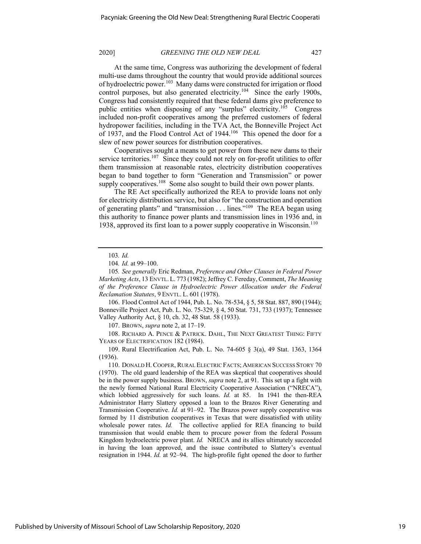At the same time, Congress was authorizing the development of federal multi-use dams throughout the country that would provide additional sources of hydroelectric power.<sup>103</sup> Many dams were constructed for irrigation or flood control purposes, but also generated electricity.<sup>104</sup> Since the early 1900s, Congress had consistently required that these federal dams give preference to public entities when disposing of any "surplus" electricity.<sup>105</sup> Congress included non-profit cooperatives among the preferred customers of federal hydropower facilities, including in the TVA Act, the Bonneville Project Act of 1937, and the Flood Control Act of 1944.<sup>106</sup> This opened the door for a slew of new power sources for distribution cooperatives.

Cooperatives sought a means to get power from these new dams to their service territories.<sup>107</sup> Since they could not rely on for-profit utilities to offer them transmission at reasonable rates, electricity distribution cooperatives began to band together to form "Generation and Transmission" or power supply cooperatives.<sup>108</sup> Some also sought to build their own power plants.

The RE Act specifically authorized the REA to provide loans not only for electricity distribution service, but also for "the construction and operation of generating plants" and "transmission . . . lines."<sup>109</sup> The REA began using this authority to finance power plants and transmission lines in 1936 and, in 1938, approved its first loan to a power supply cooperative in Wisconsin.<sup>110</sup>

105*. See generally* Eric Redman, *Preference and Other Clauses in Federal Power Marketing Acts*, 13 ENVTL. L. 773 (1982); Jeffrey C. Fereday, Comment, *The Meaning of the Preference Clause in Hydroelectric Power Allocation under the Federal Reclamation Statutes*, 9 ENVTL. L. 601 (1978).

106. Flood Control Act of 1944, Pub. L. No. 78-534, § 5, 58 Stat. 887, 890 (1944); Bonneville Project Act, Pub. L. No. 75-329, § 4, 50 Stat. 731, 733 (1937); Tennessee Valley Authority Act, § 10, ch. 32, 48 Stat. 58 (1933).

107. BROWN, *supra* note 2, at 17–19.

108. RICHARD A. PENCE & PATRICK. DAHL, THE NEXT GREATEST THING: FIFTY YEARS OF ELECTRIFICATION 182 (1984).

109. Rural Electrification Act, Pub. L. No. 74-605 § 3(a), 49 Stat. 1363, 1364 (1936).

110. DONALD H.COOPER, RURAL ELECTRIC FACTS; AMERICAN SUCCESS STORY 70 (1970). The old guard leadership of the REA was skeptical that cooperatives should be in the power supply business. BROWN, *supra* note 2, at 91. This set up a fight with the newly formed National Rural Electricity Cooperative Association ("NRECA"), which lobbied aggressively for such loans. *Id.* at 85. In 1941 the then-REA Administrator Harry Slattery opposed a loan to the Brazos River Generating and Transmission Cooperative. *Id.* at 91–92. The Brazos power supply cooperative was formed by 11 distribution cooperatives in Texas that were dissatisfied with utility wholesale power rates. *Id.* The collective applied for REA financing to build transmission that would enable them to procure power from the federal Possum Kingdom hydroelectric power plant. *Id.* NRECA and its allies ultimately succeeded in having the loan approved, and the issue contributed to Slattery's eventual resignation in 1944. *Id.* at 92–94. The high-profile fight opened the door to further

<sup>103</sup>*. Id.*

<sup>104</sup>*. Id.* at 99–100.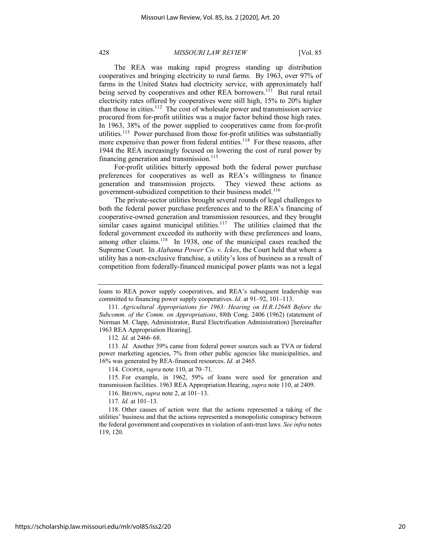The REA was making rapid progress standing up distribution cooperatives and bringing electricity to rural farms. By 1963, over 97% of farms in the United States had electricity service, with approximately half being served by cooperatives and other REA borrowers.<sup>111</sup> But rural retail electricity rates offered by cooperatives were still high, 15% to 20% higher than those in cities.<sup>112</sup> The cost of wholesale power and transmission service procured from for-profit utilities was a major factor behind those high rates. In 1963, 38% of the power supplied to cooperatives came from for-profit utilities.<sup>113</sup> Power purchased from those for-profit utilities was substantially more expensive than power from federal entities.<sup>114</sup> For these reasons, after 1944 the REA increasingly focused on lowering the cost of rural power by financing generation and transmission.<sup>115</sup>

For-profit utilities bitterly opposed both the federal power purchase preferences for cooperatives as well as REA's willingness to finance generation and transmission projects. They viewed these actions as government-subsidized competition to their business model.<sup>116</sup>

The private-sector utilities brought several rounds of legal challenges to both the federal power purchase preferences and to the REA's financing of cooperative-owned generation and transmission resources, and they brought similar cases against municipal utilities.<sup>117</sup> The utilities claimed that the federal government exceeded its authority with these preferences and loans, among other claims.<sup>118</sup> In 1938, one of the municipal cases reached the Supreme Court. In *Alabama Power Co. v. Ickes*, the Court held that where a utility has a non-exclusive franchise, a utility's loss of business as a result of competition from federally-financed municipal power plants was not a legal

112*. Id.* at 2466–68.

113*. Id.* Another 39% came from federal power sources such as TVA or federal power marketing agencies, 7% from other public agencies like municipalities, and 16% was generated by REA-financed resources. *Id.* at 2465.

114. COOPER,*supra* note 110, at 70–71.

115. For example, in 1962, 59% of loans were used for generation and transmission facilities. 1963 REA Appropriation Hearing, *supra* note 110, at 2409.

116. BROWN, *supra* note 2, at 101–13.

117*. Id.* at 101–13.

loans to REA power supply cooperatives, and REA's subsequent leadership was committed to financing power supply cooperatives. *Id.* at 91–92, 101–113.

<sup>111</sup>*. Agricultural Appropriations for 1963: Hearing on H.R.12648 Before the Subcomm. of the Comm. on Appropriations*, 88th Cong. 2406 (1962) (statement of Norman M. Clapp, Administrator, Rural Electrification Administration) [hereinafter 1963 REA Appropriation Hearing].

<sup>118.</sup> Other causes of action were that the actions represented a taking of the utilities' business and that the actions represented a monopolistic conspiracy between the federal government and cooperatives in violation of anti-trust laws. *See infra* notes 119, 120.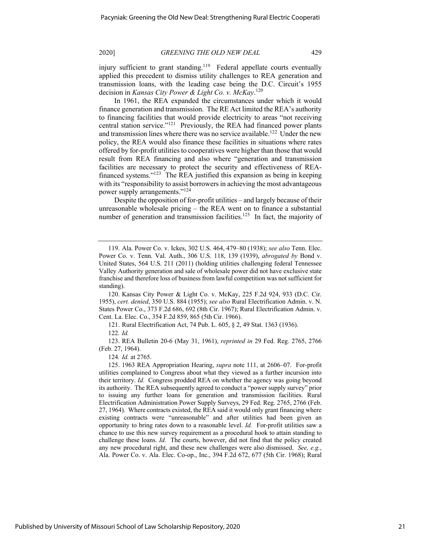injury sufficient to grant standing.<sup>119</sup> Federal appellate courts eventually applied this precedent to dismiss utility challenges to REA generation and transmission loans, with the leading case being the D.C. Circuit's 1955 decision in *Kansas City Power & Light Co. v. McKay*. 120

In 1961, the REA expanded the circumstances under which it would finance generation and transmission. The RE Act limited the REA's authority to financing facilities that would provide electricity to areas "not receiving central station service."121 Previously, the REA had financed power plants and transmission lines where there was no service available.<sup>122</sup> Under the new policy, the REA would also finance these facilities in situations where rates offered by for-profit utilities to cooperatives were higher than those that would result from REA financing and also where "generation and transmission facilities are necessary to protect the security and effectiveness of REAfinanced systems."123 The REA justified this expansion as being in keeping with its "responsibility to assist borrowers in achieving the most advantageous power supply arrangements."<sup>124</sup>

Despite the opposition of for-profit utilities – and largely because of their unreasonable wholesale pricing – the REA went on to finance a substantial number of generation and transmission facilities.<sup>125</sup> In fact, the majority of

120. Kansas City Power & Light Co. v. McKay, 225 F.2d 924, 933 (D.C. Cir. 1955), *cert. denied*, 350 U.S. 884 (1955); *see also* Rural Electrification Admin. v. N. States Power Co., 373 F.2d 686, 692 (8th Cir. 1967); Rural Electrification Admin. v. Cent. La. Elec. Co., 354 F.2d 859, 865 (5th Cir. 1966).

121. Rural Electrification Act, 74 Pub. L. 605, § 2, 49 Stat. 1363 (1936).

123. REA Bulletin 20-6 (May 31, 1961), *reprinted in* 29 Fed. Reg. 2765, 2766 (Feb. 27, 1964).

124*. Id.* at 2765.

125. 1963 REA Appropriation Hearing, *supra* note 111, at 2606–07. For-profit utilities complained to Congress about what they viewed as a further incursion into their territory. *Id.* Congress prodded REA on whether the agency was going beyond its authority. The REA subsequently agreed to conduct a "power supply survey" prior to issuing any further loans for generation and transmission facilities. Rural Electrification Administration Power Supply Surveys, 29 Fed. Reg. 2765, 2766 (Feb. 27, 1964). Where contracts existed, the REA said it would only grant financing where existing contracts were "unreasonable" and after utilities had been given an opportunity to bring rates down to a reasonable level. *Id.* For-profit utilities saw a chance to use this new survey requirement as a procedural hook to attain standing to challenge these loans. *Id.* The courts, however, did not find that the policy created any new procedural right, and these new challenges were also dismissed. *See, e.g.*, Ala. Power Co. v. Ala. Elec. Co-op., Inc., 394 F.2d 672, 677 (5th Cir. 1968); Rural

<sup>119.</sup> Ala. Power Co. v. Ickes, 302 U.S. 464, 479–80 (1938); *see also* Tenn. Elec. Power Co. v. Tenn. Val. Auth., 306 U.S. 118, 139 (1939), *abrogated by* Bond v. United States, 564 U.S. 211 (2011) (holding utilities challenging federal Tennessee Valley Authority generation and sale of wholesale power did not have exclusive state franchise and therefore loss of business from lawful competition was not sufficient for standing).

<sup>122</sup>*. Id.*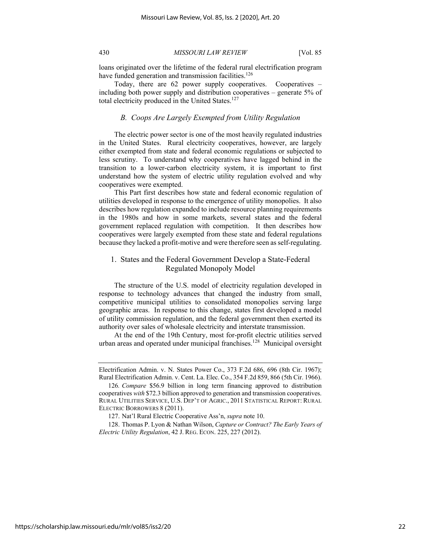loans originated over the lifetime of the federal rural electrification program have funded generation and transmission facilities. $126$ 

Today, there are 62 power supply cooperatives. Cooperatives – including both power supply and distribution cooperatives – generate 5% of total electricity produced in the United States.<sup>127</sup>

# *B. Coops Are Largely Exempted from Utility Regulation*

The electric power sector is one of the most heavily regulated industries in the United States. Rural electricity cooperatives, however, are largely either exempted from state and federal economic regulations or subjected to less scrutiny. To understand why cooperatives have lagged behind in the transition to a lower-carbon electricity system, it is important to first understand how the system of electric utility regulation evolved and why cooperatives were exempted.

This Part first describes how state and federal economic regulation of utilities developed in response to the emergence of utility monopolies. It also describes how regulation expanded to include resource planning requirements in the 1980s and how in some markets, several states and the federal government replaced regulation with competition. It then describes how cooperatives were largely exempted from these state and federal regulations because they lacked a profit-motive and were therefore seen as self-regulating.

# 1. States and the Federal Government Develop a State-Federal Regulated Monopoly Model

The structure of the U.S. model of electricity regulation developed in response to technology advances that changed the industry from small, competitive municipal utilities to consolidated monopolies serving large geographic areas. In response to this change, states first developed a model of utility commission regulation, and the federal government then exerted its authority over sales of wholesale electricity and interstate transmission.

At the end of the 19th Century, most for-profit electric utilities served urban areas and operated under municipal franchises.<sup>128</sup> Municipal oversight

Electrification Admin. v. N. States Power Co., 373 F.2d 686, 696 (8th Cir. 1967); Rural Electrification Admin. v. Cent. La. Elec. Co., 354 F.2d 859, 866 (5th Cir. 1966).

<sup>126</sup>*. Compare* \$56.9 billion in long term financing approved to distribution cooperatives *with* \$72.3 billion approved to generation and transmission cooperatives. RURAL UTILITIES SERVICE, U.S. DEP'T OF AGRIC., 2011 STATISTICAL REPORT: RURAL ELECTRIC BORROWERS 8 (2011).

<sup>127.</sup> Nat'l Rural Electric Cooperative Ass'n, *supra* note 10.

<sup>128.</sup> Thomas P. Lyon & Nathan Wilson, *Capture or Contract? The Early Years of Electric Utility Regulation*, 42 J. REG. ECON. 225, 227 (2012).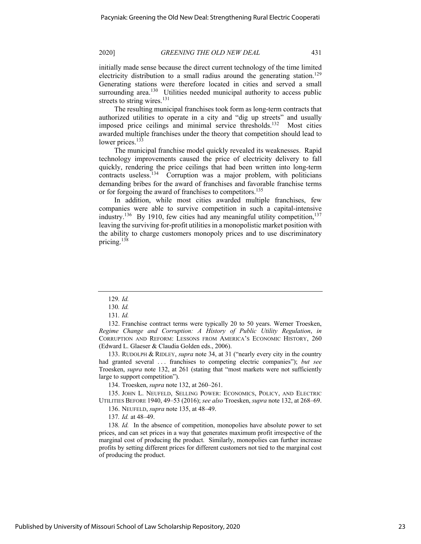initially made sense because the direct current technology of the time limited electricity distribution to a small radius around the generating station.<sup>129</sup> Generating stations were therefore located in cities and served a small surrounding area.<sup>130</sup> Utilities needed municipal authority to access public streets to string wires.<sup>131</sup>

The resulting municipal franchises took form as long-term contracts that authorized utilities to operate in a city and "dig up streets" and usually imposed price ceilings and minimal service thresholds.<sup>132</sup> Most cities awarded multiple franchises under the theory that competition should lead to lower prices. $13\overline{3}$ 

The municipal franchise model quickly revealed its weaknesses. Rapid technology improvements caused the price of electricity delivery to fall quickly, rendering the price ceilings that had been written into long-term contracts useless.<sup>134</sup> Corruption was a major problem, with politicians demanding bribes for the award of franchises and favorable franchise terms or for forgoing the award of franchises to competitors.<sup>135</sup>

In addition, while most cities awarded multiple franchises, few companies were able to survive competition in such a capital-intensive industry.<sup>136</sup> By 1910, few cities had any meaningful utility competition,<sup>137</sup> leaving the surviving for-profit utilities in a monopolistic market position with the ability to charge customers monopoly prices and to use discriminatory pricing.<sup>138</sup>

133. RUDOLPH & RIDLEY, *supra* note 34, at 31 ("nearly every city in the country had granted several . . . franchises to competing electric companies"); *but see* Troesken, *supra* note 132, at 261 (stating that "most markets were not sufficiently large to support competition").

134. Troesken, *supra* note 132, at 260–261.

135. JOHN L. NEUFELD, SELLING POWER: ECONOMICS, POLICY, AND ELECTRIC UTILITIES BEFORE 1940, 49–53 (2016); *see also* Troesken, *supra* note 132, at 268–69.

136. NEUFELD, *supra* note 135, at 48–49.

137*. Id.* at 48–49.

138*. Id.* In the absence of competition, monopolies have absolute power to set prices, and can set prices in a way that generates maximum profit irrespective of the marginal cost of producing the product. Similarly, monopolies can further increase profits by setting different prices for different customers not tied to the marginal cost of producing the product.

<sup>129</sup>*. Id.*

<sup>130</sup>*. Id.*

<sup>131</sup>*. Id.*

<sup>132.</sup> Franchise contract terms were typically 20 to 50 years. Werner Troesken, *Regime Change and Corruption: A History of Public Utility Regulation*, *in* CORRUPTION AND REFORM: LESSONS FROM AMERICA'S ECONOMIC HISTORY, 260 (Edward L. Glaeser & Claudia Golden eds., 2006).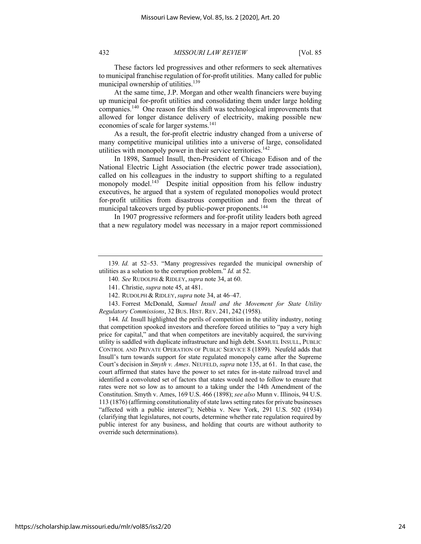These factors led progressives and other reformers to seek alternatives to municipal franchise regulation of for-profit utilities. Many called for public municipal ownership of utilities.<sup>139</sup>

At the same time, J.P. Morgan and other wealth financiers were buying up municipal for-profit utilities and consolidating them under large holding companies.140 One reason for this shift was technological improvements that allowed for longer distance delivery of electricity, making possible new economies of scale for larger systems.<sup>141</sup>

As a result, the for-profit electric industry changed from a universe of many competitive municipal utilities into a universe of large, consolidated utilities with monopoly power in their service territories.<sup>142</sup>

In 1898, Samuel Insull, then-President of Chicago Edison and of the National Electric Light Association (the electric power trade association), called on his colleagues in the industry to support shifting to a regulated monopoly model.<sup>143</sup> Despite initial opposition from his fellow industry executives, he argued that a system of regulated monopolies would protect for-profit utilities from disastrous competition and from the threat of municipal takeovers urged by public-power proponents.<sup>144</sup>

In 1907 progressive reformers and for-profit utility leaders both agreed that a new regulatory model was necessary in a major report commissioned

143. Forrest McDonald, *Samuel Insull and the Movement for State Utility Regulatory Commissions*, 32 BUS. HIST. REV. 241, 242 (1958).

144*. Id.* Insull highlighted the perils of competition in the utility industry, noting that competition spooked investors and therefore forced utilities to "pay a very high price for capital," and that when competitors are inevitably acquired, the surviving utility is saddled with duplicate infrastructure and high debt. SAMUEL INSULL, PUBLIC CONTROL AND PRIVATE OPERATION OF PUBLIC SERVICE 8 (1899). Neufeld adds that Insull's turn towards support for state regulated monopoly came after the Supreme Court's decision in *Smyth v. Ames*. NEUFELD, *supra* note 135, at 61. In that case, the court affirmed that states have the power to set rates for in-state railroad travel and identified a convoluted set of factors that states would need to follow to ensure that rates were not so low as to amount to a taking under the 14th Amendment of the Constitution. Smyth v. Ames, 169 U.S. 466 (1898); *see also* Munn v. Illinois, 94 U.S. 113 (1876) (affirming constitutionality of state laws setting rates for private businesses "affected with a public interest"); Nebbia v. New York, 291 U.S. 502 (1934) (clarifying that legislatures, not courts, determine whether rate regulation required by public interest for any business, and holding that courts are without authority to override such determinations).

<sup>139</sup>*. Id.* at 52–53. "Many progressives regarded the municipal ownership of utilities as a solution to the corruption problem." *Id.* at 52.

<sup>140</sup>*. See* RUDOLPH & RIDLEY,*supra* note 34, at 60.

<sup>141.</sup> Christie, *supra* note 45, at 481.

<sup>142.</sup> RUDOLPH & RIDLEY,*supra* note 34, at 46–47.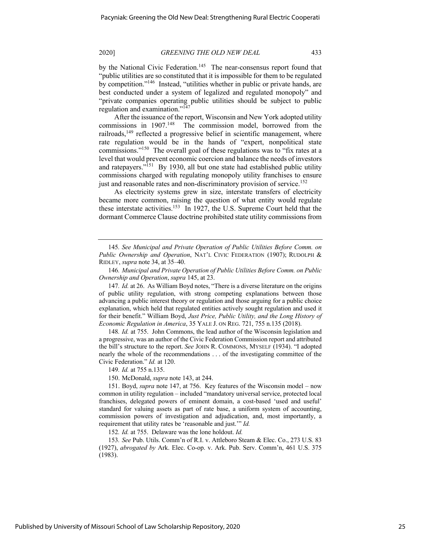by the National Civic Federation.<sup>145</sup> The near-consensus report found that "public utilities are so constituted that it is impossible for them to be regulated by competition."146 Instead, "utilities whether in public or private hands, are best conducted under a system of legalized and regulated monopoly" and "private companies operating public utilities should be subject to public regulation and examination."147

After the issuance of the report, Wisconsin and New York adopted utility commissions in 1907.<sup>148</sup> The commission model, borrowed from the railroads, $149$  reflected a progressive belief in scientific management, where rate regulation would be in the hands of "expert, nonpolitical state commissions."150 The overall goal of these regulations was to "fix rates at a level that would prevent economic coercion and balance the needs of investors and ratepayers."<sup>151</sup> By 1930, all but one state had established public utility commissions charged with regulating monopoly utility franchises to ensure just and reasonable rates and non-discriminatory provision of service.<sup>152</sup>

As electricity systems grew in size, interstate transfers of electricity became more common, raising the question of what entity would regulate these interstate activities.<sup>153</sup> In 1927, the U.S. Supreme Court held that the dormant Commerce Clause doctrine prohibited state utility commissions from

148*. Id.* at 755. John Commons, the lead author of the Wisconsin legislation and a progressive, was an author of the Civic Federation Commission report and attributed the bill's structure to the report. *See* JOHN R. COMMONS, MYSELF (1934). "I adopted nearly the whole of the recommendations . . . of the investigating committee of the Civic Federation." *Id.* at 120.

149*. Id.* at 755 n.135.

150. McDonald, *supra* note 143, at 244.

152*. Id.* at 755. Delaware was the lone holdout. *Id.*

<sup>145</sup>*. See Municipal and Private Operation of Public Utilities Before Comm. on Public Ownership and Operation*, NAT'L CIVIC FEDERATION (1907); RUDOLPH & RIDLEY, *supra* note 34, at 35–40.

<sup>146</sup>*. Municipal and Private Operation of Public Utilities Before Comm. on Public Ownership and Operation*, *supra* 145, at 23.

<sup>147</sup>*. Id.* at 26. As William Boyd notes, "There is a diverse literature on the origins of public utility regulation, with strong competing explanations between those advancing a public interest theory or regulation and those arguing for a public choice explanation, which held that regulated entities actively sought regulation and used it for their benefit." William Boyd, *Just Price, Public Utility, and the Long History of Economic Regulation in America*, 35 YALE J. ON REG. 721, 755 n.135 (2018).

<sup>151.</sup> Boyd, *supra* note 147, at 756. Key features of the Wisconsin model – now common in utility regulation – included "mandatory universal service, protected local franchises, delegated powers of eminent domain, a cost-based 'used and useful' standard for valuing assets as part of rate base, a uniform system of accounting, commission powers of investigation and adjudication, and, most importantly, a requirement that utility rates be 'reasonable and just.'" *Id.*

<sup>153</sup>*. See* Pub. Utils. Comm'n of R.I. v. Attleboro Steam & Elec. Co., 273 U.S. 83 (1927), *abrogated by* Ark. Elec. Co-op. v. Ark. Pub. Serv. Comm'n, 461 U.S. 375 (1983).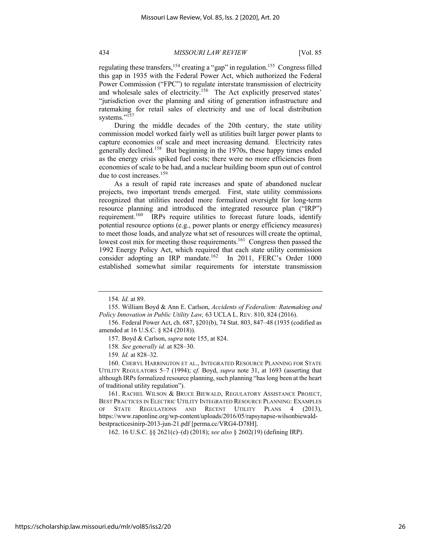regulating these transfers,<sup>154</sup> creating a "gap" in regulation.<sup>155</sup> Congress filled this gap in 1935 with the Federal Power Act, which authorized the Federal Power Commission ("FPC") to regulate interstate transmission of electricity and wholesale sales of electricity.<sup>156</sup> The Act explicitly preserved states' "jurisdiction over the planning and siting of generation infrastructure and ratemaking for retail sales of electricity and use of local distribution systems."<sup>157</sup>

During the middle decades of the 20th century, the state utility commission model worked fairly well as utilities built larger power plants to capture economies of scale and meet increasing demand. Electricity rates generally declined.<sup>158</sup> But beginning in the 1970s, these happy times ended as the energy crisis spiked fuel costs; there were no more efficiencies from economies of scale to be had, and a nuclear building boom spun out of control due to cost increases.<sup>159</sup>

As a result of rapid rate increases and spate of abandoned nuclear projects, two important trends emerged. First, state utility commissions recognized that utilities needed more formalized oversight for long-term resource planning and introduced the integrated resource plan ("IRP") requirement.<sup>160</sup> IRPs require utilities to forecast future loads, identify potential resource options (e.g., power plants or energy efficiency measures) to meet those loads, and analyze what set of resources will create the optimal, lowest cost mix for meeting those requirements.<sup>161</sup> Congress then passed the 1992 Energy Policy Act, which required that each state utility commission consider adopting an IRP mandate.<sup>162</sup> In 2011, FERC's Order 1000 established somewhat similar requirements for interstate transmission

162. 16 U.S.C. §§ 2621(c)–(d) (2018); *see also* § 2602(19) (defining IRP).

<sup>154</sup>*. Id.* at 89.

<sup>155.</sup> William Boyd & Ann E. Carlson, *Accidents of Federalism: Ratemaking and Policy Innovation in Public Utility Law,* 63 UCLA L. REV. 810, 824 (2016).

<sup>156.</sup> Federal Power Act, ch. 687, §201(b), 74 Stat. 803, 847–48 (1935 (codified as amended at 16 U.S.C. § 824 (2018)).

<sup>157.</sup> Boyd & Carlson, *supra* note 155, at 824.

<sup>158</sup>*. See generally id.* at 828–30.

<sup>159</sup>*. Id.* at 828–32.

<sup>160.</sup> CHERYL HARRINGTON ET AL., INTEGRATED RESOURCE PLANNING FOR STATE UTILITY REGULATORS 5–7 (1994); c*f.* Boyd, *supra* note 31, at 1693 (asserting that although IRPs formalized resource planning, such planning "has long been at the heart of traditional utility regulation").

<sup>161.</sup> RACHEL WILSON & BRUCE BIEWALD, REGULATORY ASSISTANCE PROJECT, BEST PRACTICES IN ELECTRIC UTILITY INTEGRATED RESOURCE PLANNING: EXAMPLES OF STATE REGULATIONS AND RECENT UTILITY PLANS 4 (2013), https://www.raponline.org/wp-content/uploads/2016/05/rapsynapse-wilsonbiewaldbestpracticesinirp-2013-jun-21.pdf [perma.cc/VRG4-D78H].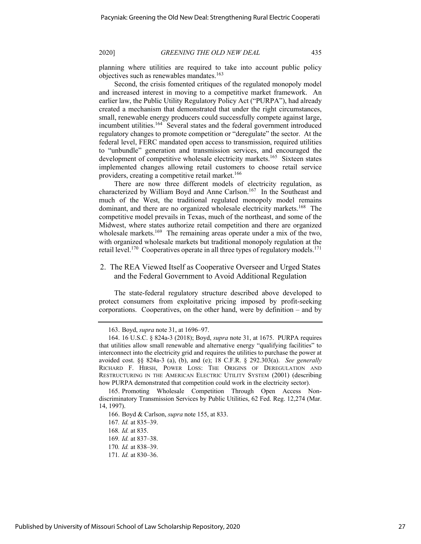planning where utilities are required to take into account public policy objectives such as renewables mandates.<sup>163</sup>

Second, the crisis fomented critiques of the regulated monopoly model and increased interest in moving to a competitive market framework. An earlier law, the Public Utility Regulatory Policy Act ("PURPA"), had already created a mechanism that demonstrated that under the right circumstances, small, renewable energy producers could successfully compete against large, incumbent utilities.<sup>164</sup> Several states and the federal government introduced regulatory changes to promote competition or "deregulate" the sector. At the federal level, FERC mandated open access to transmission, required utilities to "unbundle" generation and transmission services, and encouraged the development of competitive wholesale electricity markets.<sup>165</sup> Sixteen states implemented changes allowing retail customers to choose retail service providers, creating a competitive retail market.<sup>166</sup>

There are now three different models of electricity regulation, as characterized by William Boyd and Anne Carlson.<sup>167</sup> In the Southeast and much of the West, the traditional regulated monopoly model remains dominant, and there are no organized wholesale electricity markets.<sup>168</sup> The competitive model prevails in Texas, much of the northeast, and some of the Midwest, where states authorize retail competition and there are organized wholesale markets.<sup>169</sup> The remaining areas operate under a mix of the two, with organized wholesale markets but traditional monopoly regulation at the retail level.<sup>170</sup> Cooperatives operate in all three types of regulatory models.<sup>171</sup>

# 2. The REA Viewed Itself as Cooperative Overseer and Urged States and the Federal Government to Avoid Additional Regulation

The state-federal regulatory structure described above developed to protect consumers from exploitative pricing imposed by profit-seeking corporations. Cooperatives, on the other hand, were by definition – and by

<sup>163.</sup> Boyd, *supra* note 31, at 1696–97.

<sup>164.</sup> 16 U.S.C. § 824a-3 (2018); Boyd, *supra* note 31, at 1675. PURPA requires that utilities allow small renewable and alternative energy "qualifying facilities" to interconnect into the electricity grid and requires the utilities to purchase the power at avoided cost. §§ 824a-3 (a), (b), and (e); 18 C.F.R. § 292.303(a). *See generally* RICHARD F. HIRSH, POWER LOSS: THE ORIGINS OF DEREGULATION AND RESTRUCTURING IN THE AMERICAN ELECTRIC UTILITY SYSTEM (2001) (describing how PURPA demonstrated that competition could work in the electricity sector).

<sup>165.</sup> Promoting Wholesale Competition Through Open Access Nondiscriminatory Transmission Services by Public Utilities, 62 Fed. Reg. 12,274 (Mar. 14, 1997).

<sup>166.</sup> Boyd & Carlson, *supra* note 155, at 833.

<sup>167</sup>*. Id.* at 835–39.

<sup>168</sup>*. Id.* at 835.

<sup>169</sup>*. Id.* at 837–38.

<sup>170</sup>*. Id.* at 838–39.

<sup>171</sup>*. Id.* at 830–36.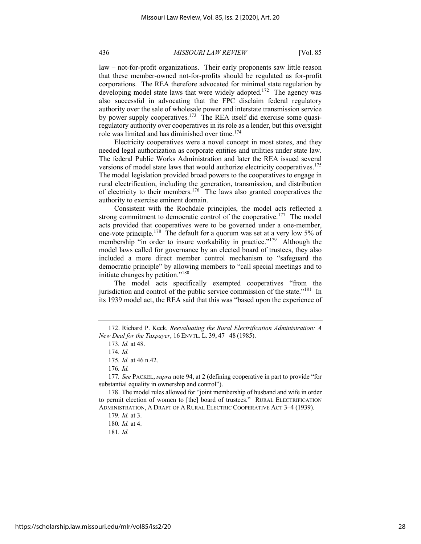law – not-for-profit organizations. Their early proponents saw little reason that these member-owned not-for-profits should be regulated as for-profit corporations. The REA therefore advocated for minimal state regulation by developing model state laws that were widely adopted.<sup>172</sup> The agency was also successful in advocating that the FPC disclaim federal regulatory authority over the sale of wholesale power and interstate transmission service by power supply cooperatives.<sup>173</sup> The REA itself did exercise some quasiregulatory authority over cooperatives in its role as a lender, but this oversight role was limited and has diminished over time.<sup>174</sup>

Electricity cooperatives were a novel concept in most states, and they needed legal authorization as corporate entities and utilities under state law. The federal Public Works Administration and later the REA issued several versions of model state laws that would authorize electricity cooperatives.<sup>175</sup> The model legislation provided broad powers to the cooperatives to engage in rural electrification, including the generation, transmission, and distribution of electricity to their members.<sup>176</sup> The laws also granted cooperatives the authority to exercise eminent domain.

Consistent with the Rochdale principles, the model acts reflected a strong commitment to democratic control of the cooperative.<sup>177</sup> The model acts provided that cooperatives were to be governed under a one-member, one-vote principle.178 The default for a quorum was set at a very low 5% of membership "in order to insure workability in practice."<sup>179</sup> Although the model laws called for governance by an elected board of trustees, they also included a more direct member control mechanism to "safeguard the democratic principle" by allowing members to "call special meetings and to initiate changes by petition."180

The model acts specifically exempted cooperatives "from the jurisdiction and control of the public service commission of the state."<sup>181</sup> In its 1939 model act, the REA said that this was "based upon the experience of

<sup>172.</sup> Richard P. Keck, *Reevaluating the Rural Electrification Administration: A New Deal for the Taxpayer*, 16 ENVTL. L. 39, 47– 48 (1985).

<sup>173</sup>*. Id.* at 48.

<sup>174</sup>*. Id.*

<sup>175</sup>*. Id.* at 46 n.42.

<sup>176</sup>*. Id.*

<sup>177</sup>*. See* PACKEL, *supra* note 94, at 2 (defining cooperative in part to provide "for substantial equality in ownership and control").

<sup>178.</sup> The model rules allowed for "joint membership of husband and wife in order to permit election of women to [the] board of trustees." RURAL ELECTRIFICATION ADMINISTRATION, A DRAFT OF A RURAL ELECTRIC COOPERATIVE ACT 3–4 (1939).

<sup>179</sup>*. Id.* at 3.

<sup>180</sup>*. Id.* at 4.

<sup>181</sup>*. Id.*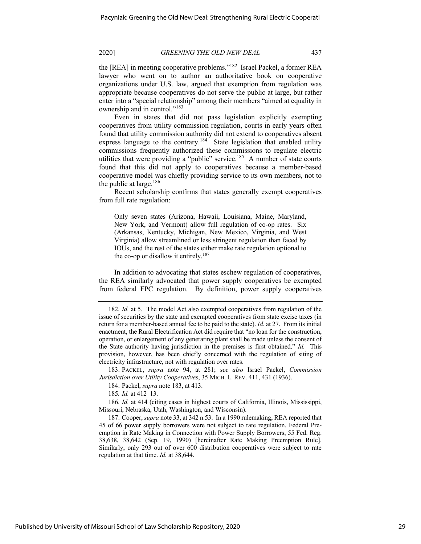the [REA] in meeting cooperative problems."182 Israel Packel, a former REA lawyer who went on to author an authoritative book on cooperative organizations under U.S. law, argued that exemption from regulation was appropriate because cooperatives do not serve the public at large, but rather enter into a "special relationship" among their members "aimed at equality in ownership and in control."<sup>183</sup>

Even in states that did not pass legislation explicitly exempting cooperatives from utility commission regulation, courts in early years often found that utility commission authority did not extend to cooperatives absent express language to the contrary.<sup>184</sup> State legislation that enabled utility commissions frequently authorized these commissions to regulate electric utilities that were providing a "public" service.<sup>185</sup> A number of state courts found that this did not apply to cooperatives because a member-based cooperative model was chiefly providing service to its own members, not to the public at large. $186$ 

Recent scholarship confirms that states generally exempt cooperatives from full rate regulation:

Only seven states (Arizona, Hawaii, Louisiana, Maine, Maryland, New York, and Vermont) allow full regulation of co-op rates. Six (Arkansas, Kentucky, Michigan, New Mexico, Virginia, and West Virginia) allow streamlined or less stringent regulation than faced by IOUs, and the rest of the states either make rate regulation optional to the co-op or disallow it entirely.<sup>187</sup>

In addition to advocating that states eschew regulation of cooperatives, the REA similarly advocated that power supply cooperatives be exempted from federal FPC regulation. By definition, power supply cooperatives

183. PACKEL, *supra* note 94, at 281; *see also* Israel Packel, *Commission Jurisdiction over Utility Cooperatives*, 35 MICH. L. REV. 411, 431 (1936).

184. Packel, *supra* note 183, at 413.

185*. Id.* at 412–13.

186*. Id.* at 414 (citing cases in highest courts of California, Illinois, Mississippi, Missouri, Nebraska, Utah, Washington, and Wisconsin).

187. Cooper, *supra* note 33, at 342 n.53. In a 1990 rulemaking, REA reported that 45 of 66 power supply borrowers were not subject to rate regulation. Federal Preemption in Rate Making in Connection with Power Supply Borrowers, 55 Fed. Reg. 38,638, 38,642 (Sep. 19, 1990) [hereinafter Rate Making Preemption Rule]. Similarly, only 293 out of over 600 distribution cooperatives were subject to rate regulation at that time. *Id.* at 38,644.

<sup>182</sup>*. Id.* at 5. The model Act also exempted cooperatives from regulation of the issue of securities by the state and exempted cooperatives from state excise taxes (in return for a member-based annual fee to be paid to the state). *Id.* at 27. From its initial enactment, the Rural Electrification Act did require that "no loan for the construction, operation, or enlargement of any generating plant shall be made unless the consent of the State authority having jurisdiction in the premises is first obtained." *Id.* This provision, however, has been chiefly concerned with the regulation of siting of electricity infrastructure, not with regulation over rates.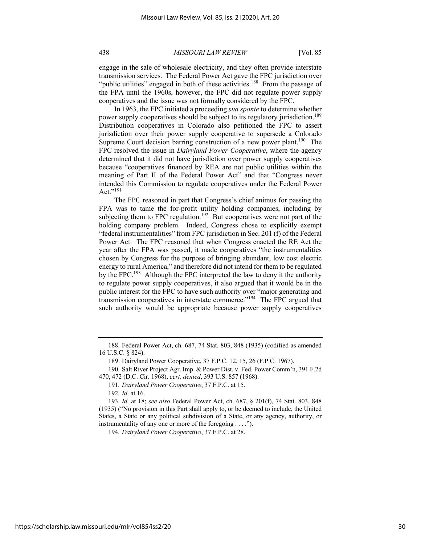engage in the sale of wholesale electricity, and they often provide interstate transmission services. The Federal Power Act gave the FPC jurisdiction over "public utilities" engaged in both of these activities.<sup>188</sup> From the passage of the FPA until the 1960s, however, the FPC did not regulate power supply cooperatives and the issue was not formally considered by the FPC.

In 1963, the FPC initiated a proceeding *sua sponte* to determine whether power supply cooperatives should be subject to its regulatory jurisdiction.<sup>189</sup> Distribution cooperatives in Colorado also petitioned the FPC to assert jurisdiction over their power supply cooperative to supersede a Colorado Supreme Court decision barring construction of a new power plant.<sup>190</sup> The FPC resolved the issue in *Dairyland Power Cooperative*, where the agency determined that it did not have jurisdiction over power supply cooperatives because "cooperatives financed by REA are not public utilities within the meaning of Part II of the Federal Power Act" and that "Congress never intended this Commission to regulate cooperatives under the Federal Power Act." $^{191}$ 

The FPC reasoned in part that Congress's chief animus for passing the FPA was to tame the for-profit utility holding companies, including by subjecting them to FPC regulation.<sup>192</sup> But cooperatives were not part of the holding company problem. Indeed, Congress chose to explicitly exempt "federal instrumentalities" from FPC jurisdiction in Sec. 201 (f) of the Federal Power Act. The FPC reasoned that when Congress enacted the RE Act the year after the FPA was passed, it made cooperatives "the instrumentalities chosen by Congress for the purpose of bringing abundant, low cost electric energy to rural America," and therefore did not intend for them to be regulated by the FPC.<sup>193</sup> Although the FPC interpreted the law to deny it the authority to regulate power supply cooperatives, it also argued that it would be in the public interest for the FPC to have such authority over "major generating and transmission cooperatives in interstate commerce."194 The FPC argued that such authority would be appropriate because power supply cooperatives

192*. Id.* at 16.

<sup>188.</sup> Federal Power Act, ch. 687, 74 Stat. 803, 848 (1935) (codified as amended 16 U.S.C. § 824).

<sup>189.</sup> Dairyland Power Cooperative, 37 F.P.C. 12, 15, 26 (F.P.C. 1967).

<sup>190.</sup> Salt River Project Agr. Imp. & Power Dist. v. Fed. Power Comm'n, 391 F.2d 470, 472 (D.C. Cir. 1968), *cert. denied*, 393 U.S. 857 (1968).

<sup>191</sup>*. Dairyland Power Cooperative*, 37 F.P.C. at 15.

<sup>193</sup>*. Id.* at 18; *see also* Federal Power Act, ch. 687, § 201(f), 74 Stat. 803, 848 (1935) ("No provision in this Part shall apply to, or be deemed to include, the United States, a State or any political subdivision of a State, or any agency, authority, or instrumentality of any one or more of the foregoing . . . .").

<sup>194</sup>*. Dairyland Power Cooperative*, 37 F.P.C. at 28.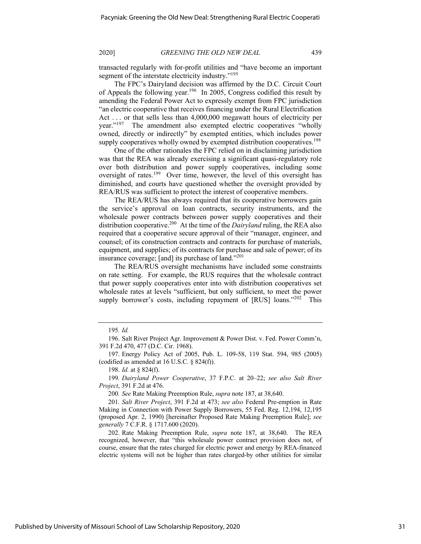transacted regularly with for-profit utilities and "have become an important segment of the interstate electricity industry."<sup>195</sup>

The FPC's Dairyland decision was affirmed by the D.C. Circuit Court of Appeals the following year.<sup>196</sup> In 2005, Congress codified this result by amending the Federal Power Act to expressly exempt from FPC jurisdiction "an electric cooperative that receives financing under the Rural Electrification Act . . . or that sells less than 4,000,000 megawatt hours of electricity per year."197 The amendment also exempted electric cooperatives "wholly owned, directly or indirectly" by exempted entities, which includes power supply cooperatives wholly owned by exempted distribution cooperatives.<sup>198</sup>

One of the other rationales the FPC relied on in disclaiming jurisdiction was that the REA was already exercising a significant quasi-regulatory role over both distribution and power supply cooperatives, including some oversight of rates.<sup>199</sup> Over time, however, the level of this oversight has diminished, and courts have questioned whether the oversight provided by REA/RUS was sufficient to protect the interest of cooperative members.

The REA/RUS has always required that its cooperative borrowers gain the service's approval on loan contracts, security instruments, and the wholesale power contracts between power supply cooperatives and their distribution cooperative.200 At the time of the *Dairyland* ruling, the REA also required that a cooperative secure approval of their "manager, engineer, and counsel; of its construction contracts and contracts for purchase of materials, equipment, and supplies; of its contracts for purchase and sale of power; of its insurance coverage; [and] its purchase of land."<sup>201</sup>

The REA/RUS oversight mechanisms have included some constraints on rate setting. For example, the RUS requires that the wholesale contract that power supply cooperatives enter into with distribution cooperatives set wholesale rates at levels "sufficient, but only sufficient, to meet the power supply borrower's costs, including repayment of [RUS] loans."<sup>202</sup> This

197. Energy Policy Act of 2005, Pub. L. 109-58, 119 Stat. 594, 985 (2005) (codified as amended at 16 U.S.C. § 824(f)).

199*. Dairyland Power Cooperative*, 37 F.P.C. at 20–22; *see also Salt River Project*, 391 F.2d at 476.

200*. See* Rate Making Preemption Rule, *supra* note 187, at 38,640.

201*. Salt River Project*, 391 F.2d at 473; *see also* Federal Pre-emption in Rate Making in Connection with Power Supply Borrowers, 55 Fed. Reg. 12,194, 12,195 (proposed Apr. 2, 1990) [hereinafter Proposed Rate Making Preemption Rule]; *see generally* 7 C.F.R. § 1717.600 (2020).

202. Rate Making Preemption Rule, *supra* note 187, at 38,640. The REA recognized, however, that "this wholesale power contract provision does not, of course, ensure that the rates charged for electric power and energy by REA-financed electric systems will not be higher than rates charged-by other utilities for similar

Published by University of Missouri School of Law Scholarship Repository, 2020

<sup>195</sup>*. Id.*

<sup>196.</sup> Salt River Project Agr. Improvement & Power Dist. v. Fed. Power Comm'n, 391 F.2d 470, 477 (D.C. Cir. 1968).

<sup>198.</sup> *Id.* at § 824(f).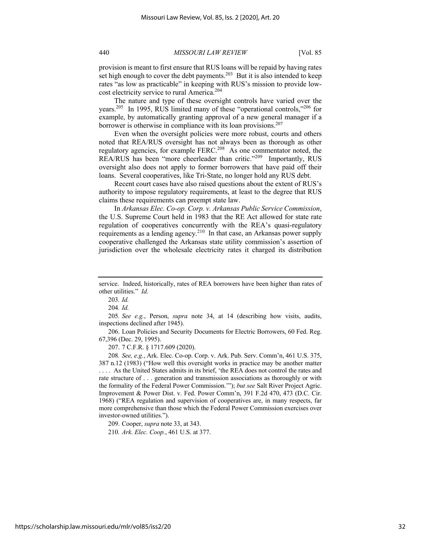provision is meant to first ensure that RUS loans will be repaid by having rates set high enough to cover the debt payments.<sup>203</sup> But it is also intended to keep rates "as low as practicable" in keeping with RUS's mission to provide lowcost electricity service to rural America.204

The nature and type of these oversight controls have varied over the years.205 In 1995, RUS limited many of these "operational controls,"206 for example, by automatically granting approval of a new general manager if a borrower is otherwise in compliance with its loan provisions.<sup>207</sup>

Even when the oversight policies were more robust, courts and others noted that REA/RUS oversight has not always been as thorough as other regulatory agencies, for example FERC.208 As one commentator noted, the REA/RUS has been "more cheerleader than critic."<sup>209</sup> Importantly, RUS oversight also does not apply to former borrowers that have paid off their loans. Several cooperatives, like Tri-State, no longer hold any RUS debt.

Recent court cases have also raised questions about the extent of RUS's authority to impose regulatory requirements, at least to the degree that RUS claims these requirements can preempt state law.

In *Arkansas Elec. Co-op. Corp. v. Arkansas Public Service Commission*, the U.S. Supreme Court held in 1983 that the RE Act allowed for state rate regulation of cooperatives concurrently with the REA's quasi-regulatory requirements as a lending agency.<sup>210</sup> In that case, an Arkansas power supply cooperative challenged the Arkansas state utility commission's assertion of jurisdiction over the wholesale electricity rates it charged its distribution

206. Loan Policies and Security Documents for Electric Borrowers, 60 Fed. Reg. 67,396 (Dec. 29, 1995).

207. 7 C.F.R. § 1717.609 (2020).

208*. See, e.g.*, Ark. Elec. Co-op. Corp. v. Ark. Pub. Serv. Comm'n, 461 U.S. 375, 387 n.12 (1983) ("How well this oversight works in practice may be another matter . . . . As the United States admits in its brief, 'the REA does not control the rates and rate structure of . . . generation and transmission associations as thoroughly or with the formality of the Federal Power Commission.'"); *but see* Salt River Project Agric. Improvement & Power Dist. v. Fed. Power Comm'n, 391 F.2d 470, 473 (D.C. Cir. 1968) ("REA regulation and supervision of cooperatives are, in many respects, far more comprehensive than those which the Federal Power Commission exercises over investor-owned utilities.").

209. Cooper, *supra* note 33, at 343.

210*. Ark. Elec. Coop.*, 461 U.S. at 377.

service. Indeed, historically, rates of REA borrowers have been higher than rates of other utilities." *Id.*

<sup>203</sup>*. Id.*

<sup>204</sup>*. Id.*

<sup>205</sup>*. See e.g.*, Person, *supra* note 34, at 14 (describing how visits, audits, inspections declined after 1945).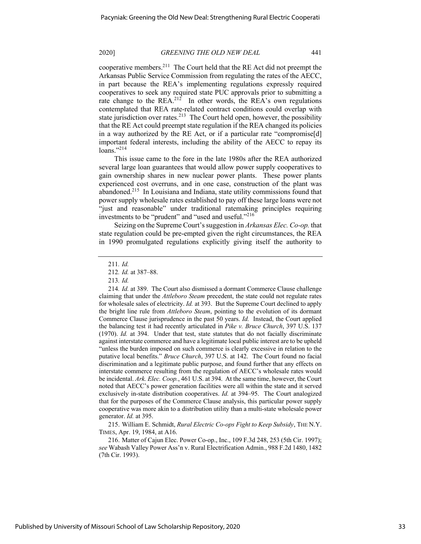cooperative members.211 The Court held that the RE Act did not preempt the Arkansas Public Service Commission from regulating the rates of the AECC, in part because the REA's implementing regulations expressly required cooperatives to seek any required state PUC approvals prior to submitting a rate change to the  $REA<sup>212</sup>$  In other words, the  $REA$ 's own regulations contemplated that REA rate-related contract conditions could overlap with state jurisdiction over rates.<sup>213</sup> The Court held open, however, the possibility that the RE Act could preempt state regulation if the REA changed its policies in a way authorized by the RE Act, or if a particular rate "compromise[d] important federal interests, including the ability of the AECC to repay its loans." $^{214}$ 

This issue came to the fore in the late 1980s after the REA authorized several large loan guarantees that would allow power supply cooperatives to gain ownership shares in new nuclear power plants. These power plants experienced cost overruns, and in one case, construction of the plant was abandoned.215 In Louisiana and Indiana, state utility commissions found that power supply wholesale rates established to pay off these large loans were not "just and reasonable" under traditional ratemaking principles requiring investments to be "prudent" and "used and useful."<sup>216</sup>

Seizing on the Supreme Court's suggestion in *Arkansas Elec. Co-op.* that state regulation could be pre-empted given the right circumstances, the REA in 1990 promulgated regulations explicitly giving itself the authority to

215. William E. Schmidt, *Rural Electric Co-ops Fight to Keep Subsidy*, THE N.Y. TIMES, Apr. 19, 1984, at A16.

216. Matter of Cajun Elec. Power Co-op., Inc., 109 F.3d 248, 253 (5th Cir. 1997); *see* Wabash Valley Power Ass'n v. Rural Electrification Admin., 988 F.2d 1480, 1482 (7th Cir. 1993).

<sup>211</sup>*. Id.*

<sup>212</sup>*. Id.* at 387–88.

<sup>213</sup>*. Id.*

<sup>214</sup>*. Id.* at 389. The Court also dismissed a dormant Commerce Clause challenge claiming that under the *Attleboro Steam* precedent, the state could not regulate rates for wholesale sales of electricity. *Id.* at 393. But the Supreme Court declined to apply the bright line rule from *Attleboro Steam*, pointing to the evolution of its dormant Commerce Clause jurisprudence in the past 50 years. *Id.* Instead, the Court applied the balancing test it had recently articulated in *Pike v. Bruce Church*, 397 U.S. 137 (1970). *Id.* at 394. Under that test, state statutes that do not facially discriminate against interstate commerce and have a legitimate local public interest are to be upheld "unless the burden imposed on such commerce is clearly excessive in relation to the putative local benefits." *Bruce Church*, 397 U.S. at 142. The Court found no facial discrimination and a legitimate public purpose, and found further that any effects on interstate commerce resulting from the regulation of AECC's wholesale rates would be incidental. *Ark. Elec. Coop.*, 461 U.S. at 394. At the same time, however, the Court noted that AECC's power generation facilities were all within the state and it served exclusively in-state distribution cooperatives. *Id.* at 394–95. The Court analogized that for the purposes of the Commerce Clause analysis, this particular power supply cooperative was more akin to a distribution utility than a multi-state wholesale power generator. *Id.* at 395.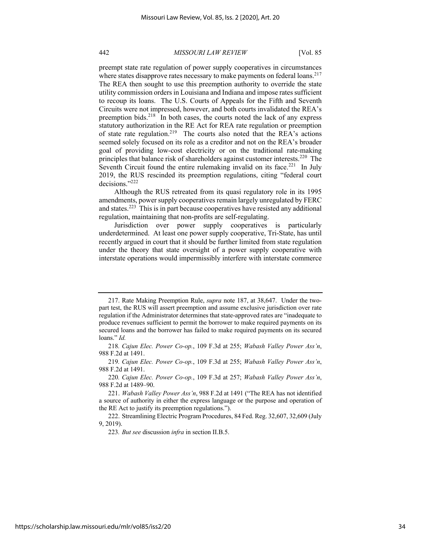preempt state rate regulation of power supply cooperatives in circumstances where states disapprove rates necessary to make payments on federal loans.<sup>217</sup> The REA then sought to use this preemption authority to override the state utility commission orders in Louisiana and Indiana and impose rates sufficient to recoup its loans. The U.S. Courts of Appeals for the Fifth and Seventh Circuits were not impressed, however, and both courts invalidated the REA's preemption bids. $218$  In both cases, the courts noted the lack of any express statutory authorization in the RE Act for REA rate regulation or preemption of state rate regulation.219 The courts also noted that the REA's actions seemed solely focused on its role as a creditor and not on the REA's broader goal of providing low-cost electricity or on the traditional rate-making principles that balance risk of shareholders against customer interests.<sup>220</sup> The Seventh Circuit found the entire rulemaking invalid on its face.<sup>221</sup> In July 2019, the RUS rescinded its preemption regulations, citing "federal court decisions."222

Although the RUS retreated from its quasi regulatory role in its 1995 amendments, power supply cooperatives remain largely unregulated by FERC and states.223 This is in part because cooperatives have resisted any additional regulation, maintaining that non-profits are self-regulating.

Jurisdiction over power supply cooperatives is particularly underdetermined. At least one power supply cooperative, Tri-State, has until recently argued in court that it should be further limited from state regulation under the theory that state oversight of a power supply cooperative with interstate operations would impermissibly interfere with interstate commerce

223*. But see* discussion *infra* in section II.B.5.

<sup>217.</sup> Rate Making Preemption Rule, *supra* note 187, at 38,647. Under the twopart test, the RUS will assert preemption and assume exclusive jurisdiction over rate regulation if the Administrator determines that state-approved rates are "inadequate to produce revenues sufficient to permit the borrower to make required payments on its secured loans and the borrower has failed to make required payments on its secured loans." *Id.*

<sup>218</sup>*. Cajun Elec. Power Co-op.*, 109 F.3d at 255; *Wabash Valley Power Ass'n*, 988 F.2d at 1491.

<sup>219</sup>*. Cajun Elec. Power Co-op.*, 109 F.3d at 255; *Wabash Valley Power Ass'n*, 988 F.2d at 1491.

<sup>220</sup>*. Cajun Elec. Power Co-op.*, 109 F.3d at 257; *Wabash Valley Power Ass'n*, 988 F.2d at 1489–90.

<sup>221.</sup> *Wabash Valley Power Ass'n*, 988 F.2d at 1491 ("The REA has not identified a source of authority in either the express language or the purpose and operation of the RE Act to justify its preemption regulations.").

<sup>222.</sup> Streamlining Electric Program Procedures, 84 Fed. Reg. 32,607, 32,609 (July 9, 2019).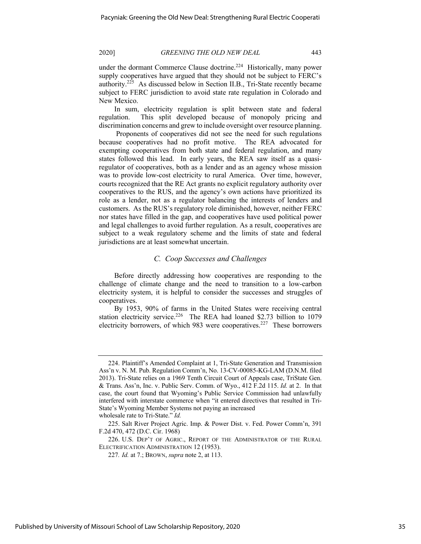under the dormant Commerce Clause doctrine.<sup>224</sup> Historically, many power supply cooperatives have argued that they should not be subject to FERC's authority.<sup>225</sup> As discussed below in Section II.B., Tri-State recently became subject to FERC jurisdiction to avoid state rate regulation in Colorado and New Mexico.

In sum, electricity regulation is split between state and federal regulation. This split developed because of monopoly pricing and discrimination concerns and grew to include oversight over resource planning.

Proponents of cooperatives did not see the need for such regulations because cooperatives had no profit motive. The REA advocated for exempting cooperatives from both state and federal regulation, and many states followed this lead. In early years, the REA saw itself as a quasiregulator of cooperatives, both as a lender and as an agency whose mission was to provide low-cost electricity to rural America. Over time, however, courts recognized that the RE Act grants no explicit regulatory authority over cooperatives to the RUS, and the agency's own actions have prioritized its role as a lender, not as a regulator balancing the interests of lenders and customers. As the RUS's regulatory role diminished, however, neither FERC nor states have filled in the gap, and cooperatives have used political power and legal challenges to avoid further regulation. As a result, cooperatives are subject to a weak regulatory scheme and the limits of state and federal jurisdictions are at least somewhat uncertain.

# *C. Coop Successes and Challenges*

Before directly addressing how cooperatives are responding to the challenge of climate change and the need to transition to a low-carbon electricity system, it is helpful to consider the successes and struggles of cooperatives.

By 1953, 90% of farms in the United States were receiving central station electricity service.<sup>226</sup> The REA had loaned \$2.73 billion to 1079 electricity borrowers, of which 983 were cooperatives.<sup>227</sup> These borrowers

<sup>224.</sup> Plaintiff's Amended Complaint at 1, Tri-State Generation and Transmission Ass'n v. N. M. Pub. Regulation Comm'n, No. 13-CV-00085-KG-LAM (D.N.M. filed 2013). Tri-State relies on a 1969 Tenth Circuit Court of Appeals case, TriState Gen. & Trans. Ass'n, Inc. v. Public Serv. Comm. of Wyo., 412 F.2d 115. *Id.* at 2. In that case, the court found that Wyoming's Public Service Commission had unlawfully interfered with interstate commerce when "it entered directives that resulted in Tri-State's Wyoming Member Systems not paying an increased

wholesale rate to Tri-State." *Id.*

<sup>225.</sup> Salt River Project Agric. Imp. & Power Dist. v. Fed. Power Comm'n, 391 F.2d 470, 472 (D.C. Cir. 1968)

<sup>226.</sup> U.S. DEP'T OF AGRIC., REPORT OF THE ADMINISTRATOR OF THE RURAL ELECTRIFICATION ADMINISTRATION 12 (1953).

<sup>227</sup>*. Id.* at 7.; BROWN, *supra* note 2, at 113.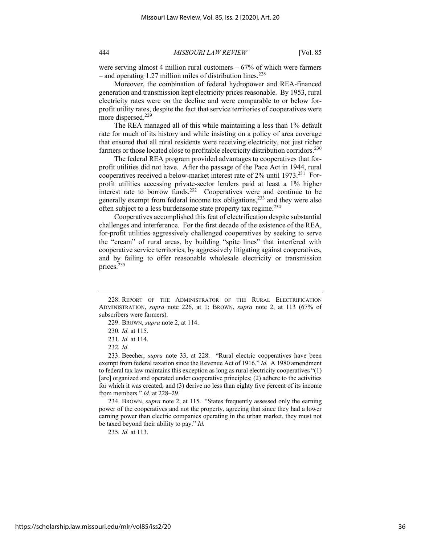were serving almost 4 million rural customers  $-67%$  of which were farmers – and operating 1.27 million miles of distribution lines.<sup>228</sup>

Moreover, the combination of federal hydropower and REA-financed generation and transmission kept electricity prices reasonable. By 1953, rural electricity rates were on the decline and were comparable to or below forprofit utility rates, despite the fact that service territories of cooperatives were more dispersed.229

The REA managed all of this while maintaining a less than 1% default rate for much of its history and while insisting on a policy of area coverage that ensured that all rural residents were receiving electricity, not just richer farmers or those located close to profitable electricity distribution corridors.<sup>230</sup>

The federal REA program provided advantages to cooperatives that forprofit utilities did not have. After the passage of the Pace Act in 1944, rural cooperatives received a below-market interest rate of 2% until 1973.<sup>231</sup> Forprofit utilities accessing private-sector lenders paid at least a 1% higher interest rate to borrow funds.<sup>232</sup> Cooperatives were and continue to be generally exempt from federal income tax obligations, $^{233}$  and they were also often subject to a less burdensome state property tax regime.<sup>234</sup>

Cooperatives accomplished this feat of electrification despite substantial challenges and interference. For the first decade of the existence of the REA, for-profit utilities aggressively challenged cooperatives by seeking to serve the "cream" of rural areas, by building "spite lines" that interfered with cooperative service territories, by aggressively litigating against cooperatives, and by failing to offer reasonable wholesale electricity or transmission prices.235

234. BROWN, *supra* note 2, at 115. "States frequently assessed only the earning power of the cooperatives and not the property, agreeing that since they had a lower earning power than electric companies operating in the urban market, they must not be taxed beyond their ability to pay." *Id.*

235*. Id.* at 113.

<sup>228.</sup> REPORT OF THE ADMINISTRATOR OF THE RURAL ELECTRIFICATION ADMINISTRATION, *supra* note 226, at 1; BROWN, *supra* note 2, at 113 (67% of subscribers were farmers).

<sup>229.</sup> BROWN, *supra* note 2, at 114.

<sup>230</sup>*. Id.* at 115.

<sup>231</sup>*. Id.* at 114.

<sup>232</sup>*. Id.*

<sup>233.</sup> Beecher, *supra* note 33, at 228. "Rural electric cooperatives have been exempt from federal taxation since the Revenue Act of 1916." *Id.* A 1980 amendment to federal tax law maintains this exception as long as rural electricity cooperatives "(1) [are] organized and operated under cooperative principles; (2) adhere to the activities for which it was created; and (3) derive no less than eighty five percent of its income from members." *Id.* at 228–29.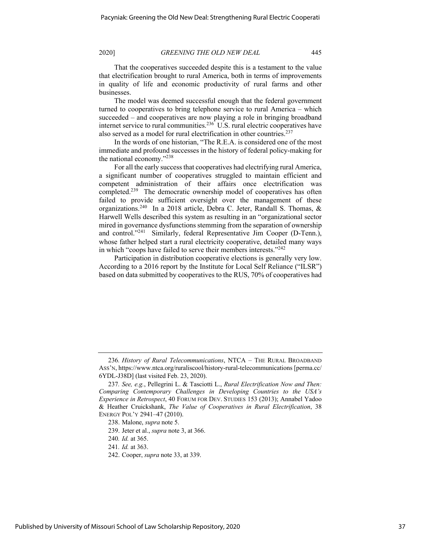That the cooperatives succeeded despite this is a testament to the value that electrification brought to rural America, both in terms of improvements in quality of life and economic productivity of rural farms and other businesses.

The model was deemed successful enough that the federal government turned to cooperatives to bring telephone service to rural America – which succeeded – and cooperatives are now playing a role in bringing broadband internet service to rural communities.<sup>236</sup> U.S. rural electric cooperatives have also served as a model for rural electrification in other countries.<sup>237</sup>

In the words of one historian, "The R.E.A. is considered one of the most immediate and profound successes in the history of federal policy-making for the national economy."238

For all the early success that cooperatives had electrifying rural America, a significant number of cooperatives struggled to maintain efficient and competent administration of their affairs once electrification was completed.<sup>239</sup> The democratic ownership model of cooperatives has often failed to provide sufficient oversight over the management of these organizations.240 In a 2018 article, Debra C. Jeter, Randall S. Thomas, & Harwell Wells described this system as resulting in an "organizational sector mired in governance dysfunctions stemming from the separation of ownership and control."241 Similarly, federal Representative Jim Cooper (D-Tenn.), whose father helped start a rural electricity cooperative, detailed many ways in which "coops have failed to serve their members interests."<sup>242</sup>

Participation in distribution cooperative elections is generally very low. According to a 2016 report by the Institute for Local Self Reliance ("ILSR") based on data submitted by cooperatives to the RUS, 70% of cooperatives had

<sup>236</sup>*. History of Rural Telecommunications*, NTCA – THE RURAL BROADBAND ASS'N, https://www.ntca.org/ruraliscool/history-rural-telecommunications [perma.cc/ 6YDL-J38D] (last visited Feb. 23, 2020).

<sup>237</sup>*. See, e.g.*, Pellegrini L. & Tasciotti L., *Rural Electrification Now and Then: Comparing Contemporary Challenges in Developing Countries to the USA's Experience in Retrospect*, 40 FORUM FOR DEV. STUDIES 153 (2013); Annabel Yadoo & Heather Cruickshank, *The Value of Cooperatives in Rural Electrification*, 38 ENERGY POL'Y 2941–47 (2010).

<sup>238.</sup> Malone, *supra* note 5.

<sup>239.</sup> Jeter et al., *supra* note 3, at 366.

<sup>240</sup>*. Id.* at 365.

<sup>241</sup>*. Id.* at 363.

<sup>242.</sup> Cooper, *supra* note 33, at 339.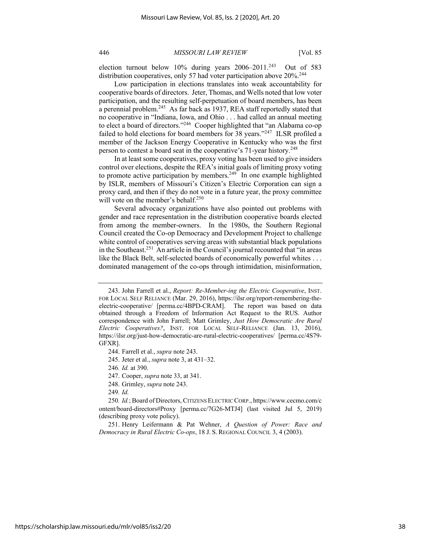election turnout below 10% during years 2006–2011.<sup>243</sup> Out of 583 distribution cooperatives, only 57 had voter participation above 20%.<sup>244</sup>

Low participation in elections translates into weak accountability for cooperative boards of directors. Jeter, Thomas, and Wells noted that low voter participation, and the resulting self-perpetuation of board members, has been a perennial problem.245 As far back as 1937, REA staff reportedly stated that no cooperative in "Indiana, Iowa, and Ohio . . . had called an annual meeting to elect a board of directors."246 Cooper highlighted that "an Alabama co-op failed to hold elections for board members for 38 years."<sup>247</sup> ILSR profiled a member of the Jackson Energy Cooperative in Kentucky who was the first person to contest a board seat in the cooperative's 71-year history.<sup>248</sup>

In at least some cooperatives, proxy voting has been used to give insiders control over elections, despite the REA's initial goals of limiting proxy voting to promote active participation by members.<sup>249</sup> In one example highlighted by ISLR, members of Missouri's Citizen's Electric Corporation can sign a proxy card, and then if they do not vote in a future year, the proxy committee will vote on the member's behalf.<sup>250</sup>

Several advocacy organizations have also pointed out problems with gender and race representation in the distribution cooperative boards elected from among the member-owners. In the 1980s, the Southern Regional Council created the Co-op Democracy and Development Project to challenge white control of cooperatives serving areas with substantial black populations in the Southeast.251 An article in the Council's journal recounted that "in areas like the Black Belt, self-selected boards of economically powerful whites . . . dominated management of the co-ops through intimidation, misinformation,

244. Farrell et al., *supra* note 243.

245. Jeter et al., *supra* note 3, at 431–32.

246*. Id.* at 390.

- 247. Cooper, *supra* note 33, at 341.
- 248. Grimley, *supra* note 243.

249*. Id.*

251. Henry Leifermann & Pat Wehner, *A Question of Power: Race and Democracy in Rural Electric Co-ops*, 18 J. S. REGIONAL COUNCIL 3, 4 (2003).

https://scholarship.law.missouri.edu/mlr/vol85/iss2/20

<sup>243.</sup> John Farrell et al., *Report: Re-Member-ing the Electric Cooperative*, INST. FOR LOCAL SELF RELIANCE (Mar. 29, 2016), https://ilsr.org/report-remembering-theelectric-cooperative/ [perma.cc/4BPD-CRAM]. The report was based on data obtained through a Freedom of Information Act Request to the RUS. Author correspondence with John Farrell; Matt Grimley, *Just How Democratic Are Rural Electric Cooperatives?*, INST. FOR LOCAL SELF-RELIANCE (Jan. 13, 2016), https://ilsr.org/just-how-democratic-are-rural-electric-cooperatives/ [perma.cc/4S79- GFXR].

<sup>250</sup>*. Id.*; Board of Directors, CITIZENS ELECTRIC CORP., https://www.cecmo.com/c ontent/board-directors#Proxy [perma.cc/7G26-MTJ4] (last visited Jul 5, 2019) (describing proxy vote policy).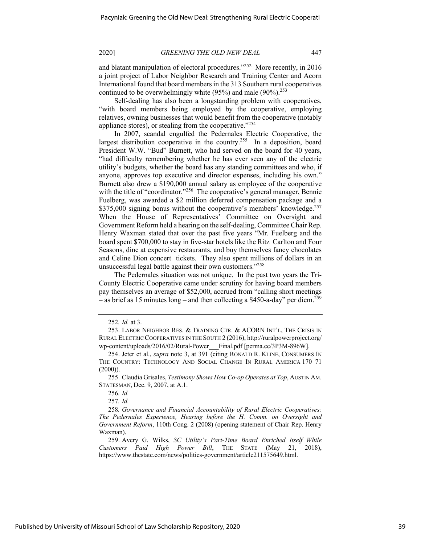and blatant manipulation of electoral procedures."<sup>252</sup> More recently, in 2016 a joint project of Labor Neighbor Research and Training Center and Acorn International found that board members in the 313 Southern rural cooperatives continued to be overwhelmingly white  $(95%)$  and male  $(90%)$ <sup>253</sup>

Self-dealing has also been a longstanding problem with cooperatives, "with board members being employed by the cooperative, employing relatives, owning businesses that would benefit from the cooperative (notably appliance stores), or stealing from the cooperative." $254$ 

In 2007, scandal engulfed the Pedernales Electric Cooperative, the largest distribution cooperative in the country.<sup>255</sup> In a deposition, board President W.W. "Bud" Burnett, who had served on the board for 40 years, "had difficulty remembering whether he has ever seen any of the electric utility's budgets, whether the board has any standing committees and who, if anyone, approves top executive and director expenses, including his own." Burnett also drew a \$190,000 annual salary as employee of the cooperative with the title of "coordinator."<sup>256</sup> The cooperative's general manager, Bennie Fuelberg, was awarded a \$2 million deferred compensation package and a \$375,000 signing bonus without the cooperative's members' knowledge.<sup>257</sup> When the House of Representatives' Committee on Oversight and Government Reform held a hearing on the self-dealing, Committee Chair Rep. Henry Waxman stated that over the past five years "Mr. Fuelberg and the board spent \$700,000 to stay in five-star hotels like the Ritz Carlton and Four Seasons, dine at expensive restaurants, and buy themselves fancy chocolates and Celine Dion concert tickets. They also spent millions of dollars in an unsuccessful legal battle against their own customers."<sup>258</sup>

The Pedernales situation was not unique. In the past two years the Tri-County Electric Cooperative came under scrutiny for having board members pay themselves an average of \$52,000, accrued from "calling short meetings – as brief as 15 minutes long – and then collecting a \$450-a-day" per diem.<sup>259</sup>

255. Claudia Grisales, *Testimony Shows How Co-op Operates at Top*, AUSTIN AM. STATESMAN, Dec. 9, 2007, at A.1.

257*. Id.*

258*. Governance and Financial Accountability of Rural Electric Cooperatives: The Pedernales Experience, Hearing before the H. Comm. on Oversight and Government Reform*, 110th Cong. 2 (2008) (opening statement of Chair Rep. Henry Waxman).

259. Avery G. Wilks, *SC Utility's Part-Time Board Enriched Itself While Customers Paid High Power Bill*, THE STATE (May 21, 2018), https://www.thestate.com/news/politics-government/article211575649.html.

<sup>252</sup>*. Id.* at 3.

<sup>253.</sup> LABOR NEIGHBOR RES. & TRAINING CTR. & ACORN INT'L, THE CRISIS IN RURAL ELECTRIC COOPERATIVES IN THE SOUTH 2 (2016), http://ruralpowerproject.org/ wp-content/uploads/2016/02/Rural-Power\_\_\_Final.pdf [perma.cc/3P3M-896W].

<sup>254.</sup> Jeter et al., *supra* note 3, at 391 (citing RONALD R. KLINE, CONSUMERS IN THE COUNTRY: TECHNOLOGY AND SOCIAL CHANGE IN RURAL AMERICA 170–71  $(2000)$ ).

<sup>256</sup>*. Id.*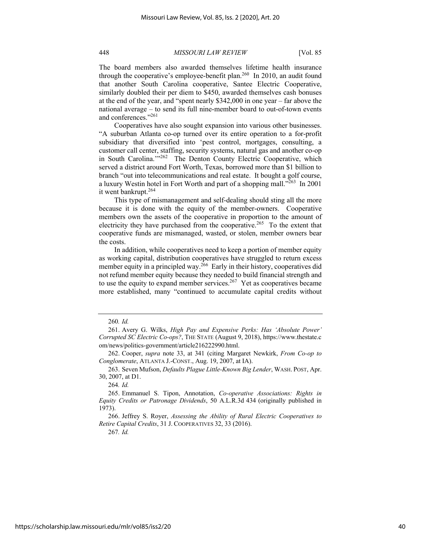The board members also awarded themselves lifetime health insurance through the cooperative's employee-benefit plan.<sup>260</sup> In 2010, an audit found that another South Carolina cooperative, Santee Electric Cooperative, similarly doubled their per diem to \$450, awarded themselves cash bonuses at the end of the year, and "spent nearly \$342,000 in one year – far above the national average – to send its full nine-member board to out-of-town events and conferences."261

Cooperatives have also sought expansion into various other businesses. "A suburban Atlanta co-op turned over its entire operation to a for-profit subsidiary that diversified into 'pest control, mortgages, consulting, a customer call center, staffing, security systems, natural gas and another co-op in South Carolina."<sup>262</sup> The Denton County Electric Cooperative, which served a district around Fort Worth, Texas, borrowed more than \$1 billion to branch "out into telecommunications and real estate. It bought a golf course, a luxury Westin hotel in Fort Worth and part of a shopping mall."<sup>263</sup> In 2001 it went bankrupt.<sup>264</sup>

This type of mismanagement and self-dealing should sting all the more because it is done with the equity of the member-owners. Cooperative members own the assets of the cooperative in proportion to the amount of electricity they have purchased from the cooperative.<sup>265</sup> To the extent that cooperative funds are mismanaged, wasted, or stolen, member owners bear the costs.

In addition, while cooperatives need to keep a portion of member equity as working capital, distribution cooperatives have struggled to return excess member equity in a principled way.<sup>266</sup> Early in their history, cooperatives did not refund member equity because they needed to build financial strength and to use the equity to expand member services.<sup>267</sup> Yet as cooperatives became more established, many "continued to accumulate capital credits without

263. Seven Mufson, *Defaults Plague Little-Known Big Lender*, WASH. POST, Apr. 30, 2007, at D1.

264*. Id.*

267*. Id.*

<sup>260</sup>*. Id.*

<sup>261.</sup> Avery G. Wilks, *High Pay and Expensive Perks: Has 'Absolute Power' Corrupted SC Electric Co-ops?*, THE STATE (August 9, 2018), https://www.thestate.c om/news/politics-government/article216222990.html.

<sup>262.</sup> Cooper, *supra* note 33, at 341 (citing Margaret Newkirk, *From Co-op to Conglomerate*, ATLANTA J.-CONST., Aug. 19, 2007, at IA).

<sup>265.</sup> Emmanuel S. Tipon, Annotation, *Co-operative Associations: Rights in Equity Credits or Patronage Dividends*, 50 A.L.R.3d 434 (originally published in 1973).

<sup>266.</sup> Jeffrey S. Royer, *Assessing the Ability of Rural Electric Cooperatives to Retire Capital Credits*, 31 J. COOPERATIVES 32, 33 (2016).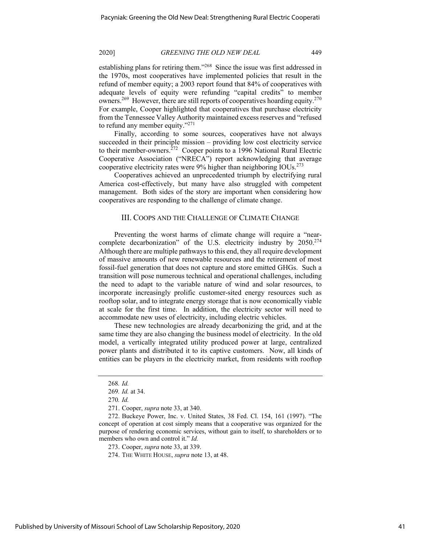establishing plans for retiring them."<sup>268</sup> Since the issue was first addressed in the 1970s, most cooperatives have implemented policies that result in the refund of member equity; a 2003 report found that 84% of cooperatives with adequate levels of equity were refunding "capital credits" to member owners.<sup>269</sup> However, there are still reports of cooperatives hoarding equity.<sup>270</sup> For example, Cooper highlighted that cooperatives that purchase electricity from the Tennessee Valley Authority maintained excess reserves and "refused to refund any member equity."<sup>271</sup>

Finally, according to some sources, cooperatives have not always succeeded in their principle mission – providing low cost electricity service to their member-owners.<sup> $272$ </sup> Cooper points to a 1996 National Rural Electric Cooperative Association ("NRECA") report acknowledging that average cooperative electricity rates were  $9\%$  higher than neighboring IOUs.<sup>273</sup>

Cooperatives achieved an unprecedented triumph by electrifying rural America cost-effectively, but many have also struggled with competent management. Both sides of the story are important when considering how cooperatives are responding to the challenge of climate change.

## III. COOPS AND THE CHALLENGE OF CLIMATE CHANGE

Preventing the worst harms of climate change will require a "nearcomplete decarbonization" of the U.S. electricity industry by 2050.<sup>274</sup> Although there are multiple pathways to this end, they all require development of massive amounts of new renewable resources and the retirement of most fossil-fuel generation that does not capture and store emitted GHGs. Such a transition will pose numerous technical and operational challenges, including the need to adapt to the variable nature of wind and solar resources, to incorporate increasingly prolific customer-sited energy resources such as rooftop solar, and to integrate energy storage that is now economically viable at scale for the first time. In addition, the electricity sector will need to accommodate new uses of electricity, including electric vehicles.

These new technologies are already decarbonizing the grid, and at the same time they are also changing the business model of electricity. In the old model, a vertically integrated utility produced power at large, centralized power plants and distributed it to its captive customers. Now, all kinds of entities can be players in the electricity market, from residents with rooftop

273. Cooper, *supra* note 33, at 339.

<sup>268</sup>*. Id.*

<sup>269</sup>*. Id.* at 34.

<sup>270</sup>*. Id.*

<sup>271.</sup> Cooper, *supra* note 33, at 340.

<sup>272.</sup> Buckeye Power, Inc. v. United States, 38 Fed. Cl. 154, 161 (1997). "The concept of operation at cost simply means that a cooperative was organized for the purpose of rendering economic services, without gain to itself, to shareholders or to members who own and control it." *Id.*

<sup>274.</sup> THE WHITE HOUSE, *supra* note 13, at 48.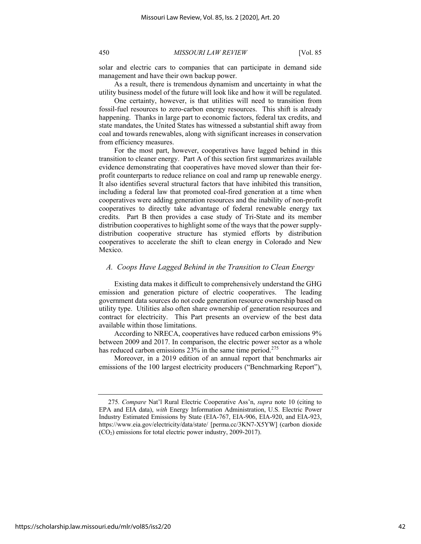solar and electric cars to companies that can participate in demand side management and have their own backup power.

As a result, there is tremendous dynamism and uncertainty in what the utility business model of the future will look like and how it will be regulated.

One certainty, however, is that utilities will need to transition from fossil-fuel resources to zero-carbon energy resources. This shift is already happening. Thanks in large part to economic factors, federal tax credits, and state mandates, the United States has witnessed a substantial shift away from coal and towards renewables, along with significant increases in conservation from efficiency measures.

For the most part, however, cooperatives have lagged behind in this transition to cleaner energy. Part A of this section first summarizes available evidence demonstrating that cooperatives have moved slower than their forprofit counterparts to reduce reliance on coal and ramp up renewable energy. It also identifies several structural factors that have inhibited this transition, including a federal law that promoted coal-fired generation at a time when cooperatives were adding generation resources and the inability of non-profit cooperatives to directly take advantage of federal renewable energy tax credits. Part B then provides a case study of Tri-State and its member distribution cooperatives to highlight some of the ways that the power supplydistribution cooperative structure has stymied efforts by distribution cooperatives to accelerate the shift to clean energy in Colorado and New Mexico.

# *A. Coops Have Lagged Behind in the Transition to Clean Energy*

Existing data makes it difficult to comprehensively understand the GHG emission and generation picture of electric cooperatives. The leading government data sources do not code generation resource ownership based on utility type. Utilities also often share ownership of generation resources and contract for electricity. This Part presents an overview of the best data available within those limitations.

According to NRECA, cooperatives have reduced carbon emissions 9% between 2009 and 2017. In comparison, the electric power sector as a whole has reduced carbon emissions  $23\%$  in the same time period.<sup>275</sup>

Moreover, in a 2019 edition of an annual report that benchmarks air emissions of the 100 largest electricity producers ("Benchmarking Report"),

<sup>275</sup>*. Compare* Nat'l Rural Electric Cooperative Ass'n, *supra* note 10 (citing to EPA and EIA data), *with* Energy Information Administration, U.S. Electric Power Industry Estimated Emissions by State (EIA-767, EIA-906, EIA-920, and EIA-923, https://www.eia.gov/electricity/data/state/ [perma.cc/3KN7-X5YW] (carbon dioxide (CO2) emissions for total electric power industry, 2009-2017).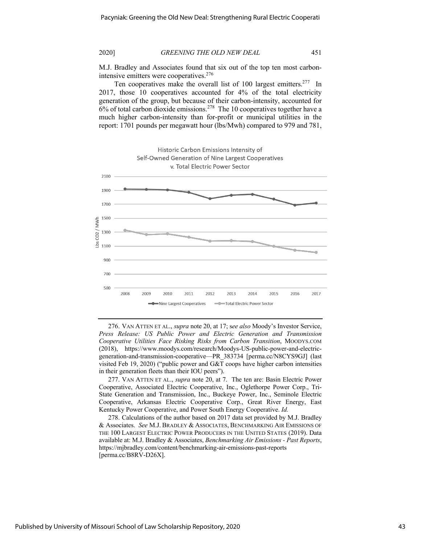M.J. Bradley and Associates found that six out of the top ten most carbonintensive emitters were cooperatives.<sup>276</sup>

Ten cooperatives make the overall list of 100 largest emitters.<sup>277</sup> In 2017, those 10 cooperatives accounted for 4% of the total electricity generation of the group, but because of their carbon-intensity, accounted for  $6%$  of total carbon dioxide emissions.<sup>278</sup> The 10 cooperatives together have a much higher carbon-intensity than for-profit or municipal utilities in the report: 1701 pounds per megawatt hour (lbs/Mwh) compared to 979 and 781,



276. VAN ATTEN ET AL., *supra* note 20, at 17; s*ee also* Moody's Investor Service, *Press Release: US Public Power and Electric Generation and Transmission Cooperative Utilities Face Risking Risks from Carbon Transition*, MOODYS.COM (2018), https://www.moodys.com/research/Moodys-US-public-power-and-electricgeneration-and-transmission-cooperative—PR\_383734 [perma.cc/N8CYS9GJ] (last visited Feb 19, 2020) ("public power and G&T coops have higher carbon intensities in their generation fleets than their IOU peers").

277. VAN ATTEN ET AL., *supra* note 20, at 7. The ten are: Basin Electric Power Cooperative, Associated Electric Cooperative, Inc., Oglethorpe Power Corp., Tri-State Generation and Transmission, Inc., Buckeye Power, Inc., Seminole Electric Cooperative, Arkansas Electric Cooperative Corp., Great River Energy, East Kentucky Power Cooperative, and Power South Energy Cooperative. *Id.*

278. Calculations of the author based on 2017 data set provided by M.J. Bradley & Associates. *See* M.J. BRADLEY & ASSOCIATES, BENCHMARKING AIR EMISSIONS OF THE 100 LARGEST ELECTRIC POWER PRODUCERS IN THE UNITED STATES (2019). Data available at: M.J. Bradley & Associates, *Benchmarking Air Emissions - Past Reports*, https://mjbradley.com/content/benchmarking-air-emissions-past-reports [perma.cc/B8RV-D26X].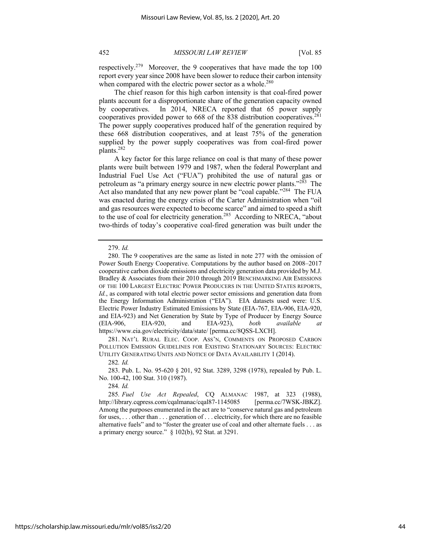respectively.279 Moreover, the 9 cooperatives that have made the top 100 report every year since 2008 have been slower to reduce their carbon intensity when compared with the electric power sector as a whole.<sup>280</sup>

The chief reason for this high carbon intensity is that coal-fired power plants account for a disproportionate share of the generation capacity owned by cooperatives. In 2014, NRECA reported that 65 power supply cooperatives provided power to  $668$  of the 838 distribution cooperatives.<sup>281</sup> The power supply cooperatives produced half of the generation required by these 668 distribution cooperatives, and at least 75% of the generation supplied by the power supply cooperatives was from coal-fired power plants.282

A key factor for this large reliance on coal is that many of these power plants were built between 1979 and 1987, when the federal Powerplant and Industrial Fuel Use Act ("FUA") prohibited the use of natural gas or petroleum as "a primary energy source in new electric power plants."283 The Act also mandated that any new power plant be "coal capable."<sup>284</sup> The FUA was enacted during the energy crisis of the Carter Administration when "oil and gas resources were expected to become scarce" and aimed to speed a shift to the use of coal for electricity generation.<sup>285</sup> According to NRECA, "about two-thirds of today's cooperative coal-fired generation was built under the

281. NAT'L RURAL ELEC. COOP. ASS'N, COMMENTS ON PROPOSED CARBON POLLUTION EMISSION GUIDELINES FOR EXISTING STATIONARY SOURCES: ELECTRIC UTILITY GENERATING UNITS AND NOTICE OF DATA AVAILABILITY 1 (2014).

282*. Id.*

283. Pub. L. No. 95-620 § 201, 92 Stat. 3289, 3298 (1978), repealed by Pub. L. No. 100-42, 100 Stat. 310 (1987).

284*. Id.*

<sup>279.</sup> *Id.*

<sup>280.</sup> The 9 cooperatives are the same as listed in note 277 with the omission of Power South Energy Cooperative. Computations by the author based on 2008–2017 cooperative carbon dioxide emissions and electricity generation data provided by M.J. Bradley & Associates from their 2010 through 2019 BENCHMARKING AIR EMISSIONS OF THE 100 LARGEST ELECTRIC POWER PRODUCERS IN THE UNITED STATES REPORTS, *Id.*, as compared with total electric power sector emissions and generation data from the Energy Information Administration ("EIA"). EIA datasets used were: U.S. Electric Power Industry Estimated Emissions by State (EIA-767, EIA-906, EIA-920, and EIA-923) and Net Generation by State by Type of Producer by Energy Source (EIA-906, EIA-920, and EIA-923), *both available at* https://www.eia.gov/electricity/data/state/ [perma.cc/8QSS-LXCH].

<sup>285</sup>*. Fuel Use Act Repealed*, CQ ALMANAC 1987, at 323 (1988), http://library.cqpress.com/cqalmanac/cqal87-1145085 [perma.cc/7WSK-JBKZ]. Among the purposes enumerated in the act are to "conserve natural gas and petroleum for uses, . . . other than . . . generation of . . . electricity, for which there are no feasible alternative fuels" and to "foster the greater use of coal and other alternate fuels . . . as a primary energy source." § 102(b), 92 Stat. at 3291.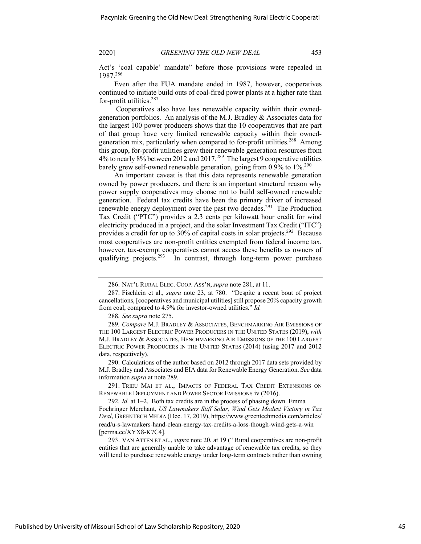Act's 'coal capable' mandate" before those provisions were repealed in 1987.286

Even after the FUA mandate ended in 1987, however, cooperatives continued to initiate build outs of coal-fired power plants at a higher rate than for-profit utilities.<sup>287</sup>

Cooperatives also have less renewable capacity within their ownedgeneration portfolios. An analysis of the M.J. Bradley & Associates data for the largest 100 power producers shows that the 10 cooperatives that are part of that group have very limited renewable capacity within their ownedgeneration mix, particularly when compared to for-profit utilities.<sup>288</sup> Among this group, for-profit utilities grew their renewable generation resources from 4% to nearly 8% between 2012 and 2017.289 The largest 9 cooperative utilities barely grew self-owned renewable generation, going from 0.9% to 1%<sup>290</sup>

An important caveat is that this data represents renewable generation owned by power producers, and there is an important structural reason why power supply cooperatives may choose not to build self-owned renewable generation. Federal tax credits have been the primary driver of increased renewable energy deployment over the past two decades.<sup>291</sup> The Production Tax Credit ("PTC") provides a 2.3 cents per kilowatt hour credit for wind electricity produced in a project, and the solar Investment Tax Credit ("ITC") provides a credit for up to 30% of capital costs in solar projects.<sup>292</sup> Because most cooperatives are non-profit entities exempted from federal income tax, however, tax-exempt cooperatives cannot access these benefits as owners of qualifying projects.<sup>293</sup> In contrast, through long-term power purchase

288*. See supra* note 275.

290. Calculations of the author based on 2012 through 2017 data sets provided by M.J. Bradley and Associates and EIA data for Renewable Energy Generation. *See* data information *supra* at note 289.

291. TRIEU MAI ET AL., IMPACTS OF FEDERAL TAX CREDIT EXTENSIONS ON RENEWABLE DEPLOYMENT AND POWER SECTOR EMISSIONS iv (2016).

292*. Id.* at 1–2. Both tax credits are in the process of phasing down. Emma Foehringer Merchant, *US Lawmakers Stiff Solar, Wind Gets Modest Victory in Tax Deal*, GREENTECH MEDIA (Dec. 17, 2019), https://www.greentechmedia.com/articles/ read/u-s-lawmakers-hand-clean-energy-tax-credits-a-loss-though-wind-gets-a-win [perma.cc/XYX8-K7C4].

293. VAN ATTEN ET AL., *supra* note 20, at 19 (" Rural cooperatives are non-profit entities that are generally unable to take advantage of renewable tax credits, so they will tend to purchase renewable energy under long-term contracts rather than owning

<sup>286.</sup> NAT'L RURAL ELEC. COOP. ASS'N,*supra* note 281, at 11.

<sup>287.</sup> Fischlein et al., *supra* note 23, at 780. "Despite a recent bout of project cancellations, [cooperatives and municipal utilities] still propose 20% capacity growth from coal, compared to 4.9% for investor-owned utilities." *Id.*

<sup>289</sup>*. Compare* M.J. BRADLEY & ASSOCIATES, BENCHMARKING AIR EMISSIONS OF THE 100 LARGEST ELECTRIC POWER PRODUCERS IN THE UNITED STATES (2019), *with*  M.J. BRADLEY & ASSOCIATES, BENCHMARKING AIR EMISSIONS OF THE 100 LARGEST ELECTRIC POWER PRODUCERS IN THE UNITED STATES (2014) (using 2017 and 2012 data, respectively).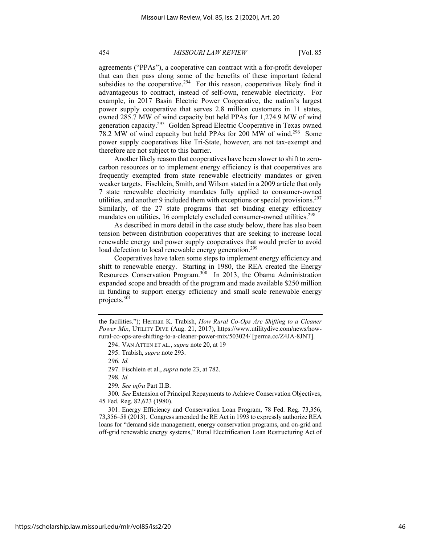agreements ("PPAs"), a cooperative can contract with a for-profit developer that can then pass along some of the benefits of these important federal subsidies to the cooperative.<sup>294</sup> For this reason, cooperatives likely find it advantageous to contract, instead of self-own, renewable electricity. For example, in 2017 Basin Electric Power Cooperative, the nation's largest power supply cooperative that serves 2.8 million customers in 11 states, owned 285.7 MW of wind capacity but held PPAs for 1,274.9 MW of wind generation capacity.295 Golden Spread Electric Cooperative in Texas owned 78.2 MW of wind capacity but held PPAs for 200 MW of wind.296 Some power supply cooperatives like Tri-State, however, are not tax-exempt and therefore are not subject to this barrier.

Another likely reason that cooperatives have been slower to shift to zerocarbon resources or to implement energy efficiency is that cooperatives are frequently exempted from state renewable electricity mandates or given weaker targets. Fischlein, Smith, and Wilson stated in a 2009 article that only 7 state renewable electricity mandates fully applied to consumer-owned utilities, and another 9 included them with exceptions or special provisions.<sup>297</sup> Similarly, of the 27 state programs that set binding energy efficiency mandates on utilities, 16 completely excluded consumer-owned utilities.<sup>298</sup>

As described in more detail in the case study below, there has also been tension between distribution cooperatives that are seeking to increase local renewable energy and power supply cooperatives that would prefer to avoid load defection to local renewable energy generation.<sup>299</sup>

Cooperatives have taken some steps to implement energy efficiency and shift to renewable energy. Starting in 1980, the REA created the Energy Resources Conservation Program.300 In 2013, the Obama Administration expanded scope and breadth of the program and made available \$250 million in funding to support energy efficiency and small scale renewable energy projects.<sup>301</sup>

298*. Id.*

299*. See infra* Part II.B.

300*. See* Extension of Principal Repayments to Achieve Conservation Objectives, 45 Fed. Reg. 82,623 (1980).

301. Energy Efficiency and Conservation Loan Program, 78 Fed. Reg. 73,356, 73,356–58 (2013). Congress amended the RE Act in 1993 to expressly authorize REA loans for "demand side management, energy conservation programs, and on-grid and off-grid renewable energy systems," Rural Electrification Loan Restructuring Act of

the facilities."); Herman K. Trabish, *How Rural Co-Ops Are Shifting to a Cleaner Power Mix*, UTILITY DIVE (Aug. 21, 2017), https://www.utilitydive.com/news/howrural-co-ops-are-shifting-to-a-cleaner-power-mix/503024/ [perma.cc/Z4JA-8JNT].

<sup>294.</sup> VAN ATTEN ET AL., *supra* note 20, at 19

<sup>295.</sup> Trabish, *supra* note 293.

<sup>296</sup>*. Id.*

<sup>297.</sup> Fischlein et al., *supra* note 23, at 782.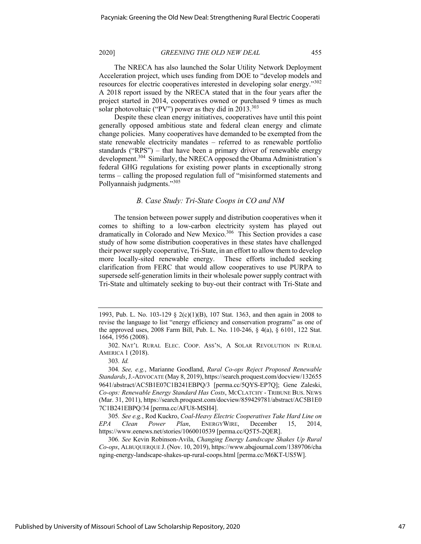The NRECA has also launched the Solar Utility Network Deployment Acceleration project, which uses funding from DOE to "develop models and resources for electric cooperatives interested in developing solar energy."302 A 2018 report issued by the NRECA stated that in the four years after the project started in 2014, cooperatives owned or purchased 9 times as much solar photovoltaic ("PV") power as they did in  $2013.^{303}$ 

Despite these clean energy initiatives, cooperatives have until this point generally opposed ambitious state and federal clean energy and climate change policies. Many cooperatives have demanded to be exempted from the state renewable electricity mandates – referred to as renewable portfolio standards ("RPS") – that have been a primary driver of renewable energy development.<sup>304</sup> Similarly, the NRECA opposed the Obama Administration's federal GHG regulations for existing power plants in exceptionally strong terms – calling the proposed regulation full of "misinformed statements and Pollyannaish judgments."<sup>305</sup>

## *B. Case Study: Tri-State Coops in CO and NM*

The tension between power supply and distribution cooperatives when it comes to shifting to a low-carbon electricity system has played out dramatically in Colorado and New Mexico.<sup>306</sup> This Section provides a case study of how some distribution cooperatives in these states have challenged their power supply cooperative, Tri-State, in an effort to allow them to develop more locally-sited renewable energy. These efforts included seeking clarification from FERC that would allow cooperatives to use PURPA to supersede self-generation limits in their wholesale power supply contract with Tri-State and ultimately seeking to buy-out their contract with Tri-State and

<sup>1993,</sup> Pub. L. No. 103-129  $\Sigma$  2(c)(1)(B), 107 Stat. 1363, and then again in 2008 to revise the language to list "energy efficiency and conservation programs" as one of the approved uses, 2008 Farm Bill, Pub. L. No. 110-246, § 4(a), § 6101, 122 Stat. 1664, 1956 (2008).

<sup>302.</sup> NAT'L RURAL ELEC. COOP. ASS'N, A SOLAR REVOLUTION IN RURAL AMERICA 1 (2018).

<sup>303</sup>*. Id.*

<sup>304</sup>*. See, e.g.*, Marianne Goodland, *Rural Co-ops Reject Proposed Renewable Standards*, J.-ADVOCATE (May 8, 2019), https://search.proquest.com/docview/132655 9641/abstract/AC5B1E07C1B241EBPQ/3 [perma.cc/5QYS-EP7Q]; Gene Zaleski, *Co-ops: Renewable Energy Standard Has Costs*, MCCLATCHY - TRIBUNE BUS. NEWS (Mar. 31, 2011), https://search.proquest.com/docview/859429781/abstract/AC5B1E0 7C1B241EBPQ/34 [perma.cc/AFU8-MSH4].

<sup>305</sup>*. See e.g.*, Rod Kuckro, *Coal-Heavy Electric Cooperatives Take Hard Line on EPA Clean Power Plan*, ENERGYWIRE, December 15, 2014, https://www.eenews.net/stories/1060010539 [perma.cc/Q5T5-2QER].

<sup>306</sup>*. See* Kevin Robinson-Avila, *Changing Energy Landscape Shakes Up Rural Co-ops*, ALBUQUERQUE J. (Nov. 10, 2019), https://www.abqjournal.com/1389706/cha nging-energy-landscape-shakes-up-rural-coops.html [perma.cc/M6KT-US5W].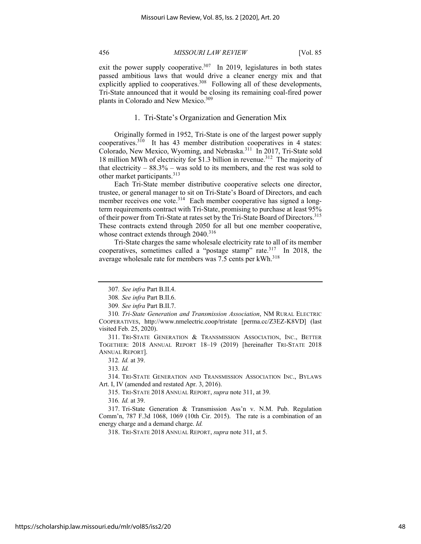exit the power supply cooperative.<sup>307</sup> In 2019, legislatures in both states passed ambitious laws that would drive a cleaner energy mix and that explicitly applied to cooperatives.<sup>308</sup> Following all of these developments, Tri-State announced that it would be closing its remaining coal-fired power plants in Colorado and New Mexico.<sup>309</sup>

## 1. Tri-State's Organization and Generation Mix

Originally formed in 1952, Tri-State is one of the largest power supply cooperatives.<sup>310</sup> It has 43 member distribution cooperatives in 4 states: Colorado, New Mexico, Wyoming, and Nebraska.<sup>311</sup> In 2017, Tri-State sold 18 million MWh of electricity for \$1.3 billion in revenue.312 The majority of that electricity  $-88.3\%$  – was sold to its members, and the rest was sold to other market participants.<sup>313</sup>

Each Tri-State member distributive cooperative selects one director, trustee, or general manager to sit on Tri-State's Board of Directors, and each member receives one vote.<sup>314</sup> Each member cooperative has signed a longterm requirements contract with Tri-State, promising to purchase at least 95% of their power from Tri-State at rates set by the Tri-State Board of Directors.315 These contracts extend through 2050 for all but one member cooperative, whose contract extends through 2040.<sup>316</sup>

Tri-State charges the same wholesale electricity rate to all of its member cooperatives, sometimes called a "postage stamp" rate.317 In 2018, the average wholesale rate for members was 7.5 cents per kWh.<sup>318</sup>

316*. Id.* at 39.

318. TRI-STATE 2018 ANNUAL REPORT, *supra* note 311, at 5.

<sup>307</sup>*. See infra* Part B.II.4.

<sup>308</sup>*. See infra* Part B.II.6.

<sup>309</sup>*. See infra* Part B.II.7.

<sup>310</sup>*. Tri-State Generation and Transmission Association*, NM RURAL ELECTRIC COOPERATIVES, http://www.nmelectric.coop/tristate [perma.cc/Z3EZ-K8VD] (last visited Feb. 25, 2020).

<sup>311.</sup> TRI-STATE GENERATION & TRANSMISSION ASSOCIATION, INC., BETTER TOGETHER: 2018 ANNUAL REPORT 18–19 (2019) [hereinafter TRI-STATE 2018 ANNUAL REPORT].

<sup>312</sup>*. Id.* at 39.

<sup>313</sup>*. Id.*

<sup>314.</sup> TRI-STATE GENERATION AND TRANSMISSION ASSOCIATION INC., BYLAWS Art. I, IV (amended and restated Apr. 3, 2016).

<sup>315.</sup> TRI-STATE 2018 ANNUAL REPORT, *supra* note 311, at 39.

<sup>317.</sup> Tri-State Generation & Transmission Ass'n v. N.M. Pub. Regulation Comm'n, 787 F.3d 1068, 1069 (10th Cir. 2015). The rate is a combination of an energy charge and a demand charge. *Id.*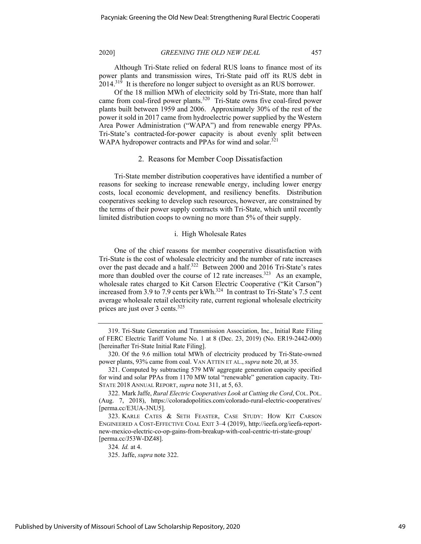Although Tri-State relied on federal RUS loans to finance most of its power plants and transmission wires, Tri-State paid off its RUS debt in  $2014<sup>319</sup>$  It is therefore no longer subject to oversight as an RUS borrower.

Of the 18 million MWh of electricity sold by Tri-State, more than half came from coal-fired power plants.<sup>320</sup> Tri-State owns five coal-fired power plants built between 1959 and 2006. Approximately 30% of the rest of the power it sold in 2017 came from hydroelectric power supplied by the Western Area Power Administration ("WAPA") and from renewable energy PPAs. Tri-State's contracted-for-power capacity is about evenly split between WAPA hydropower contracts and PPAs for wind and solar.<sup>321</sup>

#### 2. Reasons for Member Coop Dissatisfaction

Tri-State member distribution cooperatives have identified a number of reasons for seeking to increase renewable energy, including lower energy costs, local economic development, and resiliency benefits. Distribution cooperatives seeking to develop such resources, however, are constrained by the terms of their power supply contracts with Tri-State, which until recently limited distribution coops to owning no more than 5% of their supply.

## i. High Wholesale Rates

One of the chief reasons for member cooperative dissatisfaction with Tri-State is the cost of wholesale electricity and the number of rate increases over the past decade and a half.<sup>322</sup> Between 2000 and 2016 Tri-State's rates more than doubled over the course of 12 rate increases.<sup>323</sup> As an example, wholesale rates charged to Kit Carson Electric Cooperative ("Kit Carson") increased from 3.9 to 7.9 cents per kWh.<sup>324</sup> In contrast to Tri-State's 7.5 cent average wholesale retail electricity rate, current regional wholesale electricity prices are just over 3 cents.<sup>325</sup>

<sup>319.</sup> Tri-State Generation and Transmission Association, Inc., Initial Rate Filing of FERC Electric Tariff Volume No. 1 at 8 (Dec. 23, 2019) (No. ER19-2442-000) [hereinafter Tri-State Initial Rate Filing].

<sup>320.</sup> Of the 9.6 million total MWh of electricity produced by Tri-State-owned power plants, 93% came from coal. VAN ATTEN ET AL.,*supra* note 20, at 35.

<sup>321.</sup> Computed by subtracting 579 MW aggregate generation capacity specified for wind and solar PPAs from 1170 MW total "renewable" generation capacity. TRI-STATE 2018 ANNUAL REPORT, *supra* note 311, at 5, 63.

<sup>322.</sup> Mark Jaffe, *Rural Electric Cooperatives Look at Cutting the Cord*, COL. POL. (Aug. 7, 2018), https://coloradopolitics.com/colorado-rural-electric-cooperatives/ [perma.cc/E3UA-3NU5].

<sup>323.</sup> KARLE CATES & SETH FEASTER, CASE STUDY: HOW KIT CARSON ENGINEERED A COST-EFFECTIVE COAL EXIT 3–4 (2019), http://ieefa.org/ieefa-reportnew-mexico-electric-co-op-gains-from-breakup-with-coal-centric-tri-state-group/ [perma.cc/J53W-DZ48].

<sup>324</sup>*. Id.* at 4.

<sup>325.</sup> Jaffe, *supra* note 322.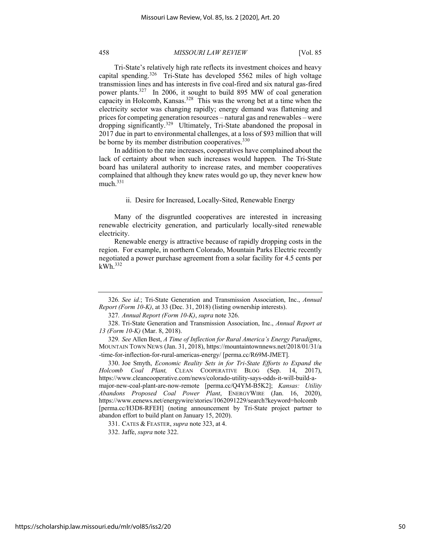Tri-State's relatively high rate reflects its investment choices and heavy capital spending.<sup>326</sup> Tri-State has developed 5562 miles of high voltage transmission lines and has interests in five coal-fired and six natural gas-fired power plants.327 In 2006, it sought to build 895 MW of coal generation capacity in Holcomb, Kansas.328 This was the wrong bet at a time when the electricity sector was changing rapidly; energy demand was flattening and prices for competing generation resources – natural gas and renewables – were dropping significantly.<sup>329</sup> Ultimately, Tri-State abandoned the proposal in 2017 due in part to environmental challenges, at a loss of \$93 million that will be borne by its member distribution cooperatives.<sup>330</sup>

In addition to the rate increases, cooperatives have complained about the lack of certainty about when such increases would happen. The Tri-State board has unilateral authority to increase rates, and member cooperatives complained that although they knew rates would go up, they never knew how much. $331$ 

## ii. Desire for Increased, Locally-Sited, Renewable Energy

Many of the disgruntled cooperatives are interested in increasing renewable electricity generation, and particularly locally-sited renewable electricity.

Renewable energy is attractive because of rapidly dropping costs in the region. For example, in northern Colorado, Mountain Parks Electric recently negotiated a power purchase agreement from a solar facility for 4.5 cents per kWh. 332

<sup>326</sup>*. See id.*; Tri-State Generation and Transmission Association, Inc., *Annual Report (Form 10-K)*, at 33 (Dec. 31, 2018) (listing ownership interests).

<sup>327</sup>*. Annual Report (Form 10-K)*, *supra* note 326.

<sup>328.</sup> Tri-State Generation and Transmission Association, Inc., *Annual Report at 13 (Form 10-K)* (Mar. 8, 2018).

<sup>329</sup>*. See* Allen Best, *A Time of Inflection for Rural America's Energy Paradigms*, MOUNTAIN TOWN NEWS (Jan. 31, 2018), https://mountaintownnews.net/2018/01/31/a -time-for-inflection-for-rural-americas-energy/ [perma.cc/R69M-JMET].

<sup>330.</sup> Joe Smyth, *Economic Reality Sets in for Tri-State Efforts to Expand the Holcomb Coal Plant,* CLEAN COOPERATIVE BLOG (Sep. 14, 2017), https://www.cleancooperative.com/news/colorado-utility-says-odds-it-will-build-amajor-new-coal-plant-are-now-remote [perma.cc/Q4YM-B5K2]; *Kansas: Utility Abandons Proposed Coal Power Plant*, ENERGYWIRE (Jan. 16, 2020), https://www.eenews.net/energywire/stories/1062091229/search?keyword=holcomb [perma.cc/H3D8-RFEH] (noting announcement by Tri-State project partner to abandon effort to build plant on January 15, 2020).

<sup>331.</sup> CATES & FEASTER, *supra* note 323, at 4.

<sup>332.</sup> Jaffe, *supra* note 322.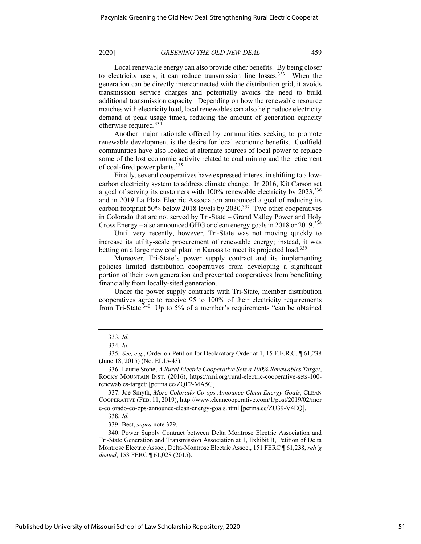Local renewable energy can also provide other benefits. By being closer to electricity users, it can reduce transmission line losses.<sup>333</sup> When the generation can be directly interconnected with the distribution grid, it avoids transmission service charges and potentially avoids the need to build additional transmission capacity. Depending on how the renewable resource matches with electricity load, local renewables can also help reduce electricity demand at peak usage times, reducing the amount of generation capacity otherwise required.<sup>334</sup>

Another major rationale offered by communities seeking to promote renewable development is the desire for local economic benefits. Coalfield communities have also looked at alternate sources of local power to replace some of the lost economic activity related to coal mining and the retirement of coal-fired power plants.335

Finally, several cooperatives have expressed interest in shifting to a lowcarbon electricity system to address climate change. In 2016, Kit Carson set a goal of serving its customers with 100% renewable electricity by 2023,<sup>336</sup> and in 2019 La Plata Electric Association announced a goal of reducing its carbon footprint 50% below 2018 levels by 2030.337 Two other cooperatives in Colorado that are not served by Tri-State – Grand Valley Power and Holy Cross Energy – also announced GHG or clean energy goals in 2018 or 2019.338

Until very recently, however, Tri-State was not moving quickly to increase its utility-scale procurement of renewable energy; instead, it was betting on a large new coal plant in Kansas to meet its projected load.<sup>339</sup>

Moreover, Tri-State's power supply contract and its implementing policies limited distribution cooperatives from developing a significant portion of their own generation and prevented cooperatives from benefitting financially from locally-sited generation.

Under the power supply contracts with Tri-State, member distribution cooperatives agree to receive 95 to 100% of their electricity requirements from Tri-State.<sup>340</sup> Up to 5% of a member's requirements "can be obtained

338*. Id.*

339. Best, *supra* note 329.

340. Power Supply Contract between Delta Montrose Electric Association and Tri-State Generation and Transmission Association at 1, Exhibit B, Petition of Delta Montrose Electric Assoc., Delta-Montrose Electric Assoc., 151 FERC ¶ 61,238, *reh'g denied*, 153 FERC ¶ 61,028 (2015).

<sup>333</sup>*. Id.*

<sup>334</sup>*. Id.*

<sup>335</sup>*. See, e.g.*, Order on Petition for Declaratory Order at 1, 15 F.E.R.C. ¶ 61,238 (June 18, 2015) (No. EL15-43).

<sup>336.</sup> Laurie Stone, *A Rural Electric Cooperative Sets a 100% Renewables Target*, ROCKY MOUNTAIN INST. (2016), https://rmi.org/rural-electric-cooperative-sets-100 renewables-target/ [perma.cc/ZQF2-MA5G].

<sup>337.</sup> Joe Smyth, *More Colorado Co-ops Announce Clean Energy Goals*, CLEAN COOPERATIVE (FEB. 11, 2019), http://www.cleancooperative.com/1/post/2019/02/mor e-colorado-co-ops-announce-clean-energy-goals.html [perma.cc/ZU39-V4EQ].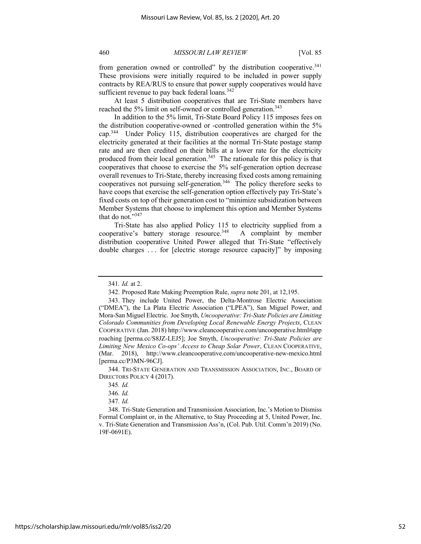from generation owned or controlled" by the distribution cooperative.<sup>341</sup> These provisions were initially required to be included in power supply contracts by REA/RUS to ensure that power supply cooperatives would have sufficient revenue to pay back federal loans. $342$ 

At least 5 distribution cooperatives that are Tri-State members have reached the 5% limit on self-owned or controlled generation.<sup>343</sup>

In addition to the 5% limit, Tri-State Board Policy 115 imposes fees on the distribution cooperative-owned or -controlled generation within the 5% cap.344 Under Policy 115, distribution cooperatives are charged for the electricity generated at their facilities at the normal Tri-State postage stamp rate and are then credited on their bills at a lower rate for the electricity produced from their local generation.<sup>345</sup> The rationale for this policy is that cooperatives that choose to exercise the 5% self-generation option decrease overall revenues to Tri-State, thereby increasing fixed costs among remaining cooperatives not pursuing self-generation.<sup>346</sup> The policy therefore seeks to have coops that exercise the self-generation option effectively pay Tri-State's fixed costs on top of their generation cost to "minimize subsidization between Member Systems that choose to implement this option and Member Systems that do not."347

Tri-State has also applied Policy 115 to electricity supplied from a cooperative's battery storage resource.<sup>348</sup> A complaint by member distribution cooperative United Power alleged that Tri-State "effectively double charges . . . for [electric storage resource capacity]" by imposing

<sup>341</sup>*. Id.* at 2.

<sup>342.</sup> Proposed Rate Making Preemption Rule, *supra* note 201, at 12,195.

<sup>343.</sup> They include United Power, the Delta-Montrose Electric Association ("DMEA"), the La Plata Electric Association ("LPEA"), San Miguel Power, and Mora-San Miguel Electric. Joe Smyth, *Uncooperative: Tri-State Policies are Limiting Colorado Communities from Developing Local Renewable Energy Projects*, CLEAN COOPERATIVE (Jan. 2018) http://www.cleancooperative.com/uncooperative.html#app roaching [perma.cc/S8JZ-LEJ5]; Joe Smyth, *Uncooperative: Tri-State Policies are Limiting New Mexico Co-ops' Access to Cheap Solar Power*, CLEAN COOPERATIVE, (Mar. 2018), http://www.cleancooperative.com/uncooperative-new-mexico.html [perma.cc/P3MN-96CJ].

<sup>344.</sup> TRI-STATE GENERATION AND TRANSMISSION ASSOCIATION, INC., BOARD OF DIRECTORS POLICY 4 (2017).

<sup>345</sup>*. Id.* 

<sup>346</sup>*. Id.*

<sup>347</sup>*. Id.*

<sup>348.</sup> Tri-State Generation and Transmission Association, Inc.'s Motion to Dismiss Formal Complaint or, in the Alternative, to Stay Proceeding at 5, United Power, Inc. v. Tri-State Generation and Transmission Ass'n, (Col. Pub. Util. Comm'n 2019) (No. 19F-0691E).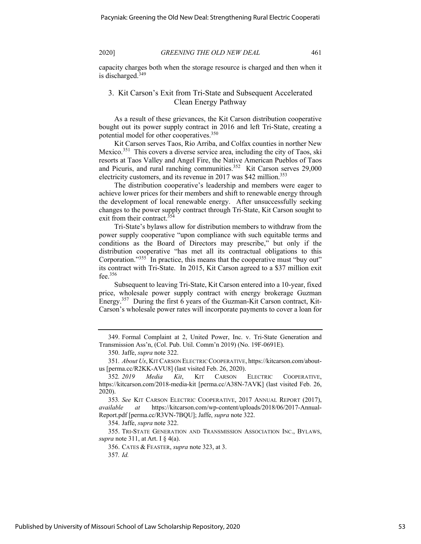capacity charges both when the storage resource is charged and then when it is discharged.<sup>349</sup>

# 3. Kit Carson's Exit from Tri-State and Subsequent Accelerated Clean Energy Pathway

As a result of these grievances, the Kit Carson distribution cooperative bought out its power supply contract in 2016 and left Tri-State, creating a potential model for other cooperatives.<sup>350</sup>

Kit Carson serves Taos, Rio Arriba, and Colfax counties in norther New Mexico.351 This covers a diverse service area, including the city of Taos, ski resorts at Taos Valley and Angel Fire, the Native American Pueblos of Taos and Picuris, and rural ranching communities.<sup>352</sup> Kit Carson serves 29,000 electricity customers, and its revenue in 2017 was \$42 million.<sup>353</sup>

The distribution cooperative's leadership and members were eager to achieve lower prices for their members and shift to renewable energy through the development of local renewable energy. After unsuccessfully seeking changes to the power supply contract through Tri-State, Kit Carson sought to exit from their contract.<sup>354</sup>

Tri-State's bylaws allow for distribution members to withdraw from the power supply cooperative "upon compliance with such equitable terms and conditions as the Board of Directors may prescribe," but only if the distribution cooperative "has met all its contractual obligations to this Corporation."<sup>355</sup> In practice, this means that the cooperative must "buy out" its contract with Tri-State. In 2015, Kit Carson agreed to a \$37 million exit fee. $356$ 

Subsequent to leaving Tri-State, Kit Carson entered into a 10-year, fixed price, wholesale power supply contract with energy brokerage Guzman Energy.357 During the first 6 years of the Guzman-Kit Carson contract, Kit-Carson's wholesale power rates will incorporate payments to cover a loan for

355. TRI-STATE GENERATION AND TRANSMISSION ASSOCIATION INC., BYLAWS, *supra* note 311, at Art. I § 4(a).

356. CATES & FEASTER, *supra* note 323, at 3.

357*. Id.*

<sup>349.</sup> Formal Complaint at 2, United Power, Inc. v. Tri-State Generation and Transmission Ass'n, (Col. Pub. Util. Comm'n 2019) (No. 19F-0691E).

<sup>350.</sup> Jaffe, *supra* note 322.

<sup>351</sup>*. About Us*, KIT CARSON ELECTRIC COOPERATIVE, https://kitcarson.com/aboutus [perma.cc/R2KK-AVU8] (last visited Feb. 26, 2020).

<sup>352</sup>*. 2019 Media Kit*, KIT CARSON ELECTRIC COOPERATIVE, https://kitcarson.com/2018-media-kit [perma.cc/A38N-7AVK] (last visited Feb. 26, 2020).

<sup>353</sup>*. See* KIT CARSON ELECTRIC COOPERATIVE, 2017 ANNUAL REPORT (2017), *available at* https://kitcarson.com/wp-content/uploads/2018/06/2017-Annual-Report.pdf [perma.cc/R3VN-7BQU]; Jaffe, *supra* note 322.

<sup>354.</sup> Jaffe, *supra* note 322.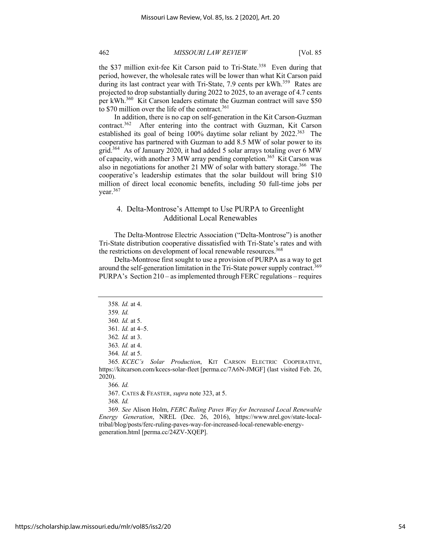the \$37 million exit-fee Kit Carson paid to Tri-State.<sup>358</sup> Even during that period, however, the wholesale rates will be lower than what Kit Carson paid during its last contract year with Tri-State, 7.9 cents per  $kWh$ <sup>359</sup> Rates are projected to drop substantially during 2022 to 2025, to an average of 4.7 cents per kWh.360 Kit Carson leaders estimate the Guzman contract will save \$50 to \$70 million over the life of the contract.<sup>361</sup>

In addition, there is no cap on self-generation in the Kit Carson-Guzman contract.362 After entering into the contract with Guzman, Kit Carson established its goal of being 100% daytime solar reliant by 2022.<sup>363</sup> The cooperative has partnered with Guzman to add 8.5 MW of solar power to its grid.<sup>364</sup> As of January 2020, it had added 5 solar arrays totaling over 6 MW of capacity, with another 3 MW array pending completion.<sup>365</sup> Kit Carson was also in negotiations for another 21 MW of solar with battery storage.<sup>366</sup> The cooperative's leadership estimates that the solar buildout will bring \$10 million of direct local economic benefits, including 50 full-time jobs per vear. $367$ 

# 4. Delta-Montrose's Attempt to Use PURPA to Greenlight Additional Local Renewables

The Delta-Montrose Electric Association ("Delta-Montrose") is another Tri-State distribution cooperative dissatisfied with Tri-State's rates and with the restrictions on development of local renewable resources.<sup>368</sup>

Delta-Montrose first sought to use a provision of PURPA as a way to get around the self-generation limitation in the Tri-State power supply contract.<sup>369</sup> PURPA's Section 210 – as implemented through FERC regulations – requires

366*. Id.*

367. CATES & FEASTER, *supra* note 323, at 5.

368*. Id.*

369*. See* Alison Holm, *FERC Ruling Paves Way for Increased Local Renewable Energy Generation*, NREL (Dec. 26, 2016), https://www.nrel.gov/state-localtribal/blog/posts/ferc-ruling-paves-way-for-increased-local-renewable-energygeneration.html [perma.cc/24ZV-XQEP].

<sup>358</sup>*. Id.* at 4.

<sup>359</sup>*. Id.*

<sup>360</sup>*. Id.* at 5.

<sup>361</sup>*. Id.* at 4–5.

<sup>362</sup>*. Id.* at 3.

<sup>363</sup>*. Id.* at 4.

<sup>364</sup>*. Id.* at 5.

<sup>365</sup>*. KCEC's Solar Production*, KIT CARSON ELECTRIC COOPERATIVE, https://kitcarson.com/kcecs-solar-fleet [perma.cc/7A6N-JMGF] (last visited Feb. 26, 2020).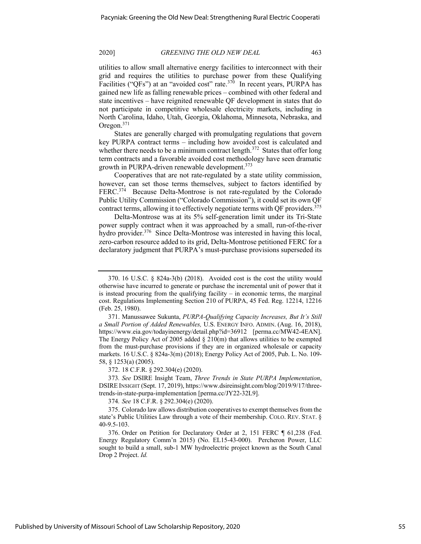utilities to allow small alternative energy facilities to interconnect with their grid and requires the utilities to purchase power from these Qualifying Facilities ("QFs") at an "avoided cost" rate.<sup>370</sup> In recent years, PURPA has gained new life as falling renewable prices – combined with other federal and state incentives – have reignited renewable QF development in states that do not participate in competitive wholesale electricity markets, including in North Carolina, Idaho, Utah, Georgia, Oklahoma, Minnesota, Nebraska, and Oregon.371

States are generally charged with promulgating regulations that govern key PURPA contract terms – including how avoided cost is calculated and whether there needs to be a minimum contract length.<sup>372</sup> States that offer long term contracts and a favorable avoided cost methodology have seen dramatic growth in PURPA-driven renewable development.<sup>373</sup>

Cooperatives that are not rate-regulated by a state utility commission, however, can set those terms themselves, subject to factors identified by FERC.<sup>374</sup> Because Delta-Montrose is not rate-regulated by the Colorado Public Utility Commission ("Colorado Commission"), it could set its own QF contract terms, allowing it to effectively negotiate terms with QF providers.<sup>375</sup>

Delta-Montrose was at its 5% self-generation limit under its Tri-State power supply contract when it was approached by a small, run-of-the-river hydro provider.<sup>376</sup> Since Delta-Montrose was interested in having this local, zero-carbon resource added to its grid, Delta-Montrose petitioned FERC for a declaratory judgment that PURPA's must-purchase provisions superseded its

372. 18 C.F.R. § 292.304(e) (2020).

373*. See* DSIRE Insight Team, *Three Trends in State PURPA Implementation*, DSIRE INSIGHT (Sept. 17, 2019), https://www.dsireinsight.com/blog/2019/9/17/threetrends-in-state-purpa-implementation [perma.cc/JY22-32L9].

374*. See* 18 C.F.R. § 292.304(e) (2020).

<sup>370.</sup> 16 U.S.C. § 824a-3(b) (2018). Avoided cost is the cost the utility would otherwise have incurred to generate or purchase the incremental unit of power that it is instead procuring from the qualifying facility – in economic terms, the marginal cost. Regulations Implementing Section 210 of PURPA, 45 Fed. Reg. 12214, 12216 (Feb. 25, 1980).

<sup>371.</sup> Manussawee Sukunta, *PURPA-Qualifying Capacity Increases, But It's Still a Small Portion of Added Renewables,* U.S. ENERGY INFO. ADMIN. (Aug. 16, 2018), https://www.eia.gov/todayinenergy/detail.php?id=36912 [perma.cc/MW42-4EAN]. The Energy Policy Act of 2005 added  $\S$  210(m) that allows utilities to be exempted from the must-purchase provisions if they are in organized wholesale or capacity markets. 16 U.S.C. § 824a-3(m) (2018); Energy Policy Act of 2005, Pub. L. No. 109- 58, § 1253(a) (2005).

<sup>375.</sup> Colorado law allows distribution cooperatives to exempt themselves from the state's Public Utilities Law through a vote of their membership. COLO. REV. STAT. § 40-9.5-103.

<sup>376.</sup> Order on Petition for Declaratory Order at 2, 151 FERC ¶ 61,238 (Fed. Energy Regulatory Comm'n 2015) (No. EL15-43-000). Percheron Power, LLC sought to build a small, sub-1 MW hydroelectric project known as the South Canal Drop 2 Project. *Id.*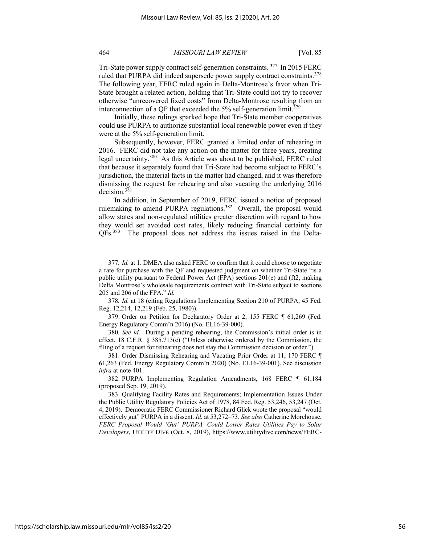Tri-State power supply contract self-generation constraints. 377 In 2015 FERC ruled that PURPA did indeed supersede power supply contract constraints.<sup>378</sup> The following year, FERC ruled again in Delta-Montrose's favor when Tri-State brought a related action, holding that Tri-State could not try to recover otherwise "unrecovered fixed costs" from Delta-Montrose resulting from an interconnection of a QF that exceeded the  $5\%$  self-generation limit.<sup>379</sup>

Initially, these rulings sparked hope that Tri-State member cooperatives could use PURPA to authorize substantial local renewable power even if they were at the 5% self-generation limit.

Subsequently, however, FERC granted a limited order of rehearing in 2016. FERC did not take any action on the matter for three years, creating legal uncertainty.380 As this Article was about to be published, FERC ruled that because it separately found that Tri-State had become subject to FERC's jurisdiction, the material facts in the matter had changed, and it was therefore dismissing the request for rehearing and also vacating the underlying 2016 decision.<sup>381</sup>

In addition, in September of 2019, FERC issued a notice of proposed rulemaking to amend PURPA regulations.<sup>382</sup> Overall, the proposal would allow states and non-regulated utilities greater discretion with regard to how they would set avoided cost rates, likely reducing financial certainty for QFs.383 The proposal does not address the issues raised in the Delta-

https://scholarship.law.missouri.edu/mlr/vol85/iss2/20

<sup>377</sup>*. Id.* at 1. DMEA also asked FERC to confirm that it could choose to negotiate a rate for purchase with the QF and requested judgment on whether Tri-State "is a public utility pursuant to Federal Power Act (FPA) sections 201(e) and (f)2, making Delta Montrose's wholesale requirements contract with Tri-State subject to sections 205 and 206 of the FPA." *Id.*

<sup>378</sup>*. Id.* at 18 (citing Regulations Implementing Section 210 of PURPA, 45 Fed. Reg. 12,214, 12,219 (Feb. 25, 1980)).

<sup>379.</sup> Order on Petition for Declaratory Order at 2, 155 FERC ¶ 61,269 (Fed. Energy Regulatory Comm'n 2016) (No. EL16-39-000).

<sup>380</sup>*. See id.* During a pending rehearing, the Commission's initial order is in effect. 18 C.F.R. § 385.713(e) ("Unless otherwise ordered by the Commission, the filing of a request for rehearing does not stay the Commission decision or order.").

<sup>381.</sup> Order Dismissing Rehearing and Vacating Prior Order at 11, 170 FERC ¶ 61,263 (Fed. Energy Regulatory Comm'n 2020) (No. EL16-39-001). See discussion *infra* at note 401.

<sup>382.</sup> PURPA Implementing Regulation Amendments, 168 FERC ¶ 61,184 (proposed Sep. 19, 2019).

<sup>383.</sup> Qualifying Facility Rates and Requirements; Implementation Issues Under the Public Utility Regulatory Policies Act of 1978, 84 Fed. Reg. 53,246, 53,247 (Oct. 4, 2019). Democratic FERC Commissioner Richard Glick wrote the proposal "would effectively gut" PURPA in a dissent. *Id.* at 53,272–73. *See also* Catherine Morehouse, *FERC Proposal Would 'Gut' PURPA, Could Lower Rates Utilities Pay to Solar Developers*, UTILITY DIVE (Oct. 8, 2019), https://www.utilitydive.com/news/FERC-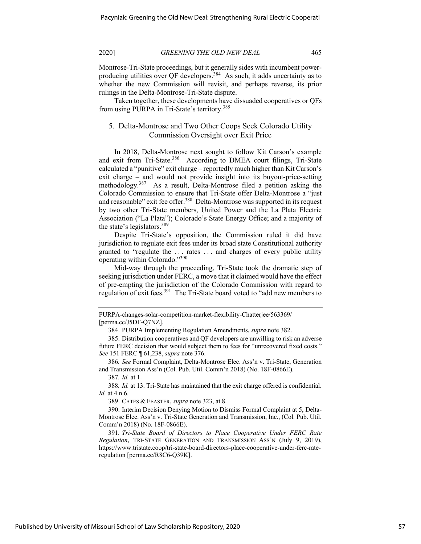Montrose-Tri-State proceedings, but it generally sides with incumbent powerproducing utilities over QF developers.<sup>384</sup> As such, it adds uncertainty as to whether the new Commission will revisit, and perhaps reverse, its prior rulings in the Delta-Montrose-Tri-State dispute.

Taken together, these developments have dissuaded cooperatives or QFs from using PURPA in Tri-State's territory.<sup>385</sup>

# 5. Delta-Montrose and Two Other Coops Seek Colorado Utility Commission Oversight over Exit Price

In 2018, Delta-Montrose next sought to follow Kit Carson's example and exit from Tri-State.<sup>386</sup> According to DMEA court filings, Tri-State calculated a "punitive" exit charge – reportedly much higher than Kit Carson's exit charge – and would not provide insight into its buyout-price-setting methodology.387 As a result, Delta-Montrose filed a petition asking the Colorado Commission to ensure that Tri-State offer Delta-Montrose a "just and reasonable" exit fee offer.<sup>388</sup> Delta-Montrose was supported in its request by two other Tri-State members, United Power and the La Plata Electric Association ("La Plata"); Colorado's State Energy Office; and a majority of the state's legislators.<sup>389</sup>

Despite Tri-State's opposition, the Commission ruled it did have jurisdiction to regulate exit fees under its broad state Constitutional authority granted to "regulate the . . . rates . . . and charges of every public utility operating within Colorado."390

Mid-way through the proceeding, Tri-State took the dramatic step of seeking jurisdiction under FERC, a move that it claimed would have the effect of pre-empting the jurisdiction of the Colorado Commission with regard to regulation of exit fees.<sup>391</sup> The Tri-State board voted to "add new members to

386*. See* Formal Complaint, Delta-Montrose Elec. Ass'n v. Tri-State, Generation and Transmission Ass'n (Col. Pub. Util. Comm'n 2018) (No. 18F-0866E).

387*. Id.* at 1.

388*. Id.* at 13. Tri-State has maintained that the exit charge offered is confidential. *Id.* at 4 n.6.

389. CATES & FEASTER, *supra* note 323, at 8.

390. Interim Decision Denying Motion to Dismiss Formal Complaint at 5, Delta-Montrose Elec. Ass'n v. Tri-State Generation and Transmission, Inc., (Col. Pub. Util. Comm'n 2018) (No. 18F-0866E).

391*. Tri-State Board of Directors to Place Cooperative Under FERC Rate Regulation*, TRI-STATE GENERATION AND TRANSMISSION ASS'N (July 9, 2019), https://www.tristate.coop/tri-state-board-directors-place-cooperative-under-ferc-rateregulation [perma.cc/R8C6-Q39K].

PURPA-changes-solar-competition-market-flexibility-Chatterjee/563369/ [perma.cc/J5DF-Q7NZ].

<sup>384.</sup> PURPA Implementing Regulation Amendments, *supra* note 382.

<sup>385.</sup> Distribution cooperatives and QF developers are unwilling to risk an adverse future FERC decision that would subject them to fees for "unrecovered fixed costs." *See* 151 FERC ¶ 61,238, *supra* note 376.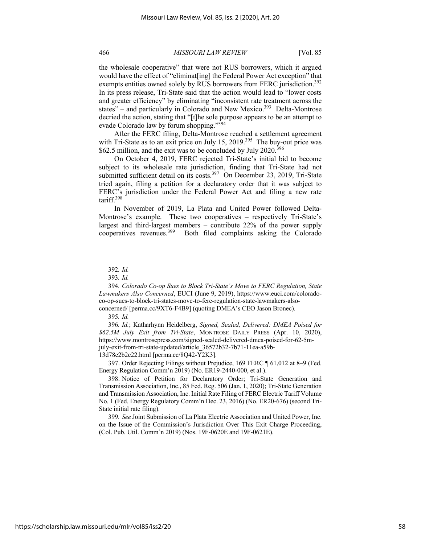the wholesale cooperative" that were not RUS borrowers, which it argued would have the effect of "eliminat[ing] the Federal Power Act exception" that exempts entities owned solely by RUS borrowers from FERC jurisdiction.<sup>392</sup> In its press release, Tri-State said that the action would lead to "lower costs and greater efficiency" by eliminating "inconsistent rate treatment across the states" – and particularly in Colorado and New Mexico.<sup>393</sup> Delta-Montrose decried the action, stating that "[t]he sole purpose appears to be an attempt to evade Colorado law by forum shopping."<sup>394</sup>

After the FERC filing, Delta-Montrose reached a settlement agreement with Tri-State as to an exit price on July 15, 2019.<sup>395</sup> The buy-out price was \$62.5 million, and the exit was to be concluded by July 2020.<sup>396</sup>

On October 4, 2019, FERC rejected Tri-State's initial bid to become subject to its wholesale rate jurisdiction, finding that Tri-State had not submitted sufficient detail on its costs.<sup>397</sup> On December 23, 2019, Tri-State tried again, filing a petition for a declaratory order that it was subject to FERC's jurisdiction under the Federal Power Act and filing a new rate tariff.398

In November of 2019, La Plata and United Power followed Delta-Montrose's example. These two cooperatives – respectively Tri-State's largest and third-largest members – contribute 22% of the power supply cooperatives revenues.399 Both filed complaints asking the Colorado

397. Order Rejecting Filings without Prejudice, 169 FERC ¶ 61,012 at 8–9 (Fed. Energy Regulation Comm'n 2019) (No. ER19-2440-000, et al.).

398. Notice of Petition for Declaratory Order; Tri-State Generation and Transmission Association, Inc., 85 Fed. Reg. 506 (Jan. 1, 2020); Tri-State Generation and Transmission Association, Inc. Initial Rate Filing of FERC Electric Tariff Volume No. 1 (Fed. Energy Regulatory Comm'n Dec. 23, 2016) (No. ER20-676) (second Tri-State initial rate filing).

399*. See* Joint Submission of La Plata Electric Association and United Power, Inc. on the Issue of the Commission's Jurisdiction Over This Exit Charge Proceeding, (Col. Pub. Util. Comm'n 2019) (Nos. 19F-0620E and 19F-0621E).

<sup>392</sup>*. Id.*

<sup>393</sup>*. Id.* 

<sup>394</sup>*. Colorado Co-op Sues to Block Tri-State's Move to FERC Regulation, State Lawmakers Also Concerned*, EUCI (June 9, 2019), https://www.euci.com/coloradoco-op-sues-to-block-tri-states-move-to-ferc-regulation-state-lawmakers-alsoconcerned/ [perma.cc/9XT6-F4B9] (quoting DMEA's CEO Jason Bronec).

<sup>395</sup>*. Id.*

<sup>396</sup>*. Id.*; Katharhynn Heidelberg, *Signed, Sealed, Delivered: DMEA Poised for \$62.5M July Exit from Tri-State*, MONTROSE DAILY PRESS (Apr. 10, 2020), https://www.montrosepress.com/signed-sealed-delivered-dmea-poised-for-62-5mjuly-exit-from-tri-state-updated/article\_36572b32-7b71-11ea-a59b-13d78c2b2c22.html [perma.cc/8Q42-Y2K3].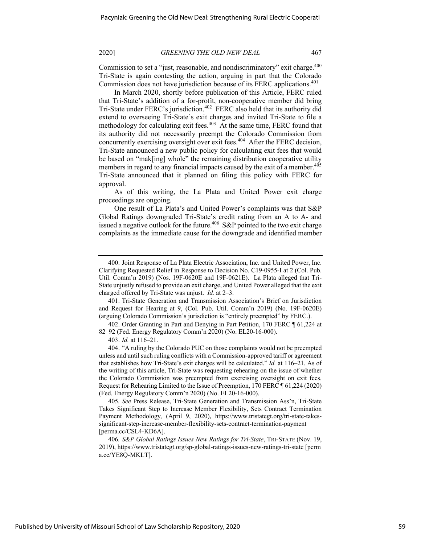Commission to set a "just, reasonable, and nondiscriminatory" exit charge.<sup>400</sup> Tri-State is again contesting the action, arguing in part that the Colorado Commission does not have jurisdiction because of its FERC applications.<sup>401</sup>

In March 2020, shortly before publication of this Article, FERC ruled that Tri-State's addition of a for-profit, non-cooperative member did bring Tri-State under FERC's jurisdiction.<sup>402</sup> FERC also held that its authority did extend to overseeing Tri-State's exit charges and invited Tri-State to file a methodology for calculating exit fees.<sup>403</sup> At the same time, FERC found that its authority did not necessarily preempt the Colorado Commission from concurrently exercising oversight over exit fees.404 After the FERC decision, Tri-State announced a new public policy for calculating exit fees that would be based on "mak[ing] whole" the remaining distribution cooperative utility members in regard to any financial impacts caused by the exit of a member.<sup>405</sup> Tri-State announced that it planned on filing this policy with FERC for approval.

As of this writing, the La Plata and United Power exit charge proceedings are ongoing.

One result of La Plata's and United Power's complaints was that S&P Global Ratings downgraded Tri-State's credit rating from an A to A- and issued a negative outlook for the future.<sup>406</sup> S&P pointed to the two exit charge complaints as the immediate cause for the downgrade and identified member

401. Tri-State Generation and Transmission Association's Brief on Jurisdiction and Request for Hearing at 9, (Col. Pub. Util. Comm'n 2019) (No. 19F-0620E) (arguing Colorado Commission's jurisdiction is "entirely preempted" by FERC.).

402. Order Granting in Part and Denying in Part Petition, 170 FERC ¶ 61,224 at 82–92 (Fed. Energy Regulatory Comm'n 2020) (No. EL20-16-000).

403. *Id.* at 116–21.

404. "A ruling by the Colorado PUC on those complaints would not be preempted unless and until such ruling conflicts with a Commission-approved tariff or agreement that establishes how Tri-State's exit charges will be calculated." *Id.* at 116–21. As of the writing of this article, Tri-State was requesting rehearing on the issue of whether the Colorado Commission was preempted from exercising oversight on exit fees. Request for Rehearing Limited to the Issue of Preemption, 170 FERC ¶ 61,224 (2020) (Fed. Energy Regulatory Comm'n 2020) (No. EL20-16-000).

405*. See* Press Release, Tri-State Generation and Transmission Ass'n, Tri-State Takes Significant Step to Increase Member Flexibility, Sets Contract Termination Payment Methodology*,* (April 9, 2020), https://www.tristategt.org/tri-state-takessignificant-step-increase-member-flexibility-sets-contract-termination-payment [perma.cc/CSL4-KD6A].

406*. S&P Global Ratings Issues New Ratings for Tri-State*, TRI-STATE (Nov. 19, 2019), https://www.tristategt.org/sp-global-ratings-issues-new-ratings-tri-state [perm a.cc/YE8Q-MKLT].

<sup>400.</sup> Joint Response of La Plata Electric Association, Inc. and United Power, Inc. Clarifying Requested Relief in Response to Decision No. C19-0955-I at 2 (Col. Pub. Util. Comm'n 2019) (Nos. 19F-0620E and 19F-0621E). La Plata alleged that Tri-State unjustly refused to provide an exit charge, and United Power alleged that the exit charged offered by Tri-State was unjust. *Id.* at 2–3.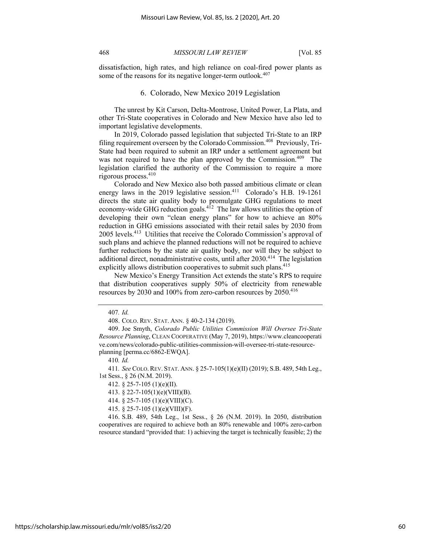dissatisfaction, high rates, and high reliance on coal-fired power plants as some of the reasons for its negative longer-term outlook. $407$ 

## 6. Colorado, New Mexico 2019 Legislation

The unrest by Kit Carson, Delta-Montrose, United Power, La Plata, and other Tri-State cooperatives in Colorado and New Mexico have also led to important legislative developments.

In 2019, Colorado passed legislation that subjected Tri-State to an IRP filing requirement overseen by the Colorado Commission.408 Previously, Tri-State had been required to submit an IRP under a settlement agreement but was not required to have the plan approved by the Commission.<sup>409</sup> The legislation clarified the authority of the Commission to require a more rigorous process.<sup>410</sup>

Colorado and New Mexico also both passed ambitious climate or clean energy laws in the 2019 legislative session.<sup>411</sup> Colorado's H.B. 19-1261 directs the state air quality body to promulgate GHG regulations to meet economy-wide GHG reduction goals. $4^{12}$  The law allows utilities the option of developing their own "clean energy plans" for how to achieve an 80% reduction in GHG emissions associated with their retail sales by 2030 from 2005 levels.413 Utilities that receive the Colorado Commission's approval of such plans and achieve the planned reductions will not be required to achieve further reductions by the state air quality body, nor will they be subject to additional direct, nonadministrative costs, until after  $2030$ .<sup>414</sup> The legislation explicitly allows distribution cooperatives to submit such plans.<sup>415</sup>

New Mexico's Energy Transition Act extends the state's RPS to require that distribution cooperatives supply 50% of electricity from renewable resources by 2030 and 100% from zero-carbon resources by 2050.<sup>416</sup>

410*. Id.* 

411*. See* COLO.REV. STAT. ANN. § 25-7-105(1)(e)(II) (2019); S.B. 489, 54th Leg., 1st Sess., § 26 (N.M. 2019).

414. § 25-7-105 (1)(e)(VIII)(C).

415. § 25-7-105 (1)(e)(VIII)(F).

416. S.B. 489, 54th Leg., 1st Sess., § 26 (N.M. 2019). In 2050, distribution cooperatives are required to achieve both an 80% renewable and 100% zero-carbon resource standard "provided that: 1) achieving the target is technically feasible; 2) the

<sup>407</sup>*. Id.*

<sup>408.</sup> COLO. REV. STAT. ANN. § 40-2-134 (2019).

<sup>409.</sup> Joe Smyth, *Colorado Public Utilities Commission Will Oversee Tri-State Resource Planning*, CLEAN COOPERATIVE (May 7, 2019), https://www.cleancooperati ve.com/news/colorado-public-utilities-commission-will-oversee-tri-state-resourceplanning [perma.cc/6862-EWQA].

<sup>412.</sup> § 25-7-105 (1)(e)(II).

<sup>413.</sup> § 22-7-105(1)(e)(VIII)(B).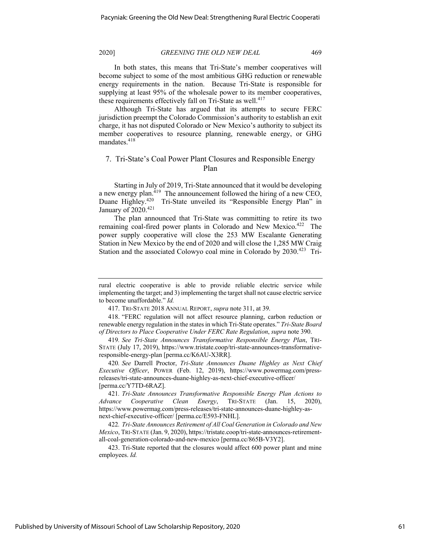In both states, this means that Tri-State's member cooperatives will become subject to some of the most ambitious GHG reduction or renewable energy requirements in the nation. Because Tri-State is responsible for supplying at least 95% of the wholesale power to its member cooperatives, these requirements effectively fall on Tri-State as well.<sup>417</sup>

Although Tri-State has argued that its attempts to secure FERC jurisdiction preempt the Colorado Commission's authority to establish an exit charge, it has not disputed Colorado or New Mexico's authority to subject its member cooperatives to resource planning, renewable energy, or GHG mandates.<sup>418</sup>

# 7. Tri-State's Coal Power Plant Closures and Responsible Energy Plan

Starting in July of 2019, Tri-State announced that it would be developing a new energy plan.<sup>419</sup> The announcement followed the hiring of a new CEO, Duane Highley.<sup>420</sup> Tri-State unveiled its "Responsible Energy Plan" in January of  $2020$ .<sup>421</sup>

The plan announced that Tri-State was committing to retire its two remaining coal-fired power plants in Colorado and New Mexico.<sup>422</sup> The power supply cooperative will close the 253 MW Escalante Generating Station in New Mexico by the end of 2020 and will close the 1,285 MW Craig Station and the associated Colowyo coal mine in Colorado by 2030.<sup>423</sup> Tri-

rural electric cooperative is able to provide reliable electric service while implementing the target; and 3) implementing the target shall not cause electric service to become unaffordable." *Id.*

<sup>417.</sup> TRI-STATE 2018 ANNUAL REPORT, *supra* note 311, at 39.

<sup>418.</sup> "FERC regulation will not affect resource planning, carbon reduction or renewable energy regulation in the states in which Tri-State operates." *Tri-State Board of Directors to Place Cooperative Under FERC Rate Regulation*, *supra* note 390.

<sup>419</sup>*. See Tri-State Announces Transformative Responsible Energy Plan*, TRI-STATE (July 17, 2019), https://www.tristate.coop/tri-state-announces-transformativeresponsible-energy-plan [perma.cc/K6AU-X3RR].

<sup>420</sup>*. See* Darrell Proctor, *Tri-State Announces Duane Highley as Next Chief Executive Officer*, POWER (Feb. 12, 2019), https://www.powermag.com/pressreleases/tri-state-announces-duane-highley-as-next-chief-executive-officer/ [perma.cc/Y7TD-6RAZ].

<sup>421</sup>*. Tri-State Announces Transformative Responsible Energy Plan Actions to Advance Cooperative Clean Energy*, TRI-STATE (Jan. 15, 2020), https://www.powermag.com/press-releases/tri-state-announces-duane-highley-asnext-chief-executive-officer/ [perma.cc/E593-FNHL].

<sup>422</sup>*. Tri-State Announces Retirement of All Coal Generation in Colorado and New Mexico*, TRI-STATE (Jan. 9, 2020), https://tristate.coop/tri-state-announces-retirementall-coal-generation-colorado-and-new-mexico [perma.cc/865B-V3Y2].

<sup>423.</sup> Tri-State reported that the closures would affect 600 power plant and mine employees. *Id.*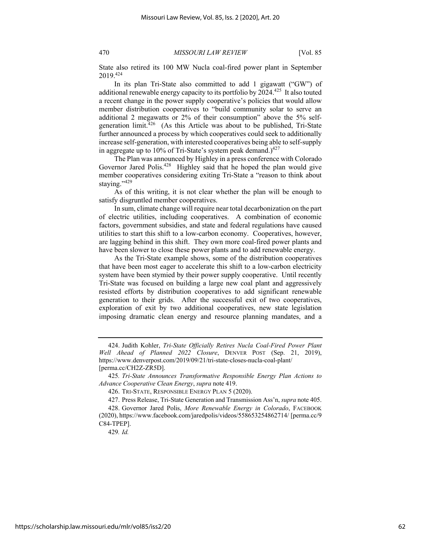State also retired its 100 MW Nucla coal-fired power plant in September 2019.424

In its plan Tri-State also committed to add 1 gigawatt ("GW") of additional renewable energy capacity to its portfolio by 2024.<sup>425</sup> It also touted a recent change in the power supply cooperative's policies that would allow member distribution cooperatives to "build community solar to serve an additional 2 megawatts or 2% of their consumption" above the 5% selfgeneration  $\lim_{x \to 26}$  (As this Article was about to be published, Tri-State further announced a process by which cooperatives could seek to additionally increase self-generation, with interested cooperatives being able to self-supply in aggregate up to 10% of Tri-State's system peak demand.) $427$ 

The Plan was announced by Highley in a press conference with Colorado Governor Jared Polis.<sup>428</sup> Highley said that he hoped the plan would give member cooperatives considering exiting Tri-State a "reason to think about staying."<sup>429</sup>

As of this writing, it is not clear whether the plan will be enough to satisfy disgruntled member cooperatives.

In sum, climate change will require near total decarbonization on the part of electric utilities, including cooperatives. A combination of economic factors, government subsidies, and state and federal regulations have caused utilities to start this shift to a low-carbon economy. Cooperatives, however, are lagging behind in this shift. They own more coal-fired power plants and have been slower to close these power plants and to add renewable energy.

As the Tri-State example shows, some of the distribution cooperatives that have been most eager to accelerate this shift to a low-carbon electricity system have been stymied by their power supply cooperative. Until recently Tri-State was focused on building a large new coal plant and aggressively resisted efforts by distribution cooperatives to add significant renewable generation to their grids. After the successful exit of two cooperatives, exploration of exit by two additional cooperatives, new state legislation imposing dramatic clean energy and resource planning mandates, and a

429*. Id.* 

<sup>424.</sup> Judith Kohler, *Tri-State Officially Retires Nucla Coal-Fired Power Plant Well Ahead of Planned 2022 Closure*, DENVER POST (Sep. 21, 2019), https://www.denverpost.com/2019/09/21/tri-state-closes-nucla-coal-plant/ [perma.cc/CH2Z-ZR5D].

<sup>425</sup>*. Tri-State Announces Transformative Responsible Energy Plan Actions to Advance Cooperative Clean Energy*, *supra* note 419.

<sup>426.</sup> TRI-STATE, RESPONSIBLE ENERGY PLAN 5 (2020).

<sup>427.</sup> Press Release, Tri-State Generation and Transmission Ass'n, *supra* note 405.

<sup>428.</sup> Governor Jared Polis, *More Renewable Energy in Colorado*, FACEBOOK (2020), https://www.facebook.com/jaredpolis/videos/558653254862714/ [perma.cc/9 C84-TPEP].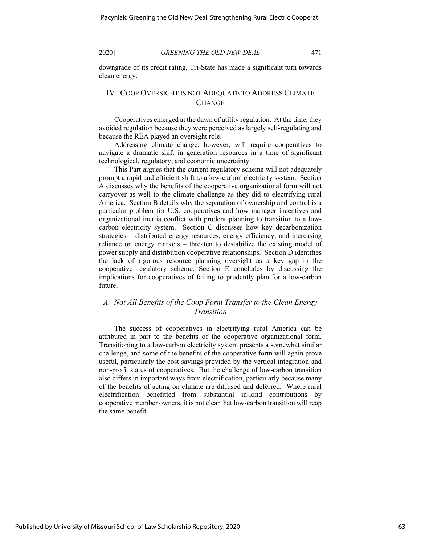downgrade of its credit rating, Tri-State has made a significant turn towards clean energy.

# IV. COOP OVERSIGHT IS NOT ADEQUATE TO ADDRESS CLIMATE **CHANGE**

Cooperatives emerged at the dawn of utility regulation. At the time, they avoided regulation because they were perceived as largely self-regulating and because the REA played an oversight role.

Addressing climate change, however, will require cooperatives to navigate a dramatic shift in generation resources in a time of significant technological, regulatory, and economic uncertainty.

This Part argues that the current regulatory scheme will not adequately prompt a rapid and efficient shift to a low-carbon electricity system. Section A discusses why the benefits of the cooperative organizational form will not carryover as well to the climate challenge as they did to electrifying rural America. Section B details why the separation of ownership and control is a particular problem for U.S. cooperatives and how manager incentives and organizational inertia conflict with prudent planning to transition to a lowcarbon electricity system. Section C discusses how key decarbonization strategies – distributed energy resources, energy efficiency, and increasing reliance on energy markets – threaten to destabilize the existing model of power supply and distribution cooperative relationships. Section D identifies the lack of rigorous resource planning oversight as a key gap in the cooperative regulatory scheme. Section E concludes by discussing the implications for cooperatives of failing to prudently plan for a low-carbon future.

# *A. Not All Benefits of the Coop Form Transfer to the Clean Energy Transition*

The success of cooperatives in electrifying rural America can be attributed in part to the benefits of the cooperative organizational form. Transitioning to a low-carbon electricity system presents a somewhat similar challenge, and some of the benefits of the cooperative form will again prove useful, particularly the cost savings provided by the vertical integration and non-profit status of cooperatives. But the challenge of low-carbon transition also differs in important ways from electrification, particularly because many of the benefits of acting on climate are diffused and deferred. Where rural electrification benefitted from substantial in-kind contributions by cooperative member owners, it is not clear that low-carbon transition will reap the same benefit.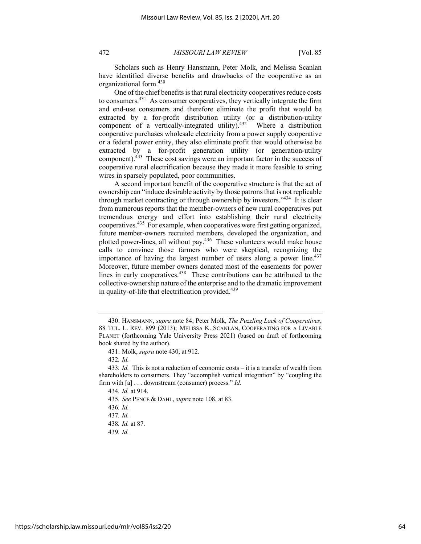Scholars such as Henry Hansmann, Peter Molk, and Melissa Scanlan have identified diverse benefits and drawbacks of the cooperative as an organizational form.430

One of the chief benefits is that rural electricity cooperatives reduce costs to consumers.431 As consumer cooperatives, they vertically integrate the firm and end-use consumers and therefore eliminate the profit that would be extracted by a for-profit distribution utility (or a distribution-utility component of a vertically-integrated utility).<sup>432</sup> Where a distribution cooperative purchases wholesale electricity from a power supply cooperative or a federal power entity, they also eliminate profit that would otherwise be extracted by a for-profit generation utility (or generation-utility component).433 These cost savings were an important factor in the success of cooperative rural electrification because they made it more feasible to string wires in sparsely populated, poor communities.

A second important benefit of the cooperative structure is that the act of ownership can "induce desirable activity by those patrons that is not replicable through market contracting or through ownership by investors."<sup>434</sup> It is clear from numerous reports that the member-owners of new rural cooperatives put tremendous energy and effort into establishing their rural electricity cooperatives.435 For example, when cooperatives were first getting organized, future member-owners recruited members, developed the organization, and plotted power-lines, all without pay.436 These volunteers would make house calls to convince those farmers who were skeptical, recognizing the importance of having the largest number of users along a power line.<sup>437</sup> Moreover, future member owners donated most of the easements for power lines in early cooperatives.438 These contributions can be attributed to the collective-ownership nature of the enterprise and to the dramatic improvement in quality-of-life that electrification provided.<sup>439</sup>

435*. See* PENCE & DAHL, *supra* note 108, at 83.

437*. Id.*

439*. Id.*

<sup>430.</sup> HANSMANN, *supra* note 84; Peter Molk, *The Puzzling Lack of Cooperatives*, 88 TUL. L. REV. 899 (2013); MELISSA K. SCANLAN, COOPERATING FOR A LIVABLE PLANET (forthcoming Yale University Press 2021) (based on draft of forthcoming book shared by the author).

<sup>431.</sup> Molk, *supra* note 430, at 912.

<sup>432</sup>*. Id.* 

<sup>433</sup>*. Id.* This is not a reduction of economic costs – it is a transfer of wealth from shareholders to consumers. They "accomplish vertical integration" by "coupling the firm with [a] . . . downstream (consumer) process." *Id.*

<sup>434</sup>*. Id.* at 914.

<sup>436</sup>*. Id.*

<sup>438</sup>*. Id.* at 87.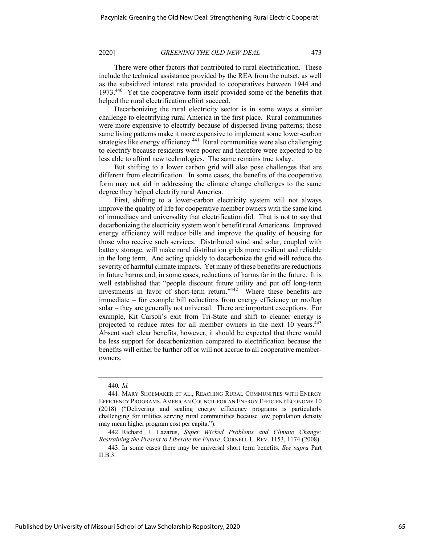There were other factors that contributed to rural electrification. These include the technical assistance provided by the REA from the outset, as well as the subsidized interest rate provided to cooperatives between 1944 and 1973.<sup>440</sup> Yet the cooperative form itself provided some of the benefits that helped the rural electrification effort succeed.

Decarbonizing the rural electricity sector is in some ways a similar challenge to electrifying rural America in the first place. Rural communities were more expensive to electrify because of dispersed living patterns; those same living patterns make it more expensive to implement some lower-carbon strategies like energy efficiency.<sup>441</sup> Rural communities were also challenging to electrify because residents were poorer and therefore were expected to be less able to afford new technologies. The same remains true today.

But shifting to a lower carbon grid will also pose challenges that are different from electrification. In some cases, the benefits of the cooperative form may not aid in addressing the climate change challenges to the same degree they helped electrify rural America.

First, shifting to a lower-carbon electricity system will not always improve the quality of life for cooperative member owners with the same kind of immediacy and universality that electrification did. That is not to say that decarbonizing the electricity system won't benefit rural Americans. Improved energy efficiency will reduce bills and improve the quality of housing for those who receive such services. Distributed wind and solar, coupled with battery storage, will make rural distribution grids more resilient and reliable in the long term. And acting quickly to decarbonize the grid will reduce the severity of harmful climate impacts. Yet many of these benefits are reductions in future harms and, in some cases, reductions of harms far in the future. It is well established that "people discount future utility and put off long-term investments in favor of short-term return."442 Where these benefits are immediate – for example bill reductions from energy efficiency or rooftop solar – they are generally not universal. There are important exceptions. For example, Kit Carson's exit from Tri-State and shift to cleaner energy is projected to reduce rates for all member owners in the next 10 years.<sup>443</sup> Absent such clear benefits, however, it should be expected that there would be less support for decarbonization compared to electrification because the benefits will either be further off or will not accrue to all cooperative memberowners.

<sup>440</sup>*. Id.*

<sup>441.</sup> MARY SHOEMAKER ET AL., REACHING RURAL COMMUNITIES WITH ENERGY EFFICIENCY PROGRAMS, AMERICAN COUNCIL FOR AN ENERGY EFFICIENT ECONOMY 10 (2018) ("Delivering and scaling energy efficiency programs is particularly challenging for utilities serving rural communities because low population density may mean higher program cost per capita.").

<sup>442.</sup> Richard J. Lazarus, *Super Wicked Problems and Climate Change: Restraining the Present to Liberate the Future*, CORNELL L. REV. 1153, 1174 (2008).

<sup>443.</sup> In some cases there may be universal short term benefits. *See supra* Part II.B.3.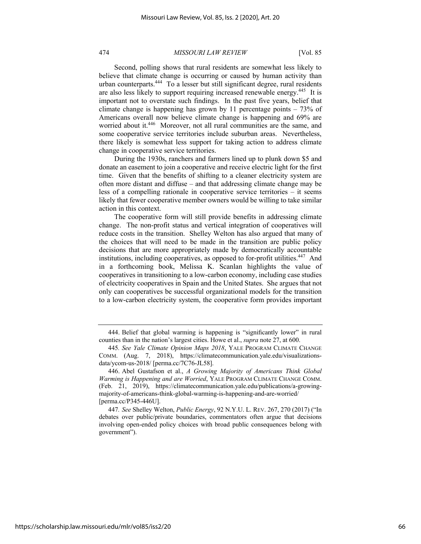Second, polling shows that rural residents are somewhat less likely to believe that climate change is occurring or caused by human activity than urban counterparts.444 To a lesser but still significant degree, rural residents are also less likely to support requiring increased renewable energy.<sup>445</sup> It is important not to overstate such findings. In the past five years, belief that climate change is happening has grown by 11 percentage points – 73% of Americans overall now believe climate change is happening and 69% are worried about it.<sup>446</sup> Moreover, not all rural communities are the same, and some cooperative service territories include suburban areas. Nevertheless, there likely is somewhat less support for taking action to address climate change in cooperative service territories.

During the 1930s, ranchers and farmers lined up to plunk down \$5 and donate an easement to join a cooperative and receive electric light for the first time. Given that the benefits of shifting to a cleaner electricity system are often more distant and diffuse – and that addressing climate change may be less of a compelling rationale in cooperative service territories – it seems likely that fewer cooperative member owners would be willing to take similar action in this context.

The cooperative form will still provide benefits in addressing climate change. The non-profit status and vertical integration of cooperatives will reduce costs in the transition. Shelley Welton has also argued that many of the choices that will need to be made in the transition are public policy decisions that are more appropriately made by democratically accountable institutions, including cooperatives, as opposed to for-profit utilities.<sup>447</sup> And in a forthcoming book, Melissa K. Scanlan highlights the value of cooperatives in transitioning to a low-carbon economy, including case studies of electricity cooperatives in Spain and the United States. She argues that not only can cooperatives be successful organizational models for the transition to a low-carbon electricity system, the cooperative form provides important

<sup>444.</sup> Belief that global warming is happening is "significantly lower" in rural counties than in the nation's largest cities. Howe et al., *supra* note 27, at 600.

<sup>445</sup>*. See Yale Climate Opinion Maps 2018*, YALE PROGRAM CLIMATE CHANGE COMM. (Aug. 7, 2018), https://climatecommunication.yale.edu/visualizationsdata/ycom-us-2018/ [perma.cc/7C76-JL58].

<sup>446.</sup> Abel Gustafson et al., *A Growing Majority of Americans Think Global Warming is Happening and are Worried*, YALE PROGRAM CLIMATE CHANGE COMM. (Feb. 21, 2019), https://climatecommunication.yale.edu/publications/a-growingmajority-of-americans-think-global-warming-is-happening-and-are-worried/ [perma.cc/P345-446U].

<sup>447</sup>*. See* Shelley Welton, *Public Energy*, 92 N.Y.U. L. REV. 267, 270 (2017) ("In debates over public/private boundaries, commentators often argue that decisions involving open-ended policy choices with broad public consequences belong with government").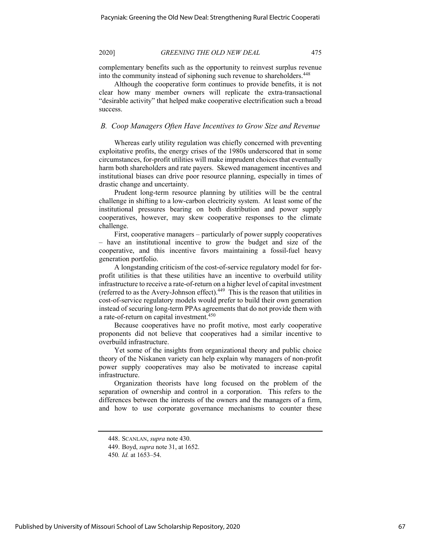complementary benefits such as the opportunity to reinvest surplus revenue into the community instead of siphoning such revenue to shareholders.<sup>448</sup>

Although the cooperative form continues to provide benefits, it is not clear how many member owners will replicate the extra-transactional "desirable activity" that helped make cooperative electrification such a broad success.

## *B. Coop Managers Often Have Incentives to Grow Size and Revenue*

Whereas early utility regulation was chiefly concerned with preventing exploitative profits, the energy crises of the 1980s underscored that in some circumstances, for-profit utilities will make imprudent choices that eventually harm both shareholders and rate payers. Skewed management incentives and institutional biases can drive poor resource planning, especially in times of drastic change and uncertainty.

Prudent long-term resource planning by utilities will be the central challenge in shifting to a low-carbon electricity system. At least some of the institutional pressures bearing on both distribution and power supply cooperatives, however, may skew cooperative responses to the climate challenge.

First, cooperative managers – particularly of power supply cooperatives – have an institutional incentive to grow the budget and size of the cooperative, and this incentive favors maintaining a fossil-fuel heavy generation portfolio.

A longstanding criticism of the cost-of-service regulatory model for forprofit utilities is that these utilities have an incentive to overbuild utility infrastructure to receive a rate-of-return on a higher level of capital investment (referred to as the Avery-Johnson effect).<sup>449</sup> This is the reason that utilities in cost-of-service regulatory models would prefer to build their own generation instead of securing long-term PPAs agreements that do not provide them with a rate-of-return on capital investment.<sup>450</sup>

Because cooperatives have no profit motive, most early cooperative proponents did not believe that cooperatives had a similar incentive to overbuild infrastructure.

Yet some of the insights from organizational theory and public choice theory of the Niskanen variety can help explain why managers of non-profit power supply cooperatives may also be motivated to increase capital infrastructure.

Organization theorists have long focused on the problem of the separation of ownership and control in a corporation. This refers to the differences between the interests of the owners and the managers of a firm, and how to use corporate governance mechanisms to counter these

<sup>448.</sup> SCANLAN, *supra* note 430.

<sup>449.</sup> Boyd, *supra* note 31, at 1652.

<sup>450</sup>*. Id.* at 1653–54.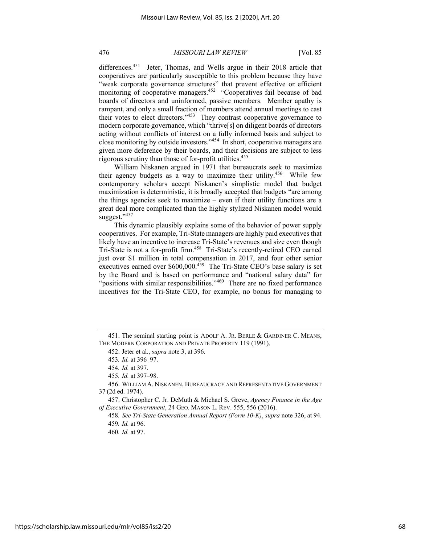differences.<sup>451</sup> Jeter, Thomas, and Wells argue in their 2018 article that cooperatives are particularly susceptible to this problem because they have "weak corporate governance structures" that prevent effective or efficient monitoring of cooperative managers.<sup>452</sup> "Cooperatives fail because of bad boards of directors and uninformed, passive members. Member apathy is rampant, and only a small fraction of members attend annual meetings to cast their votes to elect directors."453 They contrast cooperative governance to modern corporate governance, which "thrive[s] on diligent boards of directors acting without conflicts of interest on a fully informed basis and subject to close monitoring by outside investors."454 In short, cooperative managers are given more deference by their boards, and their decisions are subject to less rigorous scrutiny than those of for-profit utilities.455

William Niskanen argued in 1971 that bureaucrats seek to maximize their agency budgets as a way to maximize their utility.<sup>456</sup> While few contemporary scholars accept Niskanen's simplistic model that budget maximization is deterministic, it is broadly accepted that budgets "are among the things agencies seek to maximize – even if their utility functions are a great deal more complicated than the highly stylized Niskanen model would suggest."457

This dynamic plausibly explains some of the behavior of power supply cooperatives. For example, Tri-State managers are highly paid executives that likely have an incentive to increase Tri-State's revenues and size even though Tri-State is not a for-profit firm.458 Tri-State's recently-retired CEO earned just over \$1 million in total compensation in 2017, and four other senior executives earned over  $$600,000$ .<sup>459</sup> The Tri-State CEO's base salary is set by the Board and is based on performance and "national salary data" for "positions with similar responsibilities."<sup>460</sup> There are no fixed performance incentives for the Tri-State CEO, for example, no bonus for managing to

<sup>451.</sup> The seminal starting point is ADOLF A. JR. BERLE & GARDINER C. MEANS, THE MODERN CORPORATION AND PRIVATE PROPERTY 119 (1991).

<sup>452.</sup> Jeter et al., *supra* note 3, at 396.

<sup>453</sup>*. Id.* at 396–97.

<sup>454</sup>*. Id.* at 397.

<sup>455</sup>*. Id.* at 397–98.

<sup>456.</sup> WILLIAM A. NISKANEN, BUREAUCRACY AND REPRESENTATIVE GOVERNMENT 37 (2d ed. 1974).

<sup>457.</sup> Christopher C. Jr. DeMuth & Michael S. Greve, *Agency Finance in the Age of Executive Government*, 24 GEO. MASON L. REV. 555, 556 (2016).

<sup>458</sup>*. See Tri-State Generation Annual Report (Form 10-K)*, *supra* note 326, at 94. 459*. Id.* at 96.

<sup>460</sup>*. Id.* at 97.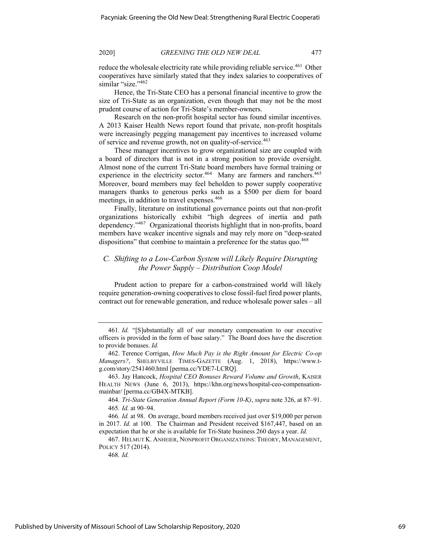reduce the wholesale electricity rate while providing reliable service.<sup>461</sup> Other cooperatives have similarly stated that they index salaries to cooperatives of similar "size."<sup>462</sup>

Hence, the Tri-State CEO has a personal financial incentive to grow the size of Tri-State as an organization, even though that may not be the most prudent course of action for Tri-State's member-owners.

Research on the non-profit hospital sector has found similar incentives. A 2013 Kaiser Health News report found that private, non-profit hospitals were increasingly pegging management pay incentives to increased volume of service and revenue growth, not on quality-of-service.<sup>463</sup>

These manager incentives to grow organizational size are coupled with a board of directors that is not in a strong position to provide oversight. Almost none of the current Tri-State board members have formal training or experience in the electricity sector.<sup>464</sup> Many are farmers and ranchers.<sup>465</sup> Moreover, board members may feel beholden to power supply cooperative managers thanks to generous perks such as a \$500 per diem for board meetings, in addition to travel expenses.<sup>466</sup>

Finally, literature on institutional governance points out that non-profit organizations historically exhibit "high degrees of inertia and path dependency."<sup>467</sup> Organizational theorists highlight that in non-profits, board members have weaker incentive signals and may rely more on "deep-seated dispositions" that combine to maintain a preference for the status quo.<sup>468</sup>

# *C. Shifting to a Low-Carbon System will Likely Require Disrupting the Power Supply – Distribution Coop Model*

Prudent action to prepare for a carbon-constrained world will likely require generation-owning cooperatives to close fossil-fuel fired power plants, contract out for renewable generation, and reduce wholesale power sales – all

<sup>461</sup>*. Id.* "[S]ubstantially all of our monetary compensation to our executive officers is provided in the form of base salary." The Board does have the discretion to provide bonuses. *Id.*

<sup>462.</sup> Terence Corrigan, *How Much Pay is the Right Amount for Electric Co-op Managers?*, SHELBYVILLE TIMES-GAZETTE (Aug. 1, 2018), https://www.tg.com/story/2541460.html [perma.cc/YDE7-LCRQ].

<sup>463.</sup> Jay Hancock, *Hospital CEO Bonuses Reward Volume and Growth*, KAISER HEALTH NEWS (June 6, 2013), https://khn.org/news/hospital-ceo-compensationmainbar/ [perma.cc/GB4X-MTKB].

<sup>464</sup>*. Tri-State Generation Annual Report (Form 10-K)*, *supra* note 326, at 87–91. 465*. Id.* at 90–94.

<sup>466</sup>*. Id.* at 98. On average, board members received just over \$19,000 per person in 2017. *Id.* at 100. The Chairman and President received \$167,447, based on an expectation that he or she is available for Tri-State business 260 days a year. *Id.*

<sup>467.</sup> HELMUT K. ANHEIER, NONPROFIT ORGANIZATIONS: THEORY, MANAGEMENT, POLICY 517 (2014).

<sup>468</sup>*. Id.*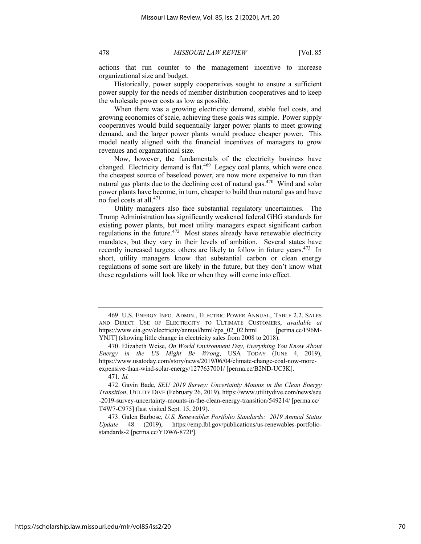actions that run counter to the management incentive to increase organizational size and budget.

Historically, power supply cooperatives sought to ensure a sufficient power supply for the needs of member distribution cooperatives and to keep the wholesale power costs as low as possible.

When there was a growing electricity demand, stable fuel costs, and growing economies of scale, achieving these goals was simple. Power supply cooperatives would build sequentially larger power plants to meet growing demand, and the larger power plants would produce cheaper power. This model neatly aligned with the financial incentives of managers to grow revenues and organizational size.

Now, however, the fundamentals of the electricity business have changed. Electricity demand is flat.<sup>469</sup> Legacy coal plants, which were once the cheapest source of baseload power, are now more expensive to run than natural gas plants due to the declining cost of natural gas.<sup>470</sup> Wind and solar power plants have become, in turn, cheaper to build than natural gas and have no fuel costs at all.<sup>471</sup>

Utility managers also face substantial regulatory uncertainties. The Trump Administration has significantly weakened federal GHG standards for existing power plants, but most utility managers expect significant carbon regulations in the future.<sup>472</sup> Most states already have renewable electricity mandates, but they vary in their levels of ambition. Several states have recently increased targets; others are likely to follow in future years.<sup>473</sup> In short, utility managers know that substantial carbon or clean energy regulations of some sort are likely in the future, but they don't know what these regulations will look like or when they will come into effect.

471*. Id.*

<sup>469.</sup> U.S. ENERGY INFO. ADMIN., ELECTRIC POWER ANNUAL, TABLE 2.2. SALES AND DIRECT USE OF ELECTRICITY TO ULTIMATE CUSTOMERS, *available at*  https://www.eia.gov/electricity/annual/html/epa\_02\_02.html [perma.cc/F96M-YNJT] (showing little change in electricity sales from 2008 to 2018).

<sup>470.</sup> Elizabeth Weise, *On World Environment Day, Everything You Know About Energy in the US Might Be Wrong*, USA TODAY (JUNE 4, 2019), https://www.usatoday.com/story/news/2019/06/04/climate-change-coal-now-moreexpensive-than-wind-solar-energy/1277637001/ [perma.cc/B2ND-UC3K].

<sup>472.</sup> Gavin Bade, *SEU 2019 Survey: Uncertainty Mounts in the Clean Energy Transition*, UTILITY DIVE (February 26, 2019), https://www.utilitydive.com/news/seu -2019-survey-uncertainty-mounts-in-the-clean-energy-transition/549214/ [perma.cc/ T4W7-C975] (last visited Sept. 15, 2019).

<sup>473.</sup> Galen Barbose, *U.S. Renewables Portfolio Standards: 2019 Annual Status Update* 48 (2019), https://emp.lbl.gov/publications/us-renewables-portfoliostandards-2 [perma.cc/YDW6-872P].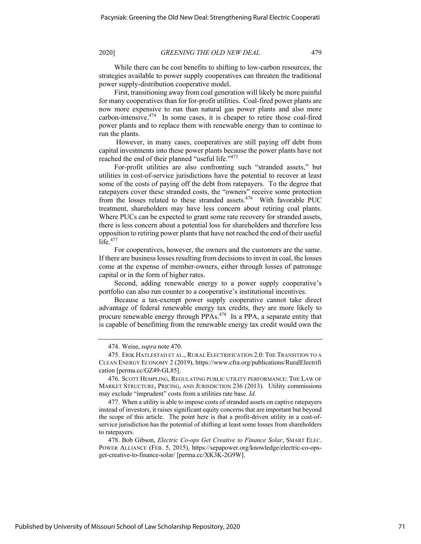While there can be cost benefits to shifting to low-carbon resources, the strategies available to power supply cooperatives can threaten the traditional power supply-distribution cooperative model.

First, transitioning away from coal generation will likely be more painful for many cooperatives than for for-profit utilities. Coal-fired power plants are now more expensive to run than natural gas power plants and also more carbon-intensive.474 In some cases, it is cheaper to retire those coal-fired power plants and to replace them with renewable energy than to continue to run the plants.

However, in many cases, cooperatives are still paying off debt from capital investments into these power plants because the power plants have not reached the end of their planned "useful life."475

For-profit utilities are also confronting such "stranded assets," but utilities in cost-of-service jurisdictions have the potential to recover at least some of the costs of paying off the debt from ratepayers. To the degree that ratepayers cover these stranded costs, the "owners" receive some protection from the losses related to these stranded assets.<sup>476</sup> With favorable PUC treatment, shareholders may have less concern about retiring coal plants. Where PUCs can be expected to grant some rate recovery for stranded assets, there is less concern about a potential loss for shareholders and therefore less opposition to retiring power plants that have not reached the end of their useful life. $477$ 

For cooperatives, however, the owners and the customers are the same. If there are business losses resulting from decisions to invest in coal, the losses come at the expense of member-owners, either through losses of patronage capital or in the form of higher rates.

Second, adding renewable energy to a power supply cooperative's portfolio can also run counter to a cooperative's institutional incentives.

Because a tax-exempt power supply cooperative cannot take direct advantage of federal renewable energy tax credits, they are more likely to procure renewable energy through PPAs.<sup>478</sup> In a PPA, a separate entity that is capable of benefitting from the renewable energy tax credit would own the

477. When a utility is able to impose costs of stranded assets on captive ratepayers instead of investors, it raises significant equity concerns that are important but beyond the scope of this article. The point here is that a profit-driven utility in a cost-ofservice jurisdiction has the potential of shifting at least some losses from shareholders to ratepayers.

478. Bob Gibson, *Electric Co-ops Get Creative to Finance Solar*, SMART ELEC. POWER ALLIANCE (FEB. 5, 2015), https://sepapower.org/knowledge/electric-co-opsget-creative-to-finance-solar/ [perma.cc/XK3K-2G9W].

<sup>474.</sup> Weise, *supra* note 470.

<sup>475.</sup> ERIK HATLESTAD ET AL., RURAL ELECTRIFICATION 2.0: THE TRANSITION TO A CLEAN ENERGY ECONOMY 2 (2019), https://www.cfra.org/publications/RuralElectrifi cation [perma.cc/GZ49-GL85].

<sup>476.</sup> SCOTT HEMPLING, REGULATING PUBLIC UTILITY PERFORMANCE: THE LAW OF MARKET STRUCTURE, PRICING, AND JURISDICTION 236 (2013). Utility commissions may exclude "imprudent" costs from a utilities rate base. *Id.*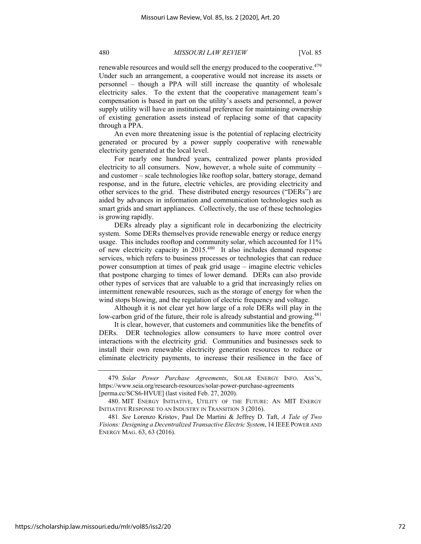renewable resources and would sell the energy produced to the cooperative.<sup>479</sup> Under such an arrangement, a cooperative would not increase its assets or personnel – though a PPA will still increase the quantity of wholesale electricity sales. To the extent that the cooperative management team's compensation is based in part on the utility's assets and personnel, a power supply utility will have an institutional preference for maintaining ownership of existing generation assets instead of replacing some of that capacity through a PPA.

An even more threatening issue is the potential of replacing electricity generated or procured by a power supply cooperative with renewable electricity generated at the local level.

For nearly one hundred years, centralized power plants provided electricity to all consumers. Now, however, a whole suite of community – and customer – scale technologies like rooftop solar, battery storage, demand response, and in the future, electric vehicles, are providing electricity and other services to the grid. These distributed energy resources ("DERs") are aided by advances in information and communication technologies such as smart grids and smart appliances. Collectively, the use of these technologies is growing rapidly.

DERs already play a significant role in decarbonizing the electricity system. Some DERs themselves provide renewable energy or reduce energy usage. This includes rooftop and community solar, which accounted for 11% of new electricity capacity in 2015.480 It also includes demand response services, which refers to business processes or technologies that can reduce power consumption at times of peak grid usage – imagine electric vehicles that postpone charging to times of lower demand. DERs can also provide other types of services that are valuable to a grid that increasingly relies on intermittent renewable resources, such as the storage of energy for when the wind stops blowing, and the regulation of electric frequency and voltage.

Although it is not clear yet how large of a role DERs will play in the low-carbon grid of the future, their role is already substantial and growing.<sup>481</sup>

It is clear, however, that customers and communities like the benefits of DERs. DER technologies allow consumers to have more control over interactions with the electricity grid. Communities and businesses seek to install their own renewable electricity generation resources to reduce or eliminate electricity payments, to increase their resilience in the face of

<sup>479</sup>*. Solar Power Purchase Agreements*, SOLAR ENERGY INFO. ASS'N, https://www.seia.org/research-resources/solar-power-purchase-agreements [perma.cc/SCS6-HVUE] (last visited Feb. 27, 2020).

<sup>480.</sup> MIT ENERGY INITIATIVE, UTILITY OF THE FUTURE: AN MIT ENERGY INITIATIVE RESPONSE TO AN INDUSTRY IN TRANSITION 3 (2016).

<sup>481</sup>*. See* Lorenzo Kristov, Paul De Martini & Jeffrey D. Taft, *A Tale of Two Visions: Designing a Decentralized Transactive Electric System*, 14 IEEEPOWER AND ENERGY MAG. 63, 63 (2016).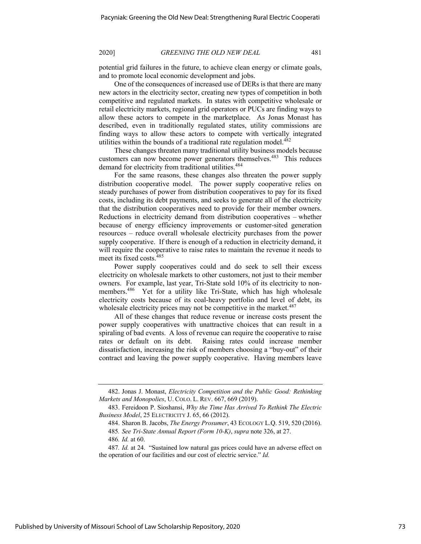potential grid failures in the future, to achieve clean energy or climate goals, and to promote local economic development and jobs.

One of the consequences of increased use of DERs is that there are many new actors in the electricity sector, creating new types of competition in both competitive and regulated markets. In states with competitive wholesale or retail electricity markets, regional grid operators or PUCs are finding ways to allow these actors to compete in the marketplace. As Jonas Monast has described, even in traditionally regulated states, utility commissions are finding ways to allow these actors to compete with vertically integrated utilities within the bounds of a traditional rate regulation model. $482$ 

These changes threaten many traditional utility business models because customers can now become power generators themselves.<sup>483</sup> This reduces demand for electricity from traditional utilities.<sup>484</sup>

For the same reasons, these changes also threaten the power supply distribution cooperative model. The power supply cooperative relies on steady purchases of power from distribution cooperatives to pay for its fixed costs, including its debt payments, and seeks to generate all of the electricity that the distribution cooperatives need to provide for their member owners. Reductions in electricity demand from distribution cooperatives – whether because of energy efficiency improvements or customer-sited generation resources – reduce overall wholesale electricity purchases from the power supply cooperative. If there is enough of a reduction in electricity demand, it will require the cooperative to raise rates to maintain the revenue it needs to meet its fixed costs.<sup>485</sup>

Power supply cooperatives could and do seek to sell their excess electricity on wholesale markets to other customers, not just to their member owners. For example, last year, Tri-State sold 10% of its electricity to nonmembers.<sup>486</sup> Yet for a utility like Tri-State, which has high wholesale electricity costs because of its coal-heavy portfolio and level of debt, its wholesale electricity prices may not be competitive in the market. $487$ 

All of these changes that reduce revenue or increase costs present the power supply cooperatives with unattractive choices that can result in a spiraling of bad events. A loss of revenue can require the cooperative to raise rates or default on its debt. Raising rates could increase member dissatisfaction, increasing the risk of members choosing a "buy-out" of their contract and leaving the power supply cooperative. Having members leave

<sup>482.</sup> Jonas J. Monast, *Electricity Competition and the Public Good: Rethinking Markets and Monopolies*, U. COLO. L. REV. 667, 669 (2019).

<sup>483.</sup> Fereidoon P. Sioshansi, *Why the Time Has Arrived To Rethink The Electric Business Model*, 25 ELECTRICITY J. 65, 66 (2012).

<sup>484.</sup> Sharon B. Jacobs, *The Energy Prosumer*, 43 ECOLOGY L.Q. 519, 520 (2016).

<sup>485</sup>*. See Tri-State Annual Report (Form 10-K)*, *supra* note 326, at 27.

<sup>486</sup>*. Id.* at 60.

<sup>487</sup>*. Id.* at 24. "Sustained low natural gas prices could have an adverse effect on the operation of our facilities and our cost of electric service." *Id.*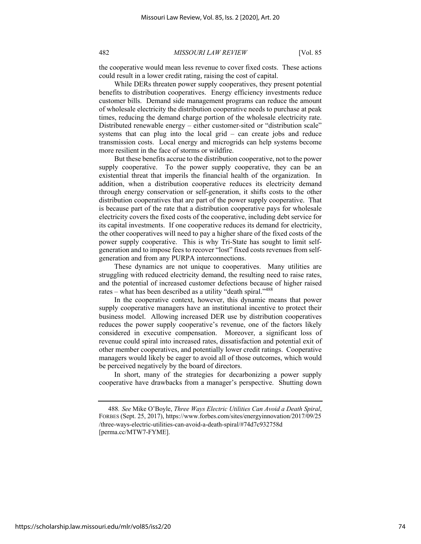the cooperative would mean less revenue to cover fixed costs. These actions could result in a lower credit rating, raising the cost of capital.

While DERs threaten power supply cooperatives, they present potential benefits to distribution cooperatives. Energy efficiency investments reduce customer bills. Demand side management programs can reduce the amount of wholesale electricity the distribution cooperative needs to purchase at peak times, reducing the demand charge portion of the wholesale electricity rate. Distributed renewable energy – either customer-sited or "distribution scale" systems that can plug into the local grid – can create jobs and reduce transmission costs. Local energy and microgrids can help systems become more resilient in the face of storms or wildfire.

But these benefits accrue to the distribution cooperative, not to the power supply cooperative. To the power supply cooperative, they can be an existential threat that imperils the financial health of the organization. In addition, when a distribution cooperative reduces its electricity demand through energy conservation or self-generation, it shifts costs to the other distribution cooperatives that are part of the power supply cooperative. That is because part of the rate that a distribution cooperative pays for wholesale electricity covers the fixed costs of the cooperative, including debt service for its capital investments. If one cooperative reduces its demand for electricity, the other cooperatives will need to pay a higher share of the fixed costs of the power supply cooperative. This is why Tri-State has sought to limit selfgeneration and to impose fees to recover "lost" fixed costs revenues from selfgeneration and from any PURPA interconnections.

These dynamics are not unique to cooperatives. Many utilities are struggling with reduced electricity demand, the resulting need to raise rates, and the potential of increased customer defections because of higher raised rates – what has been described as a utility "death spiral."<sup>488</sup>

In the cooperative context, however, this dynamic means that power supply cooperative managers have an institutional incentive to protect their business model. Allowing increased DER use by distribution cooperatives reduces the power supply cooperative's revenue, one of the factors likely considered in executive compensation. Moreover, a significant loss of revenue could spiral into increased rates, dissatisfaction and potential exit of other member cooperatives, and potentially lower credit ratings. Cooperative managers would likely be eager to avoid all of those outcomes, which would be perceived negatively by the board of directors.

In short, many of the strategies for decarbonizing a power supply cooperative have drawbacks from a manager's perspective. Shutting down

<sup>488</sup>*. See* Mike O'Boyle, *Three Ways Electric Utilities Can Avoid a Death Spiral*, FORBES (Sept. 25, 2017), https://www.forbes.com/sites/energyinnovation/2017/09/25 /three-ways-electric-utilities-can-avoid-a-death-spiral/#74d7c932758d [perma.cc/MTW7-FYME].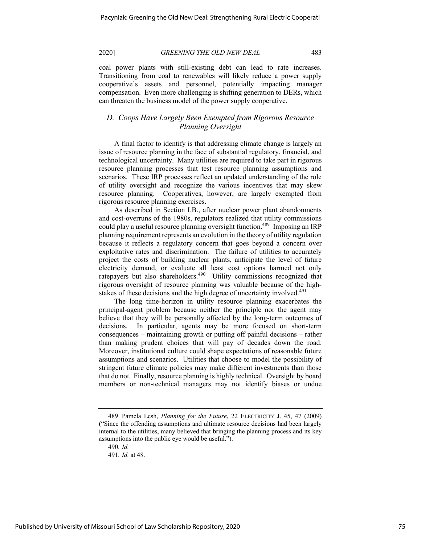coal power plants with still-existing debt can lead to rate increases. Transitioning from coal to renewables will likely reduce a power supply cooperative's assets and personnel, potentially impacting manager compensation. Even more challenging is shifting generation to DERs, which can threaten the business model of the power supply cooperative.

# *D. Coops Have Largely Been Exempted from Rigorous Resource Planning Oversight*

A final factor to identify is that addressing climate change is largely an issue of resource planning in the face of substantial regulatory, financial, and technological uncertainty. Many utilities are required to take part in rigorous resource planning processes that test resource planning assumptions and scenarios. These IRP processes reflect an updated understanding of the role of utility oversight and recognize the various incentives that may skew resource planning. Cooperatives, however, are largely exempted from rigorous resource planning exercises.

As described in Section I.B., after nuclear power plant abandonments and cost-overruns of the 1980s, regulators realized that utility commissions could play a useful resource planning oversight function.<sup>489</sup> Imposing an IRP planning requirement represents an evolution in the theory of utility regulation because it reflects a regulatory concern that goes beyond a concern over exploitative rates and discrimination. The failure of utilities to accurately project the costs of building nuclear plants, anticipate the level of future electricity demand, or evaluate all least cost options harmed not only ratepayers but also shareholders.<sup>490</sup> Utility commissions recognized that rigorous oversight of resource planning was valuable because of the highstakes of these decisions and the high degree of uncertainty involved.<sup>491</sup>

The long time-horizon in utility resource planning exacerbates the principal-agent problem because neither the principle nor the agent may believe that they will be personally affected by the long-term outcomes of decisions. In particular, agents may be more focused on short-term consequences – maintaining growth or putting off painful decisions – rather than making prudent choices that will pay of decades down the road. Moreover, institutional culture could shape expectations of reasonable future assumptions and scenarios. Utilities that choose to model the possibility of stringent future climate policies may make different investments than those that do not. Finally, resource planning is highly technical. Oversight by board members or non-technical managers may not identify biases or undue

<sup>489.</sup> Pamela Lesh, *Planning for the Future*, 22 ELECTRICITY J. 45, 47 (2009) ("Since the offending assumptions and ultimate resource decisions had been largely internal to the utilities, many believed that bringing the planning process and its key assumptions into the public eye would be useful.").

<sup>490</sup>*. Id.*

<sup>491</sup>*. Id.* at 48.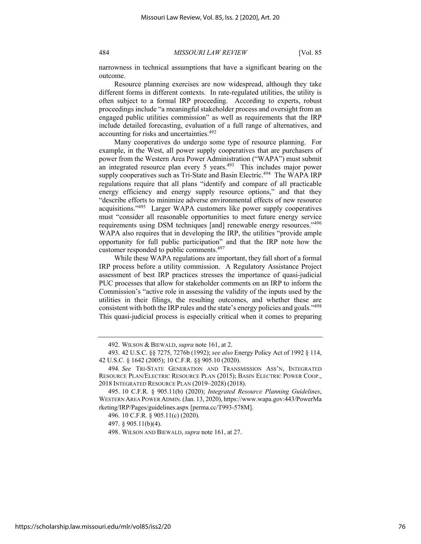narrowness in technical assumptions that have a significant bearing on the outcome.

Resource planning exercises are now widespread, although they take different forms in different contexts. In rate-regulated utilities, the utility is often subject to a formal IRP proceeding. According to experts, robust proceedings include "a meaningful stakeholder process and oversight from an engaged public utilities commission" as well as requirements that the IRP include detailed forecasting, evaluation of a full range of alternatives, and accounting for risks and uncertainties.<sup>492</sup>

Many cooperatives do undergo some type of resource planning. For example, in the West, all power supply cooperatives that are purchasers of power from the Western Area Power Administration ("WAPA") must submit an integrated resource plan every 5 years. $493$  This includes major power supply cooperatives such as Tri-State and Basin Electric.<sup>494</sup> The WAPA IRP regulations require that all plans "identify and compare of all practicable energy efficiency and energy supply resource options," and that they "describe efforts to minimize adverse environmental effects of new resource acquisitions."495 Larger WAPA customers like power supply cooperatives must "consider all reasonable opportunities to meet future energy service requirements using DSM techniques [and] renewable energy resources."<sup>496</sup> WAPA also requires that in developing the IRP, the utilities "provide ample opportunity for full public participation" and that the IRP note how the customer responded to public comments.497

While these WAPA regulations are important, they fall short of a formal IRP process before a utility commission. A Regulatory Assistance Project assessment of best IRP practices stresses the importance of quasi-judicial PUC processes that allow for stakeholder comments on an IRP to inform the Commission's "active role in assessing the validity of the inputs used by the utilities in their filings, the resulting outcomes, and whether these are consistent with both the IRP rules and the state's energy policies and goals."498 This quasi-judicial process is especially critical when it comes to preparing

<sup>492.</sup> WILSON & BIEWALD, *supra* note 161, at 2.

<sup>493.</sup> 42 U.S.C. §§ 7275, 7276b (1992); *see also* Energy Policy Act of 1992 § 114, 42 U.S.C. § 1642 (2005); 10 C.F.R. §§ 905.10 (2020).

<sup>494</sup>*. See* TRI-STATE GENERATION AND TRANSMISSION ASS'N, INTEGRATED RESOURCE PLAN/ELECTRIC RESOURCE PLAN (2015); BASIN ELECTRIC POWER COOP., 2018 INTEGRATED RESOURCE PLAN (2019–2028) (2018).

<sup>495.</sup> 10 C.F.R. § 905.11(b) (2020); *Integrated Resource Planning Guidelines*, WESTERN AREA POWER ADMIN.(Jan. 13, 2020), https://www.wapa.gov:443/PowerMa rketing/IRP/Pages/guidelines.aspx [perma.cc/T993-578M].

<sup>496.</sup> 10 C.F.R. § 905.11(c) (2020).

<sup>497.</sup> § 905.11(b)(4).

<sup>498.</sup> WILSON AND BIEWALD, *supra* note 161, at 27.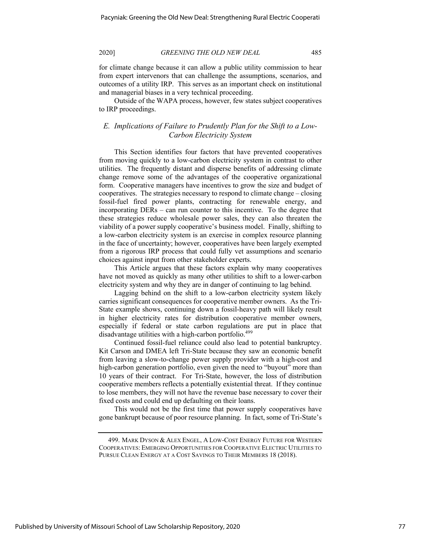for climate change because it can allow a public utility commission to hear from expert intervenors that can challenge the assumptions, scenarios, and outcomes of a utility IRP. This serves as an important check on institutional and managerial biases in a very technical proceeding.

Outside of the WAPA process, however, few states subject cooperatives to IRP proceedings.

# *E. Implications of Failure to Prudently Plan for the Shift to a Low-Carbon Electricity System*

This Section identifies four factors that have prevented cooperatives from moving quickly to a low-carbon electricity system in contrast to other utilities. The frequently distant and disperse benefits of addressing climate change remove some of the advantages of the cooperative organizational form. Cooperative managers have incentives to grow the size and budget of cooperatives. The strategies necessary to respond to climate change – closing fossil-fuel fired power plants, contracting for renewable energy, and incorporating DERs – can run counter to this incentive. To the degree that these strategies reduce wholesale power sales, they can also threaten the viability of a power supply cooperative's business model. Finally, shifting to a low-carbon electricity system is an exercise in complex resource planning in the face of uncertainty; however, cooperatives have been largely exempted from a rigorous IRP process that could fully vet assumptions and scenario choices against input from other stakeholder experts.

This Article argues that these factors explain why many cooperatives have not moved as quickly as many other utilities to shift to a lower-carbon electricity system and why they are in danger of continuing to lag behind.

Lagging behind on the shift to a low-carbon electricity system likely carries significant consequences for cooperative member owners. As the Tri-State example shows, continuing down a fossil-heavy path will likely result in higher electricity rates for distribution cooperative member owners, especially if federal or state carbon regulations are put in place that disadvantage utilities with a high-carbon portfolio.<sup>499</sup>

Continued fossil-fuel reliance could also lead to potential bankruptcy. Kit Carson and DMEA left Tri-State because they saw an economic benefit from leaving a slow-to-change power supply provider with a high-cost and high-carbon generation portfolio, even given the need to "buyout" more than 10 years of their contract. For Tri-State, however, the loss of distribution cooperative members reflects a potentially existential threat. If they continue to lose members, they will not have the revenue base necessary to cover their fixed costs and could end up defaulting on their loans.

This would not be the first time that power supply cooperatives have gone bankrupt because of poor resource planning. In fact, some of Tri-State's

<sup>499.</sup> MARK DYSON & ALEX ENGEL, A LOW-COST ENERGY FUTURE FOR WESTERN COOPERATIVES: EMERGING OPPORTUNITIES FOR COOPERATIVE ELECTRIC UTILITIES TO PURSUE CLEAN ENERGY AT A COST SAVINGS TO THEIR MEMBERS 18 (2018).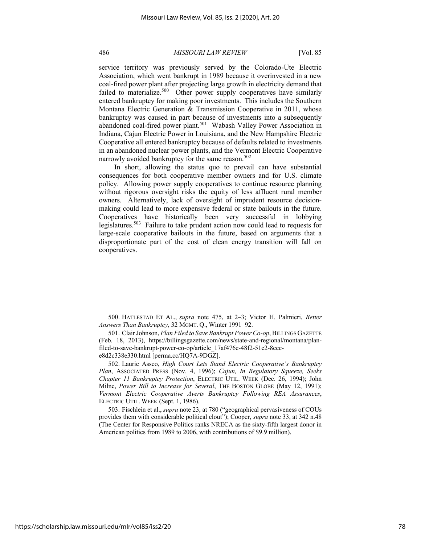service territory was previously served by the Colorado-Ute Electric Association, which went bankrupt in 1989 because it overinvested in a new coal-fired power plant after projecting large growth in electricity demand that failed to materialize.<sup>500</sup> Other power supply cooperatives have similarly entered bankruptcy for making poor investments. This includes the Southern Montana Electric Generation & Transmission Cooperative in 2011, whose bankruptcy was caused in part because of investments into a subsequently abandoned coal-fired power plant.<sup>501</sup> Wabash Valley Power Association in Indiana, Cajun Electric Power in Louisiana, and the New Hampshire Electric Cooperative all entered bankruptcy because of defaults related to investments in an abandoned nuclear power plants, and the Vermont Electric Cooperative narrowly avoided bankruptcy for the same reason.<sup>502</sup>

In short, allowing the status quo to prevail can have substantial consequences for both cooperative member owners and for U.S. climate policy. Allowing power supply cooperatives to continue resource planning without rigorous oversight risks the equity of less affluent rural member owners. Alternatively, lack of oversight of imprudent resource decisionmaking could lead to more expensive federal or state bailouts in the future. Cooperatives have historically been very successful in lobbying legislatures.503 Failure to take prudent action now could lead to requests for large-scale cooperative bailouts in the future, based on arguments that a disproportionate part of the cost of clean energy transition will fall on cooperatives.

503. Fischlein et al., *supra* note 23, at 780 ("geographical pervasiveness of COUs provides them with considerable political clout"); Cooper, *supra* note 33, at 342 n.48 (The Center for Responsive Politics ranks NRECA as the sixty-fifth largest donor in American politics from 1989 to 2006, with contributions of \$9.9 million).

<sup>500.</sup> HATLESTAD ET AL., *supra* note 475, at 2–3; Victor H. Palmieri, *Better Answers Than Bankruptcy*, 32 MGMT. Q., Winter 1991–92.

<sup>501.</sup> Clair Johnson, *Plan Filed to Save Bankrupt Power Co-op*, BILLINGS GAZETTE (Feb. 18, 2013), https://billingsgazette.com/news/state-and-regional/montana/planfiled-to-save-bankrupt-power-co-op/article\_17af476e-48f2-51c2-8cece8d2c338e330.html [perma.cc/HQ7A-9DGZ].

<sup>502.</sup> Laurie Asseo, *High Court Lets Stand Electric Cooperative's Bankruptcy Plan*, ASSOCIATED PRESS (Nov. 4, 1996); *Cajun, In Regulatory Squeeze, Seeks Chapter 11 Bankruptcy Protection*, ELECTRIC UTIL. WEEK (Dec. 26, 1994); John Milne, *Power Bill to Increase for Several*, THE BOSTON GLOBE (May 12, 1991); *Vermont Electric Cooperative Averts Bankruptcy Following REA Assurances*, ELECTRIC UTIL. WEEK (Sept. 1, 1986).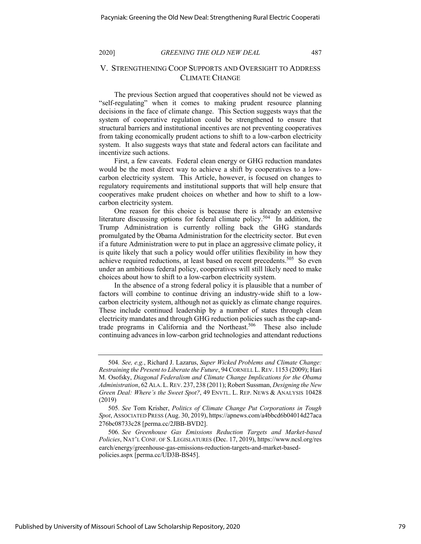# V. STRENGTHENING COOP SUPPORTS AND OVERSIGHT TO ADDRESS CLIMATE CHANGE

The previous Section argued that cooperatives should not be viewed as "self-regulating" when it comes to making prudent resource planning decisions in the face of climate change. This Section suggests ways that the system of cooperative regulation could be strengthened to ensure that structural barriers and institutional incentives are not preventing cooperatives from taking economically prudent actions to shift to a low-carbon electricity system. It also suggests ways that state and federal actors can facilitate and incentivize such actions.

First, a few caveats. Federal clean energy or GHG reduction mandates would be the most direct way to achieve a shift by cooperatives to a lowcarbon electricity system. This Article, however, is focused on changes to regulatory requirements and institutional supports that will help ensure that cooperatives make prudent choices on whether and how to shift to a lowcarbon electricity system.

One reason for this choice is because there is already an extensive literature discussing options for federal climate policy.<sup>504</sup> In addition, the Trump Administration is currently rolling back the GHG standards promulgated by the Obama Administration for the electricity sector. But even if a future Administration were to put in place an aggressive climate policy, it is quite likely that such a policy would offer utilities flexibility in how they achieve required reductions, at least based on recent precedents.<sup>505</sup> So even under an ambitious federal policy, cooperatives will still likely need to make choices about how to shift to a low-carbon electricity system.

In the absence of a strong federal policy it is plausible that a number of factors will combine to continue driving an industry-wide shift to a lowcarbon electricity system, although not as quickly as climate change requires. These include continued leadership by a number of states through clean electricity mandates and through GHG reduction policies such as the cap-andtrade programs in California and the Northeast.<sup>506</sup> These also include continuing advances in low-carbon grid technologies and attendant reductions

<sup>504</sup>*. See, e.g.*, Richard J. Lazarus, *Super Wicked Problems and Climate Change: Restraining the Present to Liberate the Future*, 94CORNELL L.REV. 1153 (2009); Hari M. Osofsky, *Diagonal Federalism and Climate Change Implications for the Obama Administration*, 62 ALA.L.REV. 237, 238 (2011); Robert Sussman, *Designing the New Green Deal: Where's the Sweet Spot?*, 49 ENVTL. L. REP. NEWS & ANALYSIS 10428 (2019)

<sup>505</sup>*. See* Tom Krisher, *Politics of Climate Change Put Corporations in Tough Spot*, ASSOCIATED PRESS (Aug. 30, 2019), https://apnews.com/a4bbcd6b04014d27aca 276bc08733c28 [perma.cc/2JBB-BVD2].

<sup>506</sup>*. See Greenhouse Gas Emissions Reduction Targets and Market-based Policies*, NAT'L CONF. OF S. LEGISLATURES (Dec. 17, 2019), https://www.ncsl.org/res earch/energy/greenhouse-gas-emissions-reduction-targets-and-market-basedpolicies.aspx [perma.cc/UD3B-BS45].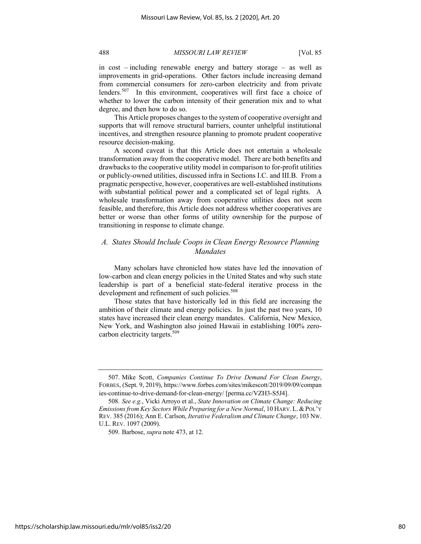in cost – including renewable energy and battery storage – as well as improvements in grid-operations. Other factors include increasing demand from commercial consumers for zero-carbon electricity and from private lenders.<sup>507</sup> In this environment, cooperatives will first face a choice of whether to lower the carbon intensity of their generation mix and to what degree, and then how to do so.

This Article proposes changes to the system of cooperative oversight and supports that will remove structural barriers, counter unhelpful institutional incentives, and strengthen resource planning to promote prudent cooperative resource decision-making.

A second caveat is that this Article does not entertain a wholesale transformation away from the cooperative model. There are both benefits and drawbacks to the cooperative utility model in comparison to for-profit utilities or publicly-owned utilities, discussed infra in Sections I.C. and III.B. From a pragmatic perspective, however, cooperatives are well-established institutions with substantial political power and a complicated set of legal rights. A wholesale transformation away from cooperative utilities does not seem feasible, and therefore, this Article does not address whether cooperatives are better or worse than other forms of utility ownership for the purpose of transitioning in response to climate change.

# *A. States Should Include Coops in Clean Energy Resource Planning Mandates*

Many scholars have chronicled how states have led the innovation of low-carbon and clean energy policies in the United States and why such state leadership is part of a beneficial state-federal iterative process in the development and refinement of such policies.<sup>508</sup>

Those states that have historically led in this field are increasing the ambition of their climate and energy policies. In just the past two years, 10 states have increased their clean energy mandates. California, New Mexico, New York, and Washington also joined Hawaii in establishing 100% zerocarbon electricity targets.<sup>509</sup>

<sup>507.</sup> Mike Scott, *Companies Continue To Drive Demand For Clean Energy*, FORBES, (Sept. 9, 2019), https://www.forbes.com/sites/mikescott/2019/09/09/compan ies-continue-to-drive-demand-for-clean-energy/ [perma.cc/VZH3-S5J4].

<sup>508</sup>*. See e.g.*, Vicki Arroyo et al., *State Innovation on Climate Change: Reducing Emissions from Key Sectors While Preparing for a New Normal*, 10 HARV. L.&POL'Y REV. 385 (2016); Ann E. Carlson, *Iterative Federalism and Climate Change*, 103 NW. U.L. REV. 1097 (2009).

<sup>509.</sup> Barbose, *supra* note 473, at 12.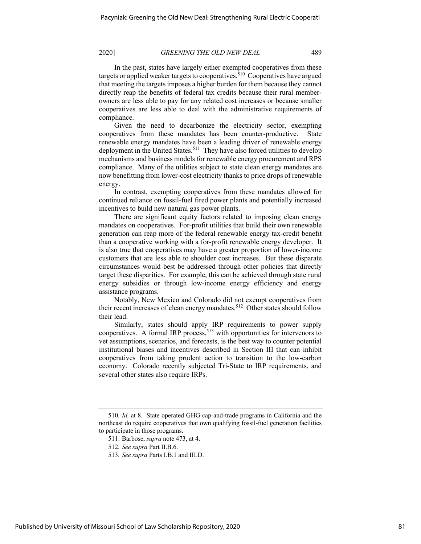In the past, states have largely either exempted cooperatives from these targets or applied weaker targets to cooperatives.  $510$  Cooperatives have argued that meeting the targets imposes a higher burden for them because they cannot directly reap the benefits of federal tax credits because their rural memberowners are less able to pay for any related cost increases or because smaller cooperatives are less able to deal with the administrative requirements of compliance.

Given the need to decarbonize the electricity sector, exempting cooperatives from these mandates has been counter-productive. State renewable energy mandates have been a leading driver of renewable energy deployment in the United States.<sup>511</sup> They have also forced utilities to develop mechanisms and business models for renewable energy procurement and RPS compliance. Many of the utilities subject to state clean energy mandates are now benefitting from lower-cost electricity thanks to price drops of renewable energy.

In contrast, exempting cooperatives from these mandates allowed for continued reliance on fossil-fuel fired power plants and potentially increased incentives to build new natural gas power plants.

There are significant equity factors related to imposing clean energy mandates on cooperatives. For-profit utilities that build their own renewable generation can reap more of the federal renewable energy tax-credit benefit than a cooperative working with a for-profit renewable energy developer. It is also true that cooperatives may have a greater proportion of lower-income customers that are less able to shoulder cost increases. But these disparate circumstances would best be addressed through other policies that directly target these disparities. For example, this can be achieved through state rural energy subsidies or through low-income energy efficiency and energy assistance programs.

Notably, New Mexico and Colorado did not exempt cooperatives from their recent increases of clean energy mandates.<sup>512</sup> Other states should follow their lead.

Similarly, states should apply IRP requirements to power supply cooperatives. A formal IRP process,<sup>513</sup> with opportunities for intervenors to vet assumptions, scenarios, and forecasts, is the best way to counter potential institutional biases and incentives described in Section III that can inhibit cooperatives from taking prudent action to transition to the low-carbon economy. Colorado recently subjected Tri-State to IRP requirements, and several other states also require IRPs.

<sup>510</sup>*. Id.* at 8. State operated GHG cap-and-trade programs in California and the northeast do require cooperatives that own qualifying fossil-fuel generation facilities to participate in those programs.

<sup>511.</sup> Barbose, *supra* note 473, at 4.

<sup>512</sup>*. See supra* Part II.B.6.

<sup>513</sup>*. See supra* Parts I.B.1 and III.D.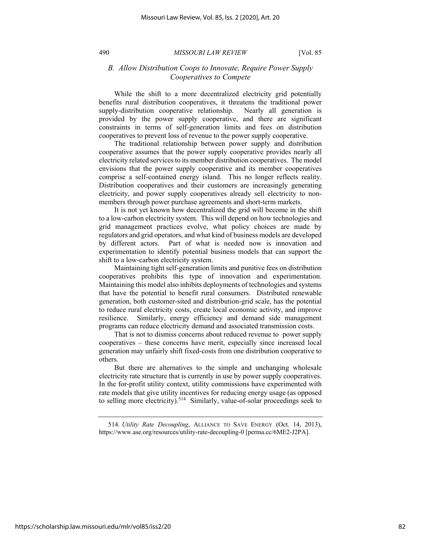# *B. Allow Distribution Coops to Innovate, Require Power Supply Cooperatives to Compete*

While the shift to a more decentralized electricity grid potentially benefits rural distribution cooperatives, it threatens the traditional power supply-distribution cooperative relationship. Nearly all generation is provided by the power supply cooperative, and there are significant constraints in terms of self-generation limits and fees on distribution cooperatives to prevent loss of revenue to the power supply cooperative.

The traditional relationship between power supply and distribution cooperative assumes that the power supply cooperative provides nearly all electricity related services to its member distribution cooperatives. The model envisions that the power supply cooperative and its member cooperatives comprise a self-contained energy island. This no longer reflects reality. Distribution cooperatives and their customers are increasingly generating electricity, and power supply cooperatives already sell electricity to nonmembers through power purchase agreements and short-term markets.

It is not yet known how decentralized the grid will become in the shift to a low-carbon electricity system. This will depend on how technologies and grid management practices evolve, what policy choices are made by regulators and grid operators, and what kind of business models are developed by different actors. Part of what is needed now is innovation and experimentation to identify potential business models that can support the shift to a low-carbon electricity system.

Maintaining tight self-generation limits and punitive fees on distribution cooperatives prohibits this type of innovation and experimentation. Maintaining this model also inhibits deployments of technologies and systems that have the potential to benefit rural consumers. Distributed renewable generation, both customer-sited and distribution-grid scale, has the potential to reduce rural electricity costs, create local economic activity, and improve resilience. Similarly, energy efficiency and demand side management programs can reduce electricity demand and associated transmission costs.

That is not to dismiss concerns about reduced revenue to power supply cooperatives – these concerns have merit, especially since increased local generation may unfairly shift fixed-costs from one distribution cooperative to others.

But there are alternatives to the simple and unchanging wholesale electricity rate structure that is currently in use by power supply cooperatives. In the for-profit utility context, utility commissions have experimented with rate models that give utility incentives for reducing energy usage (as opposed to selling more electricity).<sup>514</sup> Similarly, value-of-solar proceedings seek to

<sup>514</sup>*. Utility Rate Decoupling*, ALLIANCE TO SAVE ENERGY (Oct. 14, 2013), https://www.ase.org/resources/utility-rate-decoupling-0 [perma.cc/6ME2-J2PA].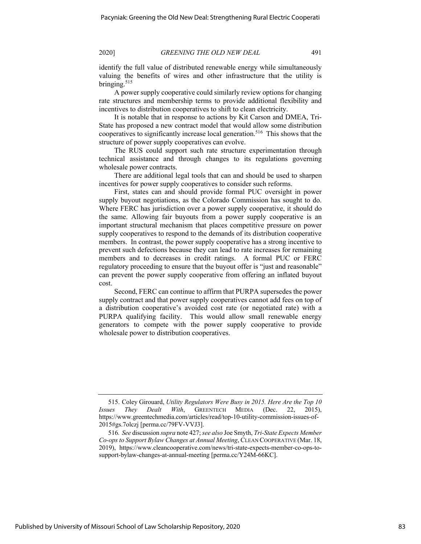identify the full value of distributed renewable energy while simultaneously valuing the benefits of wires and other infrastructure that the utility is bringing. $515$ 

A power supply cooperative could similarly review options for changing rate structures and membership terms to provide additional flexibility and incentives to distribution cooperatives to shift to clean electricity.

It is notable that in response to actions by Kit Carson and DMEA, Tri-State has proposed a new contract model that would allow some distribution cooperatives to significantly increase local generation.<sup>516</sup> This shows that the structure of power supply cooperatives can evolve.

The RUS could support such rate structure experimentation through technical assistance and through changes to its regulations governing wholesale power contracts.

There are additional legal tools that can and should be used to sharpen incentives for power supply cooperatives to consider such reforms.

First, states can and should provide formal PUC oversight in power supply buyout negotiations, as the Colorado Commission has sought to do. Where FERC has jurisdiction over a power supply cooperative, it should do the same. Allowing fair buyouts from a power supply cooperative is an important structural mechanism that places competitive pressure on power supply cooperatives to respond to the demands of its distribution cooperative members. In contrast, the power supply cooperative has a strong incentive to prevent such defections because they can lead to rate increases for remaining members and to decreases in credit ratings. A formal PUC or FERC regulatory proceeding to ensure that the buyout offer is "just and reasonable" can prevent the power supply cooperative from offering an inflated buyout cost.

Second, FERC can continue to affirm that PURPA supersedes the power supply contract and that power supply cooperatives cannot add fees on top of a distribution cooperative's avoided cost rate (or negotiated rate) with a PURPA qualifying facility. This would allow small renewable energy generators to compete with the power supply cooperative to provide wholesale power to distribution cooperatives.

<sup>515.</sup> Coley Girouard, *Utility Regulators Were Busy in 2015. Here Are the Top 10 Issues They Dealt With*, GREENTECH MEDIA (Dec. 22, 2015), https://www.greentechmedia.com/articles/read/top-10-utility-commission-issues-of-2015#gs.7olczj [perma.cc/79FV-VVJ3].

<sup>516</sup>*. See* discussion *supra* note 427; *see also* Joe Smyth, *Tri-State Expects Member Co-ops to Support Bylaw Changes at Annual Meeting*, CLEAN COOPERATIVE (Mar. 18, 2019), https://www.cleancooperative.com/news/tri-state-expects-member-co-ops-tosupport-bylaw-changes-at-annual-meeting [perma.cc/Y24M-66KC].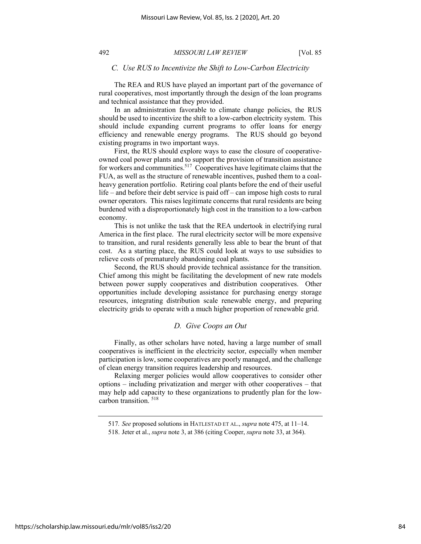## *C. Use RUS to Incentivize the Shift to Low-Carbon Electricity*

The REA and RUS have played an important part of the governance of rural cooperatives, most importantly through the design of the loan programs and technical assistance that they provided.

In an administration favorable to climate change policies, the RUS should be used to incentivize the shift to a low-carbon electricity system. This should include expanding current programs to offer loans for energy efficiency and renewable energy programs. The RUS should go beyond existing programs in two important ways.

First, the RUS should explore ways to ease the closure of cooperativeowned coal power plants and to support the provision of transition assistance for workers and communities.<sup>517</sup> Cooperatives have legitimate claims that the FUA, as well as the structure of renewable incentives, pushed them to a coalheavy generation portfolio. Retiring coal plants before the end of their useful life – and before their debt service is paid off – can impose high costs to rural owner operators. This raises legitimate concerns that rural residents are being burdened with a disproportionately high cost in the transition to a low-carbon economy.

This is not unlike the task that the REA undertook in electrifying rural America in the first place. The rural electricity sector will be more expensive to transition, and rural residents generally less able to bear the brunt of that cost. As a starting place, the RUS could look at ways to use subsidies to relieve costs of prematurely abandoning coal plants.

Second, the RUS should provide technical assistance for the transition. Chief among this might be facilitating the development of new rate models between power supply cooperatives and distribution cooperatives. Other opportunities include developing assistance for purchasing energy storage resources, integrating distribution scale renewable energy, and preparing electricity grids to operate with a much higher proportion of renewable grid.

## *D. Give Coops an Out*

Finally, as other scholars have noted, having a large number of small cooperatives is inefficient in the electricity sector, especially when member participation is low, some cooperatives are poorly managed, and the challenge of clean energy transition requires leadership and resources.

Relaxing merger policies would allow cooperatives to consider other options – including privatization and merger with other cooperatives – that may help add capacity to these organizations to prudently plan for the lowcarbon transition. 518

<sup>517</sup>*. See* proposed solutions in HATLESTAD ET AL., *supra* note 475, at 11–14.

<sup>518.</sup> Jeter et al., *supra* note 3, at 386 (citing Cooper, *supra* note 33, at 364).